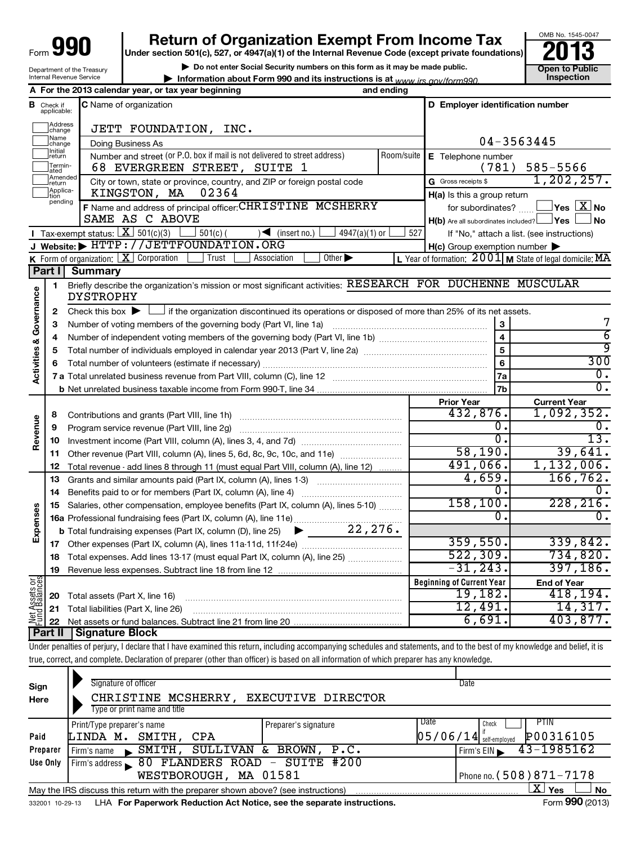| 990<br>Form $\bigcup$      |
|----------------------------|
| Department of the Treasury |
| Internal Revenue Service   |

┯

# **990** Return of Organization Exempt From Income Tax **Punce 13**

**| Do not enter Social Security numbers on this form as it may be made public.**

**| Information about Form 990 and its instructions is at Inspection** *www.irs.gov/form990.*



|                                    |                         | A For the 2013 calendar year, or tax year beginning                                                                                         | and ending |                                                         |                                                           |
|------------------------------------|-------------------------|---------------------------------------------------------------------------------------------------------------------------------------------|------------|---------------------------------------------------------|-----------------------------------------------------------|
| в                                  | Check if<br>applicable: | <b>C</b> Name of organization                                                                                                               |            | D Employer identification number                        |                                                           |
|                                    | Address<br>change       | JETT FOUNDATION, INC.                                                                                                                       |            |                                                         |                                                           |
|                                    | Name<br>change          | Doing Business As                                                                                                                           |            |                                                         | 04-3563445                                                |
|                                    | Initial<br> return      | Number and street (or P.O. box if mail is not delivered to street address)                                                                  | Room/suite | E Telephone number                                      |                                                           |
|                                    | Termin-<br>ated         | 68 EVERGREEN STREET, SUITE 1                                                                                                                |            | (781)                                                   | 585-5566                                                  |
|                                    | Amended<br>Ireturn      | City or town, state or province, country, and ZIP or foreign postal code                                                                    |            | G Gross receipts \$                                     | 1, 202, 257.                                              |
|                                    | Applica-<br>pending     | 02364<br>KINGSTON, MA                                                                                                                       |            | H(a) Is this a group return                             |                                                           |
|                                    |                         | F Name and address of principal officer: CHRISTINE MCSHERRY                                                                                 |            | for subordinates?                                       | $\Box$ Yes $\boxed{\text{X}}$ No                          |
|                                    |                         | SAME AS C ABOVE                                                                                                                             |            | $H(b)$ Are all subordinates included? $\Box$ Yes $\Box$ | ∫ No                                                      |
|                                    |                         | Tax-exempt status: $X \overline{3}$ 501(c)(3)<br>$501(c)$ (<br>$\sqrt{\frac{1}{1}}$ (insert no.)<br>$4947(a)(1)$ or                         | 527        |                                                         | If "No," attach a list. (see instructions)                |
|                                    |                         | J Website: FITTP://JETTFOUNDATION.ORG                                                                                                       |            | H(c) Group exemption number                             |                                                           |
|                                    |                         | <b>K</b> Form of organization: $X \circ C$ Corporation<br>Trust<br>Other $\blacktriangleright$<br>Association                               |            |                                                         | L Year of formation: $2001$ M State of legal domicile: MA |
|                                    | Part II                 | Summary                                                                                                                                     |            |                                                         |                                                           |
| <b>Activities &amp; Governance</b> | 1                       | Briefly describe the organization's mission or most significant activities: RESEARCH FOR DUCHENNE MUSCULAR<br><b>DYSTROPHY</b>              |            |                                                         |                                                           |
|                                    | $\mathbf{2}$            | Check this box $\blacktriangleright$ $\Box$ if the organization discontinued its operations or disposed of more than 25% of its net assets. |            |                                                         |                                                           |
|                                    | 3                       |                                                                                                                                             |            | 3                                                       | 7                                                         |
|                                    | 4                       |                                                                                                                                             |            | $\overline{\mathbf{4}}$                                 | $\overline{6}$                                            |
|                                    | 5                       |                                                                                                                                             |            | $\overline{5}$                                          | ब्र                                                       |
|                                    | 6                       |                                                                                                                                             |            | $6\phantom{a}$                                          | 300                                                       |
|                                    |                         |                                                                                                                                             |            | 7a                                                      | $\overline{0}$ .                                          |
|                                    |                         |                                                                                                                                             |            | 7 <sub>b</sub>                                          | Ο.                                                        |
|                                    |                         |                                                                                                                                             |            | <b>Prior Year</b>                                       | <b>Current Year</b>                                       |
|                                    | 8                       | Contributions and grants (Part VIII, line 1h)                                                                                               |            | 432,876.                                                | 1,092,352.                                                |
| Revenue                            | 9                       | Program service revenue (Part VIII, line 2g)                                                                                                |            | 0.                                                      | 0.                                                        |
|                                    | 10                      |                                                                                                                                             |            | $\overline{0}$ .                                        | $\overline{13}$ .                                         |
|                                    | 11                      | Other revenue (Part VIII, column (A), lines 5, 6d, 8c, 9c, 10c, and 11e)                                                                    |            | 58,190.                                                 | 39,641.                                                   |
|                                    | 12                      | Total revenue - add lines 8 through 11 (must equal Part VIII, column (A), line 12)                                                          |            | 491,066.                                                | 1,132,006.                                                |
|                                    | 13                      | Grants and similar amounts paid (Part IX, column (A), lines 1-3)                                                                            |            | 4,659.<br>$\Omega$ .                                    | 166, 762.<br>0.                                           |
|                                    | 14                      |                                                                                                                                             |            | 158, 100.                                               | 228, 216.                                                 |
| Expenses                           | 15                      | Salaries, other compensation, employee benefits (Part IX, column (A), lines 5-10)                                                           |            | 0.                                                      | 0.                                                        |
|                                    |                         | 22, 276.                                                                                                                                    |            |                                                         |                                                           |
|                                    | 17                      | <b>b</b> Total fundraising expenses (Part IX, column (D), line 25)<br>▶                                                                     |            | 359,550.                                                | 339,842.                                                  |
|                                    | 18                      | Total expenses. Add lines 13-17 (must equal Part IX, column (A), line 25)                                                                   |            | 522, 309.                                               | 734,820.                                                  |
|                                    | 19                      |                                                                                                                                             |            | $-31, 243.$                                             | 397,186.                                                  |
|                                    |                         |                                                                                                                                             |            | <b>Beginning of Current Year</b>                        | <b>End of Year</b>                                        |
| Net Assets or<br>- und Balances    | 20                      | Total assets (Part X, line 16)                                                                                                              |            | 19, 182.                                                | 418, 194.                                                 |
|                                    | 21                      | Total liabilities (Part X, line 26)                                                                                                         |            | 12,491.                                                 | 14,317.                                                   |
|                                    | 22                      |                                                                                                                                             |            | 6,691.                                                  | 403,877.                                                  |
|                                    | Part II                 | Signature Block                                                                                                                             |            |                                                         |                                                           |

Under penalties of perjury, I declare that I have examined this return, including accompanying schedules and statements, and to the best of my knowledge and belief, it is true, correct, and complete. Declaration of preparer (other than officer) is based on all information of which preparer has any knowledge.

| Sign<br>Here | Signature of officer<br>CHRISTINE MCSHERRY,<br>Type or print name and title                                  | <b>EXECUTIVE DIRECTOR</b> | Date                                  |  |  |  |  |  |  |
|--------------|--------------------------------------------------------------------------------------------------------------|---------------------------|---------------------------------------|--|--|--|--|--|--|
|              | Print/Type preparer's name                                                                                   | Preparer's signature      | Date<br>PTIN<br>Check                 |  |  |  |  |  |  |
| Paid         | LINDA M.<br>SMITH,<br>CPA                                                                                    |                           | P00316105<br>$05/06/14$ self-employed |  |  |  |  |  |  |
| Preparer     | SMITH,<br>Firm's name<br>$\mathbf{r}$                                                                        | SULLIVAN & BROWN, P.C.    | 43-1985162<br>Firm's EIN              |  |  |  |  |  |  |
| Use Only     | 80 FLANDERS ROAD - SUITE #200<br>Firm's address                                                              |                           |                                       |  |  |  |  |  |  |
|              | Phone no. (508) 871-7178                                                                                     |                           |                                       |  |  |  |  |  |  |
|              | $\mathbf{X}$ Yes<br>No<br>May the IRS discuss this return with the preparer shown above? (see instructions)  |                           |                                       |  |  |  |  |  |  |
|              | Form 990 (2013)<br>LHA For Paperwork Reduction Act Notice, see the separate instructions.<br>332001 10-29-13 |                           |                                       |  |  |  |  |  |  |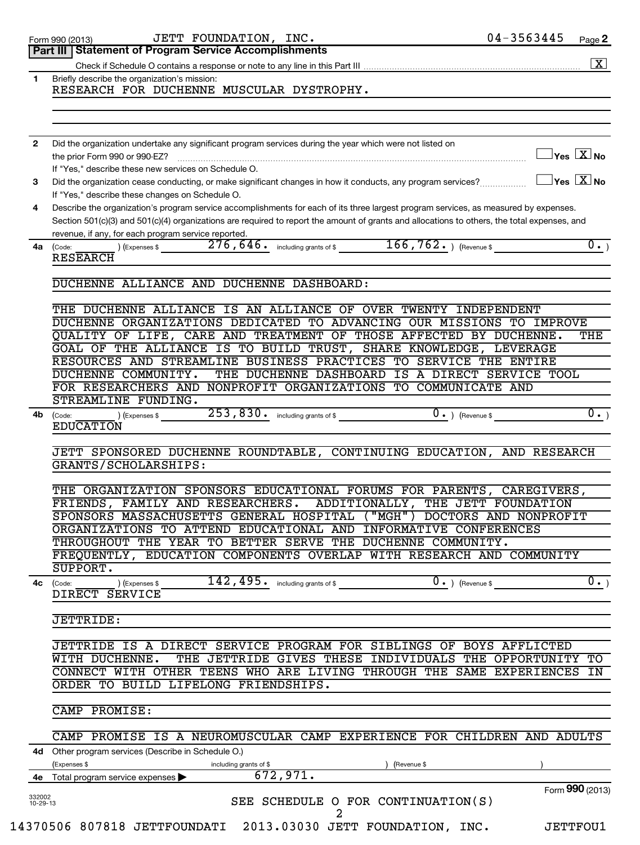|                    | Part III Statement of Program Service Accomplishments                                                                                                                                               |                                     |                      |
|--------------------|-----------------------------------------------------------------------------------------------------------------------------------------------------------------------------------------------------|-------------------------------------|----------------------|
|                    |                                                                                                                                                                                                     |                                     | $\boxed{\textbf{X}}$ |
|                    |                                                                                                                                                                                                     |                                     |                      |
| 1                  | Briefly describe the organization's mission:<br>RESEARCH FOR DUCHENNE MUSCULAR DYSTROPHY.                                                                                                           |                                     |                      |
|                    |                                                                                                                                                                                                     |                                     |                      |
|                    |                                                                                                                                                                                                     |                                     |                      |
| 2                  | Did the organization undertake any significant program services during the year which were not listed on                                                                                            | $\exists$ Yes $\boxed{\text{X}}$ No |                      |
|                    | the prior Form 990 or 990-EZ?<br>If "Yes," describe these new services on Schedule O.                                                                                                               |                                     |                      |
| 3                  | Did the organization cease conducting, or make significant changes in how it conducts, any program services?                                                                                        | $\exists$ Yes $\boxed{\text{X}}$ No |                      |
|                    | If "Yes," describe these changes on Schedule O.                                                                                                                                                     |                                     |                      |
| 4                  | Describe the organization's program service accomplishments for each of its three largest program services, as measured by expenses.                                                                |                                     |                      |
|                    | Section 501(c)(3) and 501(c)(4) organizations are required to report the amount of grants and allocations to others, the total expenses, and<br>revenue, if any, for each program service reported. |                                     |                      |
| 4a                 | 276, 646. including grants of \$166, 762. The evenue \$<br>(Expenses \$<br>(Code:                                                                                                                   |                                     | $\overline{0.}$      |
|                    | <b>RESEARCH</b>                                                                                                                                                                                     |                                     |                      |
|                    | DUCHENNE ALLIANCE AND DUCHENNE DASHBOARD:                                                                                                                                                           |                                     |                      |
|                    | THE DUCHENNE ALLIANCE IS AN ALLIANCE OF OVER TWENTY INDEPENDENT                                                                                                                                     |                                     |                      |
|                    | DUCHENNE ORGANIZATIONS DEDICATED TO ADVANCING OUR MISSIONS TO IMPROVE                                                                                                                               |                                     |                      |
|                    | QUALITY OF LIFE, CARE AND TREATMENT OF THOSE AFFECTED BY DUCHENNE.                                                                                                                                  |                                     | THE                  |
|                    | GOAL OF THE ALLIANCE IS TO BUILD TRUST, SHARE KNOWLEDGE, LEVERAGE                                                                                                                                   |                                     |                      |
|                    | RESOURCES AND STREAMLINE BUSINESS PRACTICES TO SERVICE THE ENTIRE<br>THE DUCHENNE DASHBOARD IS A DIRECT SERVICE TOOL<br>DUCHENNE COMMUNITY.                                                         |                                     |                      |
|                    | FOR RESEARCHERS AND NONPROFIT ORGANIZATIONS TO COMMUNICATE AND                                                                                                                                      |                                     |                      |
|                    | STREAMLINE FUNDING.                                                                                                                                                                                 |                                     |                      |
| 4b                 | 253,830.<br>including grants of $$$<br>) (Expenses \$<br>(Code:<br><b>EDUCATION</b>                                                                                                                 | $\overline{0}$ . ) (Revenue \$      | $\overline{0.}$      |
|                    |                                                                                                                                                                                                     |                                     |                      |
|                    | JETT SPONSORED DUCHENNE ROUNDTABLE, CONTINUING EDUCATION, AND RESEARCH<br>GRANTS/SCHOLARSHIPS:                                                                                                      |                                     |                      |
|                    | THE ORGANIZATION SPONSORS EDUCATIONAL FORUMS FOR PARENTS, CAREGIVERS,                                                                                                                               |                                     |                      |
|                    | FRIENDS, FAMILY AND RESEARCHERS.<br>ADDITIONALLY, THE JETT FOUNDATION                                                                                                                               |                                     |                      |
|                    | SPONSORS MASSACHUSETTS GENERAL HOSPITAL ("MGH")                                                                                                                                                     | DOCTORS AND NONPROFIT               |                      |
|                    | ORGANIZATIONS TO ATTEND EDUCATIONAL AND INFORMATIVE CONFERENCES                                                                                                                                     |                                     |                      |
|                    | THROUGHOUT THE YEAR TO BETTER SERVE THE DUCHENNE COMMUNITY.                                                                                                                                         |                                     |                      |
|                    | FREQUENTLY, EDUCATION COMPONENTS OVERLAP WITH RESEARCH AND COMMUNITY<br>SUPPORT.                                                                                                                    |                                     |                      |
|                    | 142,495.<br>$\overline{0}$ . ) (Revenue \$<br>4c (Code:<br>including grants of \$<br>) (Expenses \$                                                                                                 |                                     | $\overline{0.}$      |
|                    | DIRECT SERVICE                                                                                                                                                                                      |                                     |                      |
|                    | <b>JETTRIDE:</b>                                                                                                                                                                                    |                                     |                      |
|                    | JETTRIDE IS A DIRECT SERVICE PROGRAM FOR SIBLINGS OF BOYS AFFLICTED                                                                                                                                 |                                     |                      |
|                    | THE JETTRIDE GIVES THESE INDIVIDUALS THE OPPORTUNITY TO<br>WITH DUCHENNE.                                                                                                                           |                                     |                      |
|                    | CONNECT WITH OTHER TEENS WHO ARE LIVING THROUGH THE SAME EXPERIENCES                                                                                                                                |                                     | IN                   |
|                    | ORDER TO BUILD LIFELONG FRIENDSHIPS.                                                                                                                                                                |                                     |                      |
|                    | CAMP PROMISE:                                                                                                                                                                                       |                                     |                      |
|                    | CAMP PROMISE IS A NEUROMUSCULAR CAMP EXPERIENCE FOR CHILDREN AND ADULTS                                                                                                                             |                                     |                      |
|                    | 4d Other program services (Describe in Schedule O.)<br>Expenses \$<br>including grants of \$<br>(Revenue \$                                                                                         |                                     |                      |
| 4е                 | 672,971.<br>Total program service expenses                                                                                                                                                          |                                     |                      |
|                    |                                                                                                                                                                                                     | Form 990 (2013)                     |                      |
| 332002<br>10-29-13 | SEE SCHEDULE O FOR CONTINUATION(S)<br>2                                                                                                                                                             |                                     |                      |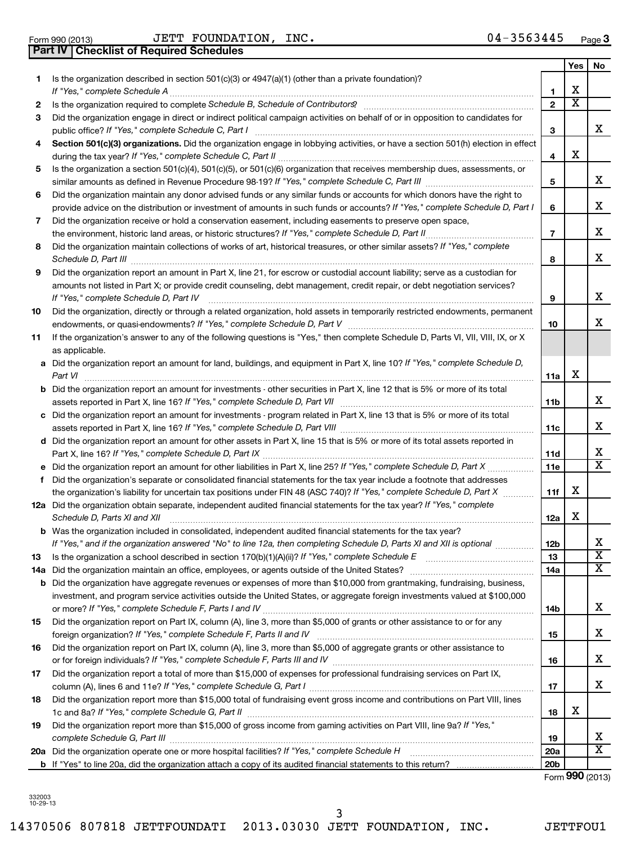Form 990 (2013)  $JETT$   $FOUNDATION$ ,  $INC$ .  $04-3563445$   $Page$ **Part IV Checklist of Required Schedules**

|    |                                                                                                                                                                                                                                                         |                 | Yes                     | No.                     |
|----|---------------------------------------------------------------------------------------------------------------------------------------------------------------------------------------------------------------------------------------------------------|-----------------|-------------------------|-------------------------|
| 1. | Is the organization described in section $501(c)(3)$ or $4947(a)(1)$ (other than a private foundation)?                                                                                                                                                 |                 |                         |                         |
|    |                                                                                                                                                                                                                                                         | 1               | х                       |                         |
| 2  |                                                                                                                                                                                                                                                         | $\overline{2}$  | $\overline{\textbf{x}}$ |                         |
| 3  | Did the organization engage in direct or indirect political campaign activities on behalf of or in opposition to candidates for                                                                                                                         | З               |                         | x                       |
| 4  | Section 501(c)(3) organizations. Did the organization engage in lobbying activities, or have a section 501(h) election in effect                                                                                                                        |                 |                         |                         |
|    |                                                                                                                                                                                                                                                         | 4               | х                       |                         |
| 5  | Is the organization a section 501(c)(4), 501(c)(5), or 501(c)(6) organization that receives membership dues, assessments, or                                                                                                                            |                 |                         |                         |
|    |                                                                                                                                                                                                                                                         | 5               |                         | x                       |
| 6  | Did the organization maintain any donor advised funds or any similar funds or accounts for which donors have the right to                                                                                                                               |                 |                         |                         |
|    | provide advice on the distribution or investment of amounts in such funds or accounts? If "Yes," complete Schedule D, Part I                                                                                                                            | 6               |                         | x                       |
| 7  | Did the organization receive or hold a conservation easement, including easements to preserve open space,                                                                                                                                               |                 |                         |                         |
|    | the environment, historic land areas, or historic structures? If "Yes," complete Schedule D, Part II                                                                                                                                                    | 7               |                         | x                       |
| 8  | Did the organization maintain collections of works of art, historical treasures, or other similar assets? If "Yes," complete<br>Schedule D, Part III <b>Marting Communities</b> and the contract of the contract of the contract of the contract of the | 8               |                         | x                       |
| 9  | Did the organization report an amount in Part X, line 21, for escrow or custodial account liability; serve as a custodian for                                                                                                                           |                 |                         |                         |
|    | amounts not listed in Part X; or provide credit counseling, debt management, credit repair, or debt negotiation services?<br>If "Yes," complete Schedule D, Part IV                                                                                     | 9               |                         | x                       |
| 10 | Did the organization, directly or through a related organization, hold assets in temporarily restricted endowments, permanent                                                                                                                           |                 |                         |                         |
|    |                                                                                                                                                                                                                                                         | 10              |                         | x                       |
| 11 | If the organization's answer to any of the following questions is "Yes," then complete Schedule D, Parts VI, VII, VIII, IX, or X                                                                                                                        |                 |                         |                         |
|    | as applicable.                                                                                                                                                                                                                                          |                 |                         |                         |
|    | a Did the organization report an amount for land, buildings, and equipment in Part X, line 10? If "Yes," complete Schedule D,<br>Part VI                                                                                                                | 11a             | х                       |                         |
|    | <b>b</b> Did the organization report an amount for investments - other securities in Part X, line 12 that is 5% or more of its total                                                                                                                    |                 |                         |                         |
|    |                                                                                                                                                                                                                                                         | 11b             |                         | x                       |
|    | c Did the organization report an amount for investments - program related in Part X, line 13 that is 5% or more of its total                                                                                                                            |                 |                         |                         |
|    | 11c                                                                                                                                                                                                                                                     |                 |                         | x                       |
|    | d Did the organization report an amount for other assets in Part X, line 15 that is 5% or more of its total assets reported in                                                                                                                          |                 |                         |                         |
|    |                                                                                                                                                                                                                                                         | 11d             |                         | х                       |
|    |                                                                                                                                                                                                                                                         | 11e             |                         | $\overline{\mathtt{x}}$ |
| f. | Did the organization's separate or consolidated financial statements for the tax year include a footnote that addresses                                                                                                                                 |                 |                         |                         |
|    | the organization's liability for uncertain tax positions under FIN 48 (ASC 740)? If "Yes," complete Schedule D, Part X                                                                                                                                  | 11f             | х                       |                         |
|    | 12a Did the organization obtain separate, independent audited financial statements for the tax year? If "Yes," complete<br>Schedule D, Parts XI and XII                                                                                                 | 12a             | X                       |                         |
|    | <b>b</b> Was the organization included in consolidated, independent audited financial statements for the tax year?                                                                                                                                      |                 |                         |                         |
|    | If "Yes," and if the organization answered "No" to line 12a, then completing Schedule D, Parts XI and XII is optional <i>maniming</i>                                                                                                                   | 12b             |                         | x                       |
| 13 |                                                                                                                                                                                                                                                         | 13              |                         | $\overline{\text{x}}$   |
|    |                                                                                                                                                                                                                                                         | 14a             |                         | $\overline{\texttt{x}}$ |
|    | <b>b</b> Did the organization have aggregate revenues or expenses of more than \$10,000 from grantmaking, fundraising, business,                                                                                                                        |                 |                         |                         |
|    | investment, and program service activities outside the United States, or aggregate foreign investments valued at \$100,000                                                                                                                              |                 |                         | x                       |
|    |                                                                                                                                                                                                                                                         | 14b             |                         |                         |
| 15 | Did the organization report on Part IX, column (A), line 3, more than \$5,000 of grants or other assistance to or for any                                                                                                                               |                 |                         | x                       |
|    |                                                                                                                                                                                                                                                         | 15              |                         |                         |
| 16 | Did the organization report on Part IX, column (A), line 3, more than \$5,000 of aggregate grants or other assistance to                                                                                                                                |                 |                         | x                       |
| 17 | Did the organization report a total of more than \$15,000 of expenses for professional fundraising services on Part IX,                                                                                                                                 | 16              |                         |                         |
|    |                                                                                                                                                                                                                                                         | 17              |                         | x                       |
| 18 | Did the organization report more than \$15,000 total of fundraising event gross income and contributions on Part VIII, lines                                                                                                                            |                 |                         |                         |
|    |                                                                                                                                                                                                                                                         | 18              | х                       |                         |
| 19 | Did the organization report more than \$15,000 of gross income from gaming activities on Part VIII, line 9a? If "Yes,"                                                                                                                                  |                 |                         |                         |
|    |                                                                                                                                                                                                                                                         | 19              |                         | х                       |
|    |                                                                                                                                                                                                                                                         | <b>20a</b>      |                         | $\overline{\texttt{x}}$ |
|    |                                                                                                                                                                                                                                                         | 20 <sub>b</sub> |                         |                         |

Form (2013) **990**

332003 10-29-13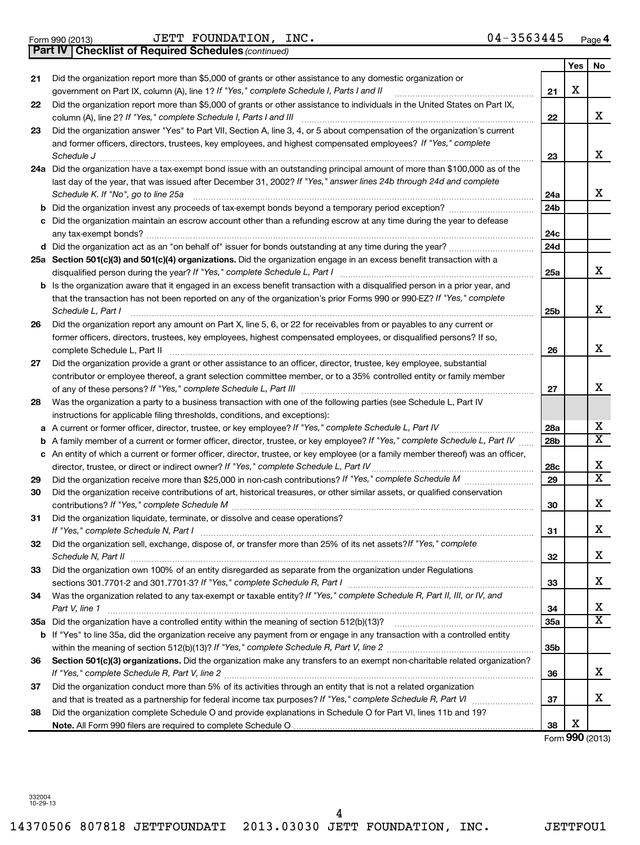Form 990 (2013) Page JETT FOUNDATION, INC. 04-3563445

*(continued)* **Part IV Checklist of Required Schedules**

|    |                                                                                                                                                                                                         |                 | Yes | No.                     |
|----|---------------------------------------------------------------------------------------------------------------------------------------------------------------------------------------------------------|-----------------|-----|-------------------------|
| 21 | Did the organization report more than \$5,000 of grants or other assistance to any domestic organization or<br>government on Part IX, column (A), line 1? If "Yes," complete Schedule I, Parts I and II | 21              | х   |                         |
| 22 | Did the organization report more than \$5,000 of grants or other assistance to individuals in the United States on Part IX,<br>column (A), line 2? If "Yes," complete Schedule I, Parts I and III       | 22              |     | х                       |
| 23 | Did the organization answer "Yes" to Part VII, Section A, line 3, 4, or 5 about compensation of the organization's current                                                                              |                 |     |                         |
|    | and former officers, directors, trustees, key employees, and highest compensated employees? If "Yes," complete                                                                                          |                 |     |                         |
|    | Schedule J                                                                                                                                                                                              | 23              |     | x                       |
|    | 24a Did the organization have a tax-exempt bond issue with an outstanding principal amount of more than \$100,000 as of the                                                                             |                 |     |                         |
|    | last day of the year, that was issued after December 31, 2002? If "Yes," answer lines 24b through 24d and complete                                                                                      |                 |     |                         |
|    | Schedule K. If "No", go to line 25a                                                                                                                                                                     | 24a             |     | х                       |
|    |                                                                                                                                                                                                         | 24b             |     |                         |
|    | c Did the organization maintain an escrow account other than a refunding escrow at any time during the year to defease                                                                                  |                 |     |                         |
|    |                                                                                                                                                                                                         | 24c             |     |                         |
|    |                                                                                                                                                                                                         | 24d             |     |                         |
|    | 25a Section 501(c)(3) and 501(c)(4) organizations. Did the organization engage in an excess benefit transaction with a<br>disqualified person during the year? If "Yes," complete Schedule L, Part I    | 25a             |     | х                       |
|    | b Is the organization aware that it engaged in an excess benefit transaction with a disqualified person in a prior year, and                                                                            |                 |     |                         |
|    | that the transaction has not been reported on any of the organization's prior Forms 990 or 990-EZ? If "Yes," complete<br>Schedule L, Part I                                                             | 25b             |     | X                       |
| 26 | Did the organization report any amount on Part X, line 5, 6, or 22 for receivables from or payables to any current or                                                                                   |                 |     |                         |
|    | former officers, directors, trustees, key employees, highest compensated employees, or disqualified persons? If so,                                                                                     |                 |     |                         |
|    | complete Schedule L, Part II                                                                                                                                                                            | 26              |     | x                       |
| 27 | Did the organization provide a grant or other assistance to an officer, director, trustee, key employee, substantial                                                                                    |                 |     |                         |
|    | contributor or employee thereof, a grant selection committee member, or to a 35% controlled entity or family member                                                                                     |                 |     |                         |
|    |                                                                                                                                                                                                         | 27              |     | x                       |
| 28 | Was the organization a party to a business transaction with one of the following parties (see Schedule L, Part IV                                                                                       |                 |     |                         |
|    | instructions for applicable filing thresholds, conditions, and exceptions):                                                                                                                             |                 |     |                         |
| a  | A current or former officer, director, trustee, or key employee? If "Yes," complete Schedule L, Part IV                                                                                                 | 28a             |     | х                       |
| b  | A family member of a current or former officer, director, trustee, or key employee? If "Yes," complete Schedule L, Part IV                                                                              | 28b             |     | х                       |
|    | c An entity of which a current or former officer, director, trustee, or key employee (or a family member thereof) was an officer,                                                                       |                 |     |                         |
|    | director, trustee, or direct or indirect owner? If "Yes," complete Schedule L, Part IV                                                                                                                  | 28c             |     | х                       |
| 29 |                                                                                                                                                                                                         | 29              |     | $\overline{\textbf{x}}$ |
| 30 | Did the organization receive contributions of art, historical treasures, or other similar assets, or qualified conservation                                                                             |                 |     |                         |
|    |                                                                                                                                                                                                         | 30              |     | х                       |
| 31 | Did the organization liquidate, terminate, or dissolve and cease operations?                                                                                                                            |                 |     |                         |
|    |                                                                                                                                                                                                         | 31              |     | х                       |
| 32 | Did the organization sell, exchange, dispose of, or transfer more than 25% of its net assets? If "Yes," complete                                                                                        |                 |     |                         |
|    |                                                                                                                                                                                                         | 32              |     | х                       |
| 33 | Did the organization own 100% of an entity disregarded as separate from the organization under Regulations                                                                                              |                 |     |                         |
|    | sections 301.7701-2 and 301.7701-3? If "Yes," complete Schedule R, Part I [1] [1] [1] [1] [1] [1] sections 301.7701-2 and 301.7701-3? If "Yes," complete Schedule R, Part I                             | 33              |     | x                       |
| 34 | Was the organization related to any tax-exempt or taxable entity? If "Yes," complete Schedule R, Part II, III, or IV, and<br>Part V, line 1                                                             | 34              |     | х                       |
|    |                                                                                                                                                                                                         | 35a             |     | $\overline{\text{X}}$   |
|    | b If "Yes" to line 35a, did the organization receive any payment from or engage in any transaction with a controlled entity                                                                             |                 |     |                         |
|    |                                                                                                                                                                                                         | 35 <sub>b</sub> |     |                         |
| 36 | Section 501(c)(3) organizations. Did the organization make any transfers to an exempt non-charitable related organization?                                                                              |                 |     |                         |
|    |                                                                                                                                                                                                         | 36              |     | x                       |
| 37 | Did the organization conduct more than 5% of its activities through an entity that is not a related organization                                                                                        |                 |     |                         |
|    |                                                                                                                                                                                                         | 37              |     | x                       |
| 38 | Did the organization complete Schedule O and provide explanations in Schedule O for Part VI, lines 11b and 19?                                                                                          |                 |     |                         |
|    |                                                                                                                                                                                                         | 38              | х   |                         |

Form (2013) **990**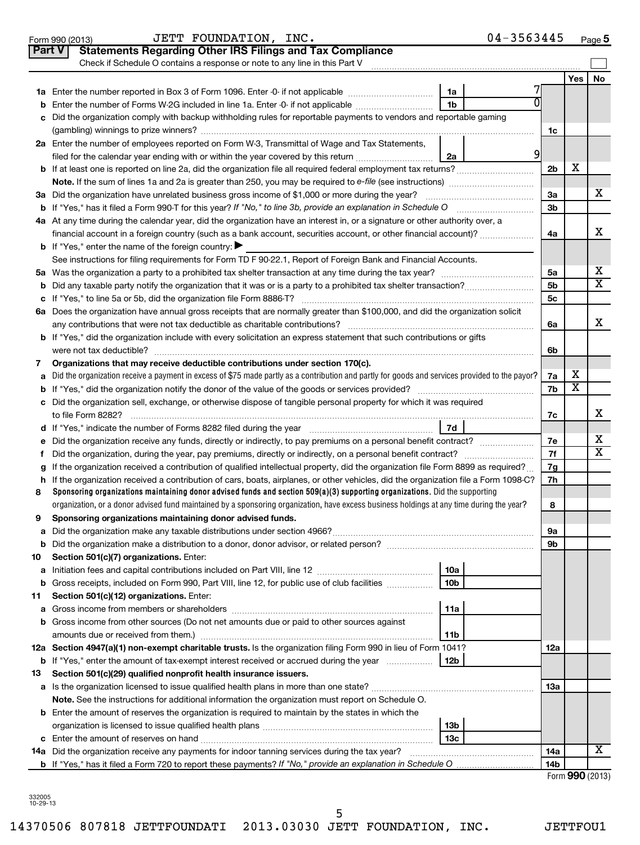|               | 04-3563445<br>JETT FOUNDATION, INC.<br>Form 990 (2013)                                                                                                                                                                                                                     |                |                              | $Page$ <sup>5</sup>     |
|---------------|----------------------------------------------------------------------------------------------------------------------------------------------------------------------------------------------------------------------------------------------------------------------------|----------------|------------------------------|-------------------------|
| <b>Part V</b> | <b>Statements Regarding Other IRS Filings and Tax Compliance</b>                                                                                                                                                                                                           |                |                              |                         |
|               | Check if Schedule O contains a response or note to any line in this Part V                                                                                                                                                                                                 |                |                              |                         |
|               |                                                                                                                                                                                                                                                                            |                | <b>Yes</b>                   | No                      |
|               | 1a                                                                                                                                                                                                                                                                         |                |                              |                         |
| b             | U<br>1 <sub>b</sub><br>Enter the number of Forms W-2G included in line 1a. Enter -0- if not applicable                                                                                                                                                                     |                |                              |                         |
| c             | Did the organization comply with backup withholding rules for reportable payments to vendors and reportable gaming                                                                                                                                                         |                |                              |                         |
|               |                                                                                                                                                                                                                                                                            | 1c             |                              |                         |
|               | 2a Enter the number of employees reported on Form W-3, Transmittal of Wage and Tax Statements,                                                                                                                                                                             |                |                              |                         |
|               | $\overline{9}$<br>filed for the calendar year ending with or within the year covered by this return<br>2a                                                                                                                                                                  |                |                              |                         |
|               | <b>b</b> If at least one is reported on line 2a, did the organization file all required federal employment tax returns?                                                                                                                                                    | 2 <sub>b</sub> | х                            |                         |
|               |                                                                                                                                                                                                                                                                            |                |                              |                         |
|               | 3a Did the organization have unrelated business gross income of \$1,000 or more during the year?                                                                                                                                                                           | За             |                              | x                       |
|               | <b>b</b> If "Yes," has it filed a Form 990-T for this year? If "No," to line 3b, provide an explanation in Schedule O manumum                                                                                                                                              | 3 <sub>b</sub> |                              |                         |
|               | 4a At any time during the calendar year, did the organization have an interest in, or a signature or other authority over, a                                                                                                                                               |                |                              |                         |
|               | financial account in a foreign country (such as a bank account, securities account, or other financial account)?                                                                                                                                                           | 4a             |                              | х                       |
|               | <b>b</b> If "Yes," enter the name of the foreign country:                                                                                                                                                                                                                  |                |                              |                         |
|               | See instructions for filing requirements for Form TD F 90-22.1, Report of Foreign Bank and Financial Accounts.                                                                                                                                                             |                |                              |                         |
|               |                                                                                                                                                                                                                                                                            | 5a             |                              | X                       |
| b             |                                                                                                                                                                                                                                                                            | 5 <sub>b</sub> |                              | $\overline{\textbf{x}}$ |
|               |                                                                                                                                                                                                                                                                            | 5 <sub>c</sub> |                              |                         |
|               | 6a Does the organization have annual gross receipts that are normally greater than \$100,000, and did the organization solicit                                                                                                                                             |                |                              |                         |
|               |                                                                                                                                                                                                                                                                            | 6a             |                              | х                       |
|               | <b>b</b> If "Yes," did the organization include with every solicitation an express statement that such contributions or gifts                                                                                                                                              |                |                              |                         |
|               | were not tax deductible?                                                                                                                                                                                                                                                   | 6b             |                              |                         |
| 7             | Organizations that may receive deductible contributions under section 170(c).                                                                                                                                                                                              |                |                              |                         |
| a             | Did the organization receive a payment in excess of \$75 made partly as a contribution and partly for goods and services provided to the payor?                                                                                                                            | 7a             | х<br>$\overline{\textbf{x}}$ |                         |
| b             |                                                                                                                                                                                                                                                                            | 7b             |                              |                         |
|               | c Did the organization sell, exchange, or otherwise dispose of tangible personal property for which it was required                                                                                                                                                        |                |                              | х                       |
|               |                                                                                                                                                                                                                                                                            | 7c             |                              |                         |
|               | 7d                                                                                                                                                                                                                                                                         |                |                              | x                       |
| е             |                                                                                                                                                                                                                                                                            | 7e             |                              | $\overline{\textbf{x}}$ |
|               |                                                                                                                                                                                                                                                                            | 7f             |                              |                         |
| g             | If the organization received a contribution of qualified intellectual property, did the organization file Form 8899 as required?                                                                                                                                           | 7g             |                              |                         |
| h.            | If the organization received a contribution of cars, boats, airplanes, or other vehicles, did the organization file a Form 1098-C?                                                                                                                                         | 7h             |                              |                         |
| 8             | Sponsoring organizations maintaining donor advised funds and section $509(a)(3)$ supporting organizations. Did the supporting<br>organization, or a donor advised fund maintained by a sponsoring organization, have excess business holdings at any time during the year? |                |                              |                         |
|               |                                                                                                                                                                                                                                                                            | 8              |                              |                         |
| 9             | Sponsoring organizations maintaining donor advised funds.                                                                                                                                                                                                                  |                |                              |                         |
| а             |                                                                                                                                                                                                                                                                            | 9а             |                              |                         |
| b             | Section 501(c)(7) organizations. Enter:                                                                                                                                                                                                                                    | 9b             |                              |                         |
| 10            | 10a                                                                                                                                                                                                                                                                        |                |                              |                         |
| а<br>b        | 10 <sub>b</sub><br>Gross receipts, included on Form 990, Part VIII, line 12, for public use of club facilities                                                                                                                                                             |                |                              |                         |
| 11            | Section 501(c)(12) organizations. Enter:                                                                                                                                                                                                                                   |                |                              |                         |
| а             | 11a                                                                                                                                                                                                                                                                        |                |                              |                         |
| b             | Gross income from other sources (Do not net amounts due or paid to other sources against                                                                                                                                                                                   |                |                              |                         |
|               | amounts due or received from them.)<br>11b                                                                                                                                                                                                                                 |                |                              |                         |
|               | 12a Section 4947(a)(1) non-exempt charitable trusts. Is the organization filing Form 990 in lieu of Form 1041?                                                                                                                                                             | 12a            |                              |                         |
| b             | <b>12b</b><br>If "Yes," enter the amount of tax-exempt interest received or accrued during the year                                                                                                                                                                        |                |                              |                         |
| 13            | Section 501(c)(29) qualified nonprofit health insurance issuers.                                                                                                                                                                                                           |                |                              |                         |
| а             |                                                                                                                                                                                                                                                                            | 1За            |                              |                         |
|               | Note. See the instructions for additional information the organization must report on Schedule O.                                                                                                                                                                          |                |                              |                         |
|               | <b>b</b> Enter the amount of reserves the organization is required to maintain by the states in which the                                                                                                                                                                  |                |                              |                         |
|               | 13 <sub>b</sub>                                                                                                                                                                                                                                                            |                |                              |                         |
|               | 13с                                                                                                                                                                                                                                                                        |                |                              |                         |
|               | 14a Did the organization receive any payments for indoor tanning services during the tax year?                                                                                                                                                                             | 14a            |                              | х                       |
|               |                                                                                                                                                                                                                                                                            | 14b            |                              |                         |
|               |                                                                                                                                                                                                                                                                            |                | 000(0010)                    |                         |

Form **990** (2013)

332005 10-29-13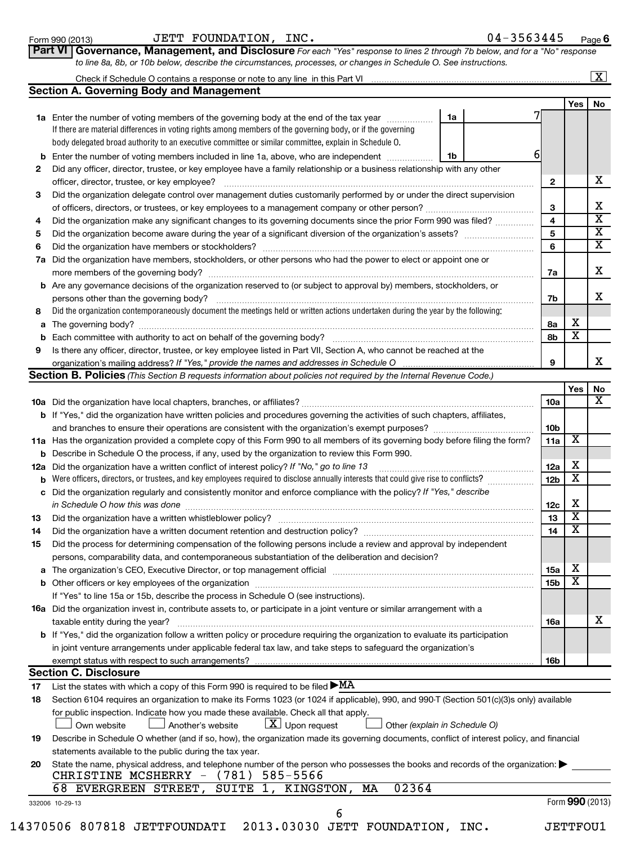| Form 990 (2013) |  |
|-----------------|--|
|-----------------|--|

| Form 990 (2013) | <b>FOUNDATION</b><br>INC.<br>JETT | 3563445<br>04–<br>Page |
|-----------------|-----------------------------------|------------------------|
|-----------------|-----------------------------------|------------------------|

**6**

| Part VI Governance, Management, and Disclosure For each "Yes" response to lines 2 through 7b below, and for a "No" response |  |
|-----------------------------------------------------------------------------------------------------------------------------|--|
| to line 8a, 8b, or 10b below, describe the circumstances, processes, or changes in Schedule O. See instructions.            |  |

#### Check if Schedule O contains a response or note to any line in this Part VI  $\lfloor x \rfloor$

|    | <b>Section A. Governing Body and Management</b>                                                                                                                                                                                           |    |  |                 |                         |                         |
|----|-------------------------------------------------------------------------------------------------------------------------------------------------------------------------------------------------------------------------------------------|----|--|-----------------|-------------------------|-------------------------|
|    |                                                                                                                                                                                                                                           |    |  |                 | Yes                     | No                      |
|    | 1a Enter the number of voting members of the governing body at the end of the tax year                                                                                                                                                    | 1a |  |                 |                         |                         |
|    | If there are material differences in voting rights among members of the governing body, or if the governing                                                                                                                               |    |  |                 |                         |                         |
|    | body delegated broad authority to an executive committee or similar committee, explain in Schedule O.                                                                                                                                     |    |  |                 |                         |                         |
|    | <b>b</b> Enter the number of voting members included in line 1a, above, who are independent                                                                                                                                               | 1b |  | 6               |                         |                         |
| 2  | Did any officer, director, trustee, or key employee have a family relationship or a business relationship with any other                                                                                                                  |    |  |                 |                         |                         |
|    | officer, director, trustee, or key employee?                                                                                                                                                                                              |    |  | 2               |                         | х                       |
| З  | Did the organization delegate control over management duties customarily performed by or under the direct supervision                                                                                                                     |    |  |                 |                         |                         |
|    |                                                                                                                                                                                                                                           |    |  | З               |                         | х                       |
| 4  | Did the organization make any significant changes to its governing documents since the prior Form 990 was filed?                                                                                                                          |    |  | 4               |                         | $\overline{\mathbf{x}}$ |
| 5  |                                                                                                                                                                                                                                           |    |  | 5               |                         | $\overline{\textbf{x}}$ |
| 6  |                                                                                                                                                                                                                                           |    |  | 6               |                         | X                       |
|    | 7a Did the organization have members, stockholders, or other persons who had the power to elect or appoint one or                                                                                                                         |    |  |                 |                         |                         |
|    |                                                                                                                                                                                                                                           |    |  | 7a              |                         | x                       |
|    | <b>b</b> Are any governance decisions of the organization reserved to (or subject to approval by) members, stockholders, or                                                                                                               |    |  |                 |                         |                         |
|    | persons other than the governing body?                                                                                                                                                                                                    |    |  | 7b              |                         | x                       |
| 8  | Did the organization contemporaneously document the meetings held or written actions undertaken during the year by the following:                                                                                                         |    |  |                 |                         |                         |
|    |                                                                                                                                                                                                                                           |    |  | 8а              | х                       |                         |
|    |                                                                                                                                                                                                                                           |    |  | 8b              | X                       |                         |
| 9  | Is there any officer, director, trustee, or key employee listed in Part VII, Section A, who cannot be reached at the                                                                                                                      |    |  |                 |                         |                         |
|    | organization's mailing address? If "Yes," provide the names and addresses in Schedule O                                                                                                                                                   |    |  | 9               |                         | x                       |
|    | <b>Section B. Policies</b> (This Section B requests information about policies not required by the Internal Revenue Code.)                                                                                                                |    |  |                 |                         |                         |
|    |                                                                                                                                                                                                                                           |    |  |                 | Yes                     | No<br>x                 |
|    |                                                                                                                                                                                                                                           |    |  | 10a             |                         |                         |
|    | <b>b</b> If "Yes," did the organization have written policies and procedures governing the activities of such chapters, affiliates,                                                                                                       |    |  |                 |                         |                         |
|    |                                                                                                                                                                                                                                           |    |  | 10b             | х                       |                         |
|    | 11a Has the organization provided a complete copy of this Form 990 to all members of its governing body before filing the form?<br><b>b</b> Describe in Schedule O the process, if any, used by the organization to review this Form 990. |    |  | 11a             |                         |                         |
|    | 12a Did the organization have a written conflict of interest policy? If "No," go to line 13                                                                                                                                               |    |  | 12a             | х                       |                         |
|    | b Were officers, directors, or trustees, and key employees required to disclose annually interests that could give rise to conflicts?                                                                                                     |    |  | 12 <sub>b</sub> | $\overline{\textbf{X}}$ |                         |
|    | c Did the organization regularly and consistently monitor and enforce compliance with the policy? If "Yes," describe                                                                                                                      |    |  |                 |                         |                         |
|    | in Schedule O how this was done                                                                                                                                                                                                           |    |  | 12c             | х                       |                         |
| 13 | Did the organization have a written whistleblower policy?                                                                                                                                                                                 |    |  | 13              | $\overline{\textbf{X}}$ |                         |
| 14 |                                                                                                                                                                                                                                           |    |  | 14              | $\overline{\textbf{X}}$ |                         |
| 15 | Did the process for determining compensation of the following persons include a review and approval by independent                                                                                                                        |    |  |                 |                         |                         |
|    | persons, comparability data, and contemporaneous substantiation of the deliberation and decision?                                                                                                                                         |    |  |                 |                         |                         |
|    |                                                                                                                                                                                                                                           |    |  | 15a             | Y                       |                         |
|    |                                                                                                                                                                                                                                           |    |  | 15b             | х                       |                         |
|    | If "Yes" to line 15a or 15b, describe the process in Schedule O (see instructions).                                                                                                                                                       |    |  |                 |                         |                         |
|    | <b>16a</b> Did the organization invest in, contribute assets to, or participate in a joint venture or similar arrangement with a                                                                                                          |    |  |                 |                         |                         |
|    | taxable entity during the year?                                                                                                                                                                                                           |    |  | 16a             |                         | х                       |
|    | b If "Yes," did the organization follow a written policy or procedure requiring the organization to evaluate its participation                                                                                                            |    |  |                 |                         |                         |
|    | in joint venture arrangements under applicable federal tax law, and take steps to safeguard the organization's                                                                                                                            |    |  |                 |                         |                         |
|    | exempt status with respect to such arrangements?                                                                                                                                                                                          |    |  | 16b             |                         |                         |
|    | <b>Section C. Disclosure</b>                                                                                                                                                                                                              |    |  |                 |                         |                         |
| 17 | List the states with which a copy of this Form 990 is required to be filed $\blacktriangleright$ MA                                                                                                                                       |    |  |                 |                         |                         |
| 18 | Section 6104 requires an organization to make its Forms 1023 (or 1024 if applicable), 990, and 990-T (Section 501(c)(3)s only) available                                                                                                  |    |  |                 |                         |                         |
|    | for public inspection. Indicate how you made these available. Check all that apply.                                                                                                                                                       |    |  |                 |                         |                         |
|    | $\lfloor \underline{X} \rfloor$ Upon request<br>Other (explain in Schedule O)<br>Another's website<br>Own website                                                                                                                         |    |  |                 |                         |                         |

| Describe in Schedule O whether (and if so, how), the organization made its governing documents, conflict of interest policy, and financial |  |  |
|--------------------------------------------------------------------------------------------------------------------------------------------|--|--|
|                                                                                                                                            |  |  |

6

| statements available to the public during the tax year.                                                                          |
|----------------------------------------------------------------------------------------------------------------------------------|
| 20 State the name, physical address, and telephone number of the person who possesses the books and records of the organization: |
| CHRISTINE MCSHERRY $-$ (781) 585-5566                                                                                            |
|                                                                                                                                  |

## 68 EVERGREEN STREET, SUITE 1, KINGSTON, MA 02364

**19**

Form **990** (2013)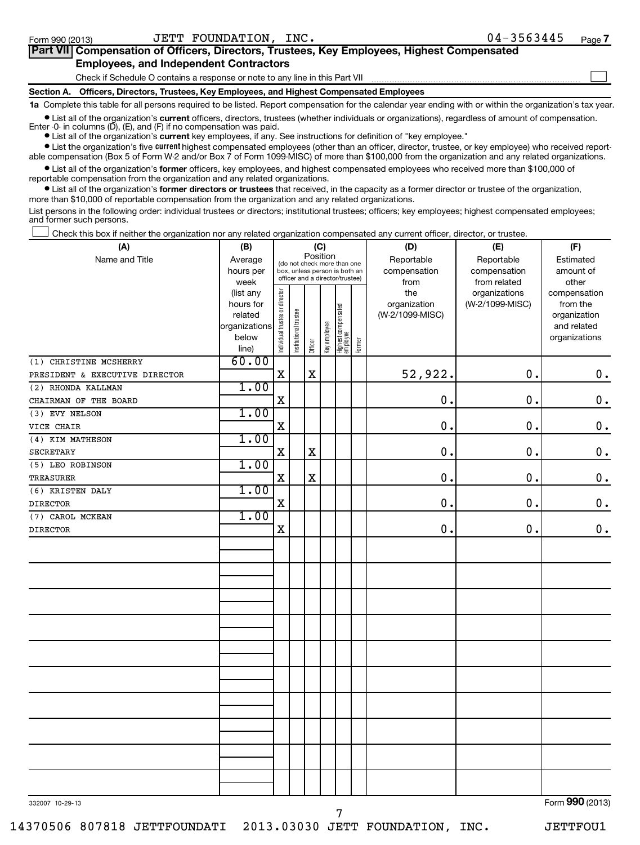| Part VII Compensation of Officers, Directors, Trustees, Key Employees, Highest Compensated                                                                 |  |
|------------------------------------------------------------------------------------------------------------------------------------------------------------|--|
| <b>Employees, and Independent Contractors</b>                                                                                                              |  |
| Check if Schedule O contains a response or note to any line in this Part VII                                                                               |  |
| Section A. Officers, Directors, Trustees, Key Employees, and Highest Compensated Employees                                                                 |  |
| 1a Complete this table for all persons required to be listed. Report compensation for the calendar year ending with or within the organization's tax year. |  |

• List all of the organization's current officers, directors, trustees (whether individuals or organizations), regardless of amount of compensation.

**•** List all of the organization's **current** key employees, if any. See instructions for definition of "key employee." Enter -0- in columns  $(D)$ ,  $(E)$ , and  $(F)$  if no compensation was paid.

**•** List the organization's five *current* highest compensated employees (other than an officer, director, trustee, or key employee) who received reportable compensation (Box 5 of Form W-2 and/or Box 7 of Form 1099-MISC) of more than \$100,000 from the organization and any related organizations.

 $\bullet$  List all of the organization's former officers, key employees, and highest compensated employees who received more than \$100,000 of reportable compensation from the organization and any related organizations.

**•** List all of the organization's former directors or trustees that received, in the capacity as a former director or trustee of the organization, more than \$10,000 of reportable compensation from the organization and any related organizations.

List persons in the following order: individual trustees or directors; institutional trustees; officers; key employees; highest compensated employees; and former such persons.

Check this box if neither the organization nor any related organization compensated any current officer, director, or trustee.  $\left\vert \cdot\right\vert$ 

| (A)                            | (B)               |                                                                  |                       | (C)         |              |                                 |              | (D)             | (E)                           | (F)                   |
|--------------------------------|-------------------|------------------------------------------------------------------|-----------------------|-------------|--------------|---------------------------------|--------------|-----------------|-------------------------------|-----------------------|
| Name and Title                 | Average           |                                                                  |                       | Position    |              | (do not check more than one     |              | Reportable      | Reportable                    | Estimated             |
|                                | hours per         | box, unless person is both an<br>officer and a director/trustee) |                       |             |              |                                 | compensation | compensation    | amount of                     |                       |
|                                | week<br>(list any |                                                                  |                       |             |              |                                 |              | from<br>the     | from related<br>organizations | other<br>compensation |
|                                | hours for         |                                                                  |                       |             |              |                                 |              | organization    | (W-2/1099-MISC)               | from the              |
|                                | related           |                                                                  |                       |             |              |                                 |              | (W-2/1099-MISC) |                               | organization          |
|                                | organizations     |                                                                  |                       |             |              |                                 |              |                 |                               | and related           |
|                                | below             | Individual trustee or director                                   | Institutional trustee | Officer     | Key employee | Highest compensated<br>employee | Former       |                 |                               | organizations         |
|                                | line)             |                                                                  |                       |             |              |                                 |              |                 |                               |                       |
| (1) CHRISTINE MCSHERRY         | 60.00             |                                                                  |                       |             |              |                                 |              |                 |                               |                       |
| PRESIDENT & EXECUTIVE DIRECTOR |                   | $\mathbf X$                                                      |                       | X           |              |                                 |              | 52,922.         | $\mathbf 0$ .                 | $\boldsymbol{0}$ .    |
| (2) RHONDA KALLMAN             | 1.00              |                                                                  |                       |             |              |                                 |              |                 |                               |                       |
| CHAIRMAN OF THE BOARD          |                   | $\mathbf X$                                                      |                       |             |              |                                 |              | 0.              | $\mathbf 0$ .                 | $\mathbf 0$ .         |
| (3) EVY NELSON                 | 1.00              |                                                                  |                       |             |              |                                 |              |                 |                               |                       |
| VICE CHAIR                     |                   | $\mathbf X$                                                      |                       |             |              |                                 |              | 0.              | $\mathbf 0$ .                 | $\mathbf 0$ .         |
| (4) KIM MATHESON               | 1.00              |                                                                  |                       |             |              |                                 |              |                 |                               |                       |
| <b>SECRETARY</b>               |                   | $\mathbf X$                                                      |                       | $\mathbf X$ |              |                                 |              | $\mathbf 0$ .   | $\mathbf 0$ .                 | $\mathbf 0$ .         |
| (5) LEO ROBINSON               | 1.00              |                                                                  |                       |             |              |                                 |              |                 |                               |                       |
| <b>TREASURER</b>               |                   | $\mathbf X$                                                      |                       | $\mathbf X$ |              |                                 |              | $\mathbf 0$ .   | $\mathbf 0$ .                 | $\mathbf 0$ .         |
| (6) KRISTEN DALY               | 1.00              |                                                                  |                       |             |              |                                 |              |                 |                               |                       |
| <b>DIRECTOR</b>                |                   | $\mathbf x$                                                      |                       |             |              |                                 |              | $\mathbf 0$ .   | $\mathbf 0$ .                 | $\mathbf 0$ .         |
| (7) CAROL MCKEAN               | 1.00              |                                                                  |                       |             |              |                                 |              |                 |                               |                       |
| <b>DIRECTOR</b>                |                   | $\mathbf x$                                                      |                       |             |              |                                 |              | $\mathbf 0$ .   | 0.                            | $\mathbf 0$ .         |
|                                |                   |                                                                  |                       |             |              |                                 |              |                 |                               |                       |
|                                |                   |                                                                  |                       |             |              |                                 |              |                 |                               |                       |
|                                |                   |                                                                  |                       |             |              |                                 |              |                 |                               |                       |
|                                |                   |                                                                  |                       |             |              |                                 |              |                 |                               |                       |
|                                |                   |                                                                  |                       |             |              |                                 |              |                 |                               |                       |
|                                |                   |                                                                  |                       |             |              |                                 |              |                 |                               |                       |
|                                |                   |                                                                  |                       |             |              |                                 |              |                 |                               |                       |
|                                |                   |                                                                  |                       |             |              |                                 |              |                 |                               |                       |
|                                |                   |                                                                  |                       |             |              |                                 |              |                 |                               |                       |
|                                |                   |                                                                  |                       |             |              |                                 |              |                 |                               |                       |
|                                |                   |                                                                  |                       |             |              |                                 |              |                 |                               |                       |
|                                |                   |                                                                  |                       |             |              |                                 |              |                 |                               |                       |
|                                |                   |                                                                  |                       |             |              |                                 |              |                 |                               |                       |
|                                |                   |                                                                  |                       |             |              |                                 |              |                 |                               |                       |
|                                |                   |                                                                  |                       |             |              |                                 |              |                 |                               |                       |
|                                |                   |                                                                  |                       |             |              |                                 |              |                 |                               |                       |
|                                |                   |                                                                  |                       |             |              |                                 |              |                 |                               |                       |
|                                |                   |                                                                  |                       |             |              |                                 |              |                 |                               |                       |
|                                |                   |                                                                  |                       |             |              |                                 |              |                 |                               |                       |
|                                |                   |                                                                  |                       |             |              |                                 |              |                 |                               |                       |
| 332007 10-29-13                |                   |                                                                  |                       |             |              |                                 |              |                 |                               | Form 990 (2013)       |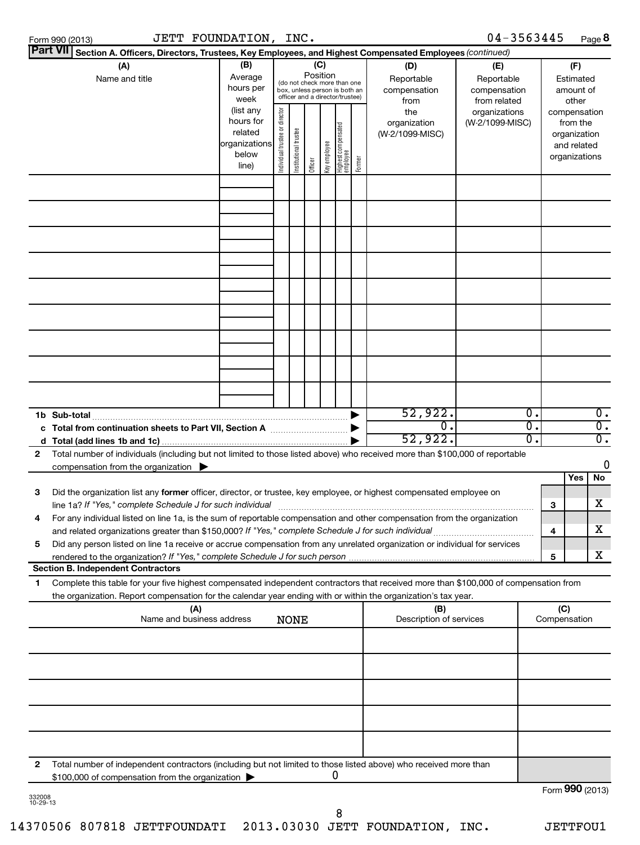|              | <b>Part VII</b> Section A. Officers, Directors, Trustees, Key Employees, and Highest Compensated Employees (continued)               |                        |                                |                       |          |              |                                                                  |                                 |                 |                  |   |                             |       |
|--------------|--------------------------------------------------------------------------------------------------------------------------------------|------------------------|--------------------------------|-----------------------|----------|--------------|------------------------------------------------------------------|---------------------------------|-----------------|------------------|---|-----------------------------|-------|
|              | (A)                                                                                                                                  | (B)                    |                                |                       |          | (C)          |                                                                  | (D)                             | (E)             |                  |   | (F)                         |       |
|              | Name and title                                                                                                                       | Average                |                                |                       | Position |              | (do not check more than one                                      | Reportable                      | Reportable      |                  |   | Estimated                   |       |
|              |                                                                                                                                      | hours per              |                                |                       |          |              | box, unless person is both an<br>officer and a director/trustee) | compensation                    | compensation    |                  |   | amount of                   |       |
|              |                                                                                                                                      | week                   |                                |                       |          |              |                                                                  | from                            | from related    |                  |   | other                       |       |
|              |                                                                                                                                      | (list any<br>hours for |                                |                       |          |              |                                                                  | the                             | organizations   |                  |   | compensation                |       |
|              |                                                                                                                                      | related                |                                |                       |          |              |                                                                  | organization<br>(W-2/1099-MISC) | (W-2/1099-MISC) |                  |   | from the                    |       |
|              |                                                                                                                                      | organizations          |                                |                       |          |              |                                                                  |                                 |                 |                  |   | organization<br>and related |       |
|              |                                                                                                                                      | below                  |                                |                       |          |              |                                                                  |                                 |                 |                  |   | organizations               |       |
|              |                                                                                                                                      | line)                  | Individual trustee or director | Institutional trustee | Officer  | ea oldua hay | Highest compensated<br>  employee<br>  Former                    |                                 |                 |                  |   |                             |       |
|              |                                                                                                                                      |                        |                                |                       |          |              |                                                                  |                                 |                 |                  |   |                             |       |
|              |                                                                                                                                      |                        |                                |                       |          |              |                                                                  |                                 |                 |                  |   |                             |       |
|              |                                                                                                                                      |                        |                                |                       |          |              |                                                                  |                                 |                 |                  |   |                             |       |
|              |                                                                                                                                      |                        |                                |                       |          |              |                                                                  |                                 |                 |                  |   |                             |       |
|              |                                                                                                                                      |                        |                                |                       |          |              |                                                                  |                                 |                 |                  |   |                             |       |
|              |                                                                                                                                      |                        |                                |                       |          |              |                                                                  |                                 |                 |                  |   |                             |       |
|              |                                                                                                                                      |                        |                                |                       |          |              |                                                                  |                                 |                 |                  |   |                             |       |
|              |                                                                                                                                      |                        |                                |                       |          |              |                                                                  |                                 |                 |                  |   |                             |       |
|              |                                                                                                                                      |                        |                                |                       |          |              |                                                                  |                                 |                 |                  |   |                             |       |
|              |                                                                                                                                      |                        |                                |                       |          |              |                                                                  |                                 |                 |                  |   |                             |       |
|              |                                                                                                                                      |                        |                                |                       |          |              |                                                                  |                                 |                 |                  |   |                             |       |
|              |                                                                                                                                      |                        |                                |                       |          |              |                                                                  |                                 |                 |                  |   |                             |       |
|              |                                                                                                                                      |                        |                                |                       |          |              |                                                                  |                                 |                 |                  |   |                             |       |
|              |                                                                                                                                      |                        |                                |                       |          |              |                                                                  |                                 |                 |                  |   |                             |       |
|              |                                                                                                                                      |                        |                                |                       |          |              |                                                                  |                                 |                 |                  |   |                             |       |
|              |                                                                                                                                      |                        |                                |                       |          |              |                                                                  |                                 |                 |                  |   |                             |       |
|              |                                                                                                                                      |                        |                                |                       |          |              |                                                                  |                                 |                 |                  |   |                             |       |
|              |                                                                                                                                      |                        |                                |                       |          |              |                                                                  |                                 |                 |                  |   |                             |       |
|              |                                                                                                                                      |                        |                                |                       |          |              |                                                                  |                                 |                 |                  |   |                             |       |
|              |                                                                                                                                      |                        |                                |                       |          |              |                                                                  | 52,922.                         |                 | $\overline{0}$ . |   |                             | $0$ . |
|              |                                                                                                                                      |                        |                                |                       |          |              |                                                                  | 0.                              |                 | $\overline{0}$ . |   |                             | σ.    |
| d            |                                                                                                                                      |                        |                                |                       |          |              |                                                                  | 52,922.                         |                 | $\overline{0}$ . |   |                             | σ.    |
| $\mathbf{2}$ | Total number of individuals (including but not limited to those listed above) who received more than \$100,000 of reportable         |                        |                                |                       |          |              |                                                                  |                                 |                 |                  |   |                             |       |
|              | compensation from the organization                                                                                                   |                        |                                |                       |          |              |                                                                  |                                 |                 |                  |   |                             | 0     |
|              |                                                                                                                                      |                        |                                |                       |          |              |                                                                  |                                 |                 |                  |   | Yes                         | No    |
| 3            | Did the organization list any former officer, director, or trustee, key employee, or highest compensated employee on                 |                        |                                |                       |          |              |                                                                  |                                 |                 |                  |   |                             |       |
|              | line 1a? If "Yes," complete Schedule J for such individual                                                                           |                        |                                |                       |          |              |                                                                  |                                 |                 |                  | 3 |                             | x     |
| 4            | For any individual listed on line 1a, is the sum of reportable compensation and other compensation from the organization             |                        |                                |                       |          |              |                                                                  |                                 |                 |                  |   |                             |       |
|              | and related organizations greater than \$150,000? If "Yes," complete Schedule J for such individual                                  |                        |                                |                       |          |              |                                                                  |                                 |                 |                  | 4 |                             | x     |
| 5            | Did any person listed on line 1a receive or accrue compensation from any unrelated organization or individual for services           |                        |                                |                       |          |              |                                                                  |                                 |                 |                  |   |                             |       |
|              | rendered to the organization? If "Yes," complete Schedule J for such person                                                          |                        |                                |                       |          |              |                                                                  |                                 |                 |                  | 5 |                             | x     |
|              | <b>Section B. Independent Contractors</b>                                                                                            |                        |                                |                       |          |              |                                                                  |                                 |                 |                  |   |                             |       |
| 1.           | Complete this table for your five highest compensated independent contractors that received more than \$100,000 of compensation from |                        |                                |                       |          |              |                                                                  |                                 |                 |                  |   |                             |       |
|              | the organization. Report compensation for the calendar year ending with or within the organization's tax year.                       |                        |                                |                       |          |              |                                                                  |                                 |                 |                  |   |                             |       |
| (B)<br>(A)   |                                                                                                                                      |                        |                                |                       |          |              |                                                                  | (C)                             |                 |                  |   |                             |       |
|              | Name and business address                                                                                                            |                        |                                | <b>NONE</b>           |          |              |                                                                  | Description of services         |                 |                  |   | Compensation                |       |
|              |                                                                                                                                      |                        |                                |                       |          |              |                                                                  |                                 |                 |                  |   |                             |       |
|              |                                                                                                                                      |                        |                                |                       |          |              |                                                                  |                                 |                 |                  |   |                             |       |
|              |                                                                                                                                      |                        |                                |                       |          |              |                                                                  |                                 |                 |                  |   |                             |       |
|              |                                                                                                                                      |                        |                                |                       |          |              |                                                                  |                                 |                 |                  |   |                             |       |
|              |                                                                                                                                      |                        |                                |                       |          |              |                                                                  |                                 |                 |                  |   |                             |       |
|              |                                                                                                                                      |                        |                                |                       |          |              |                                                                  |                                 |                 |                  |   |                             |       |
|              |                                                                                                                                      |                        |                                |                       |          |              |                                                                  |                                 |                 |                  |   |                             |       |
|              |                                                                                                                                      |                        |                                |                       |          |              |                                                                  |                                 |                 |                  |   |                             |       |
|              |                                                                                                                                      |                        |                                |                       |          |              |                                                                  |                                 |                 |                  |   |                             |       |
|              |                                                                                                                                      |                        |                                |                       |          |              |                                                                  |                                 |                 |                  |   |                             |       |
| 2            | Total number of independent contractors (including but not limited to those listed above) who received more than                     |                        |                                |                       |          |              |                                                                  |                                 |                 |                  |   |                             |       |
|              | \$100,000 of compensation from the organization                                                                                      |                        |                                |                       |          |              |                                                                  |                                 |                 |                  |   |                             |       |
|              |                                                                                                                                      |                        |                                |                       |          |              |                                                                  |                                 |                 |                  |   |                             |       |

Form 990 (2013)  $JETT$   $FOUNDATION$ ,  $INC$ .  $04-3563445$  Page

| 332008   |  |
|----------|--|
| 10-29-13 |  |

**Form 990 (2013)** 

Form (2013) **990**

04-3563445 Page 8

8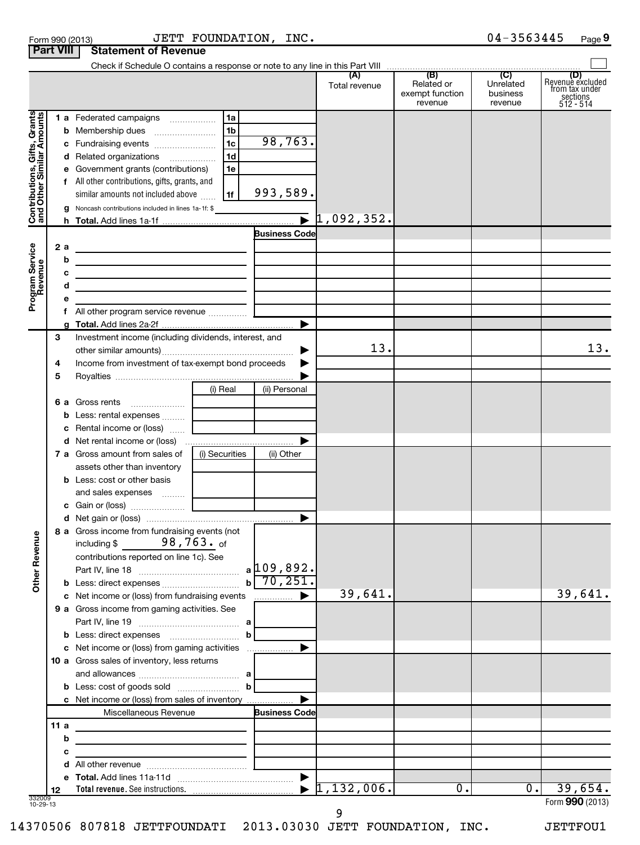|                                                           | <b>Part VIII</b> | <b>Statement of Revenue</b>                                                                                           |                |                        |                      |                                                     |                                  |                                                                      |
|-----------------------------------------------------------|------------------|-----------------------------------------------------------------------------------------------------------------------|----------------|------------------------|----------------------|-----------------------------------------------------|----------------------------------|----------------------------------------------------------------------|
|                                                           |                  | Check if Schedule O contains a response or note to any line in this Part VIII                                         |                |                        |                      | $\overline{(\mathsf{B})}$ $\overline{(\mathsf{C})}$ |                                  |                                                                      |
|                                                           |                  |                                                                                                                       |                |                        | (A)<br>Total revenue | Related or<br>exempt function<br>revenue            | Unrelated<br>business<br>revenue | (D)<br>Revenue excluded<br>from tax under<br>sections<br>$512 - 514$ |
|                                                           |                  | 1 a Federated campaigns                                                                                               | 1a             |                        |                      |                                                     |                                  |                                                                      |
| Contributions, Gifts, Grants<br>and Other Similar Amounts | b                | Membership dues                                                                                                       | 1 <sub>b</sub> |                        |                      |                                                     |                                  |                                                                      |
|                                                           |                  | c Fundraising events                                                                                                  | 1 <sub>c</sub> | 98,763.                |                      |                                                     |                                  |                                                                      |
|                                                           |                  | d Related organizations                                                                                               | 1d             |                        |                      |                                                     |                                  |                                                                      |
|                                                           | е                | Government grants (contributions)                                                                                     | 1e             |                        |                      |                                                     |                                  |                                                                      |
|                                                           |                  | f All other contributions, gifts, grants, and                                                                         |                |                        |                      |                                                     |                                  |                                                                      |
|                                                           |                  | similar amounts not included above                                                                                    | l 1f           | 993,589.               |                      |                                                     |                                  |                                                                      |
|                                                           | a                | Noncash contributions included in lines 1a-1f: \$                                                                     |                |                        |                      |                                                     |                                  |                                                                      |
|                                                           | h.               |                                                                                                                       |                |                        |                      |                                                     |                                  |                                                                      |
|                                                           |                  |                                                                                                                       |                | <b>Business Code</b>   |                      |                                                     |                                  |                                                                      |
|                                                           | 2a               | <u> 1989 - Johann Stein, mars an t-Amerikaansk kommunister (</u>                                                      |                |                        |                      |                                                     |                                  |                                                                      |
| Program Service<br>Revenue                                | b                | <u> 1989 - Johann Barbara, martin amerikan basar dan berasal dalam basar dalam basar dalam basar dalam basar dala</u> |                |                        |                      |                                                     |                                  |                                                                      |
|                                                           | с                | <u> 1989 - Johann Barbara, martxa alemaniar arg</u>                                                                   |                |                        |                      |                                                     |                                  |                                                                      |
|                                                           | d                | <u> 1989 - Johann Barbara, martin amerikan basal dan berasal dalam basal dalam basal dalam basal dalam basal dala</u> |                |                        |                      |                                                     |                                  |                                                                      |
|                                                           | е                |                                                                                                                       |                |                        |                      |                                                     |                                  |                                                                      |
|                                                           |                  |                                                                                                                       |                |                        |                      |                                                     |                                  |                                                                      |
|                                                           | 3                | Investment income (including dividends, interest, and                                                                 |                |                        |                      |                                                     |                                  |                                                                      |
|                                                           |                  |                                                                                                                       |                |                        | 13.                  |                                                     |                                  | 13.                                                                  |
|                                                           | 4                | Income from investment of tax-exempt bond proceeds                                                                    |                |                        |                      |                                                     |                                  |                                                                      |
|                                                           | 5                |                                                                                                                       |                |                        |                      |                                                     |                                  |                                                                      |
|                                                           |                  |                                                                                                                       | (i) Real       | (ii) Personal          |                      |                                                     |                                  |                                                                      |
|                                                           |                  | 6 a Gross rents                                                                                                       |                |                        |                      |                                                     |                                  |                                                                      |
|                                                           | b                |                                                                                                                       |                |                        |                      |                                                     |                                  |                                                                      |
|                                                           | с                |                                                                                                                       |                |                        |                      |                                                     |                                  |                                                                      |
|                                                           |                  |                                                                                                                       |                |                        |                      |                                                     |                                  |                                                                      |
|                                                           |                  | <b>7 a</b> Gross amount from sales of                                                                                 | (i) Securities | (ii) Other             |                      |                                                     |                                  |                                                                      |
|                                                           |                  | assets other than inventory                                                                                           |                |                        |                      |                                                     |                                  |                                                                      |
|                                                           |                  | <b>b</b> Less: cost or other basis                                                                                    |                |                        |                      |                                                     |                                  |                                                                      |
|                                                           |                  | and sales expenses  [ ___________                                                                                     |                |                        |                      |                                                     |                                  |                                                                      |
|                                                           |                  |                                                                                                                       |                |                        |                      |                                                     |                                  |                                                                      |
|                                                           |                  | 8 a Gross income from fundraising events (not                                                                         |                |                        |                      |                                                     |                                  |                                                                      |
| <b>Other Revenue</b>                                      |                  | 98,763. <sub>of</sub><br>including \$<br>contributions reported on line 1c). See                                      |                | $a$ 109,892.           |                      |                                                     |                                  |                                                                      |
|                                                           |                  | <b>b</b> Less: direct expenses                                                                                        |                | $b \overline{70, 251}$ |                      |                                                     |                                  |                                                                      |
|                                                           |                  | c Net income or (loss) from fundraising events                                                                        |                |                        | 39,641.              |                                                     |                                  | 39,641.                                                              |
|                                                           |                  | 9 a Gross income from gaming activities. See                                                                          |                |                        |                      |                                                     |                                  |                                                                      |
|                                                           |                  |                                                                                                                       |                |                        |                      |                                                     |                                  |                                                                      |
|                                                           |                  |                                                                                                                       | $\mathbf{b}$   |                        |                      |                                                     |                                  |                                                                      |
|                                                           |                  |                                                                                                                       |                |                        |                      |                                                     |                                  |                                                                      |
|                                                           |                  | 10 a Gross sales of inventory, less returns                                                                           |                |                        |                      |                                                     |                                  |                                                                      |
|                                                           |                  |                                                                                                                       |                |                        |                      |                                                     |                                  |                                                                      |
|                                                           |                  | c Net income or (loss) from sales of inventory                                                                        |                |                        |                      |                                                     |                                  |                                                                      |
|                                                           |                  | Miscellaneous Revenue                                                                                                 |                | <b>Business Code</b>   |                      |                                                     |                                  |                                                                      |
|                                                           | 11a              |                                                                                                                       |                |                        |                      |                                                     |                                  |                                                                      |
|                                                           | b                |                                                                                                                       |                |                        |                      |                                                     |                                  |                                                                      |
|                                                           | с                | <u> 1989 - Johann Barbara, martin amerikan personal (</u>                                                             |                |                        |                      |                                                     |                                  |                                                                      |
|                                                           |                  |                                                                                                                       |                |                        |                      |                                                     |                                  |                                                                      |
|                                                           |                  |                                                                                                                       |                |                        |                      |                                                     |                                  |                                                                      |
|                                                           | 12               |                                                                                                                       |                |                        | 1,132,006.           | 0.                                                  | 0.1                              | 39,654.                                                              |
| 332009<br>10-29-13                                        |                  |                                                                                                                       |                |                        |                      |                                                     |                                  | Form 990 (2013)                                                      |

9

14370506 807818 JETTFOUNDATI 2013.03030 JETT FOUNDATION, INC. JETTFOU1

Form 990 (2013) JETT FOUNDATION, INC . 0 4-3 5 6 3 4 4 5 Page JETT FOUNDATION, INC. 04-3563445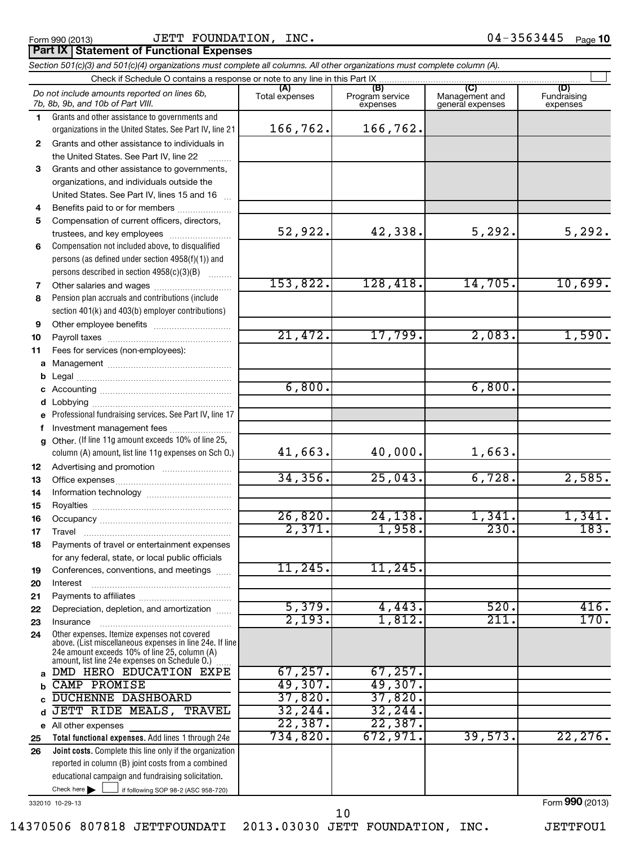## Form 990 (2013) Page JETT FOUNDATION, INC. 04-3563445

## **Part IX Statement of Functional Expenses**

|    | Section 501(c)(3) and 501(c)(4) organizations must complete all columns. All other organizations must complete column (A).                                                                                  |                       |                                    |                                           |                                |
|----|-------------------------------------------------------------------------------------------------------------------------------------------------------------------------------------------------------------|-----------------------|------------------------------------|-------------------------------------------|--------------------------------|
|    | Check if Schedule O contains a response or note to any line in this Part IX.                                                                                                                                |                       |                                    |                                           |                                |
|    | Do not include amounts reported on lines 6b,<br>7b, 8b, 9b, and 10b of Part VIII.                                                                                                                           | (A)<br>Total expenses | (B)<br>Program service<br>expenses | (C)<br>Management and<br>general expenses | (D)<br>Fundraising<br>expenses |
| 1. | Grants and other assistance to governments and                                                                                                                                                              |                       |                                    |                                           |                                |
|    | organizations in the United States. See Part IV, line 21                                                                                                                                                    | 166,762.              | 166,762.                           |                                           |                                |
| 2  | Grants and other assistance to individuals in                                                                                                                                                               |                       |                                    |                                           |                                |
|    | the United States. See Part IV, line 22                                                                                                                                                                     |                       |                                    |                                           |                                |
| 3  | Grants and other assistance to governments,                                                                                                                                                                 |                       |                                    |                                           |                                |
|    | organizations, and individuals outside the                                                                                                                                                                  |                       |                                    |                                           |                                |
|    | United States. See Part IV, lines 15 and 16                                                                                                                                                                 |                       |                                    |                                           |                                |
| 4  | Benefits paid to or for members                                                                                                                                                                             |                       |                                    |                                           |                                |
| 5  | Compensation of current officers, directors,                                                                                                                                                                |                       |                                    |                                           |                                |
|    | trustees, and key employees                                                                                                                                                                                 | 52,922.               | 42,338.                            | 5, 292.                                   | 5,292.                         |
| 6  | Compensation not included above, to disqualified                                                                                                                                                            |                       |                                    |                                           |                                |
|    | persons (as defined under section 4958(f)(1)) and                                                                                                                                                           |                       |                                    |                                           |                                |
|    | persons described in section 4958(c)(3)(B)                                                                                                                                                                  |                       |                                    |                                           |                                |
| 7  | Other salaries and wages                                                                                                                                                                                    | 153,822.              | 128,418.                           | 14,705.                                   | 10,699.                        |
| 8  | Pension plan accruals and contributions (include                                                                                                                                                            |                       |                                    |                                           |                                |
|    | section 401(k) and 403(b) employer contributions)                                                                                                                                                           |                       |                                    |                                           |                                |
| 9  |                                                                                                                                                                                                             | 21,472.               |                                    | 2,083.                                    |                                |
| 10 |                                                                                                                                                                                                             |                       | 17,799.                            |                                           | 1,590.                         |
| 11 | Fees for services (non-employees):                                                                                                                                                                          |                       |                                    |                                           |                                |
|    |                                                                                                                                                                                                             |                       |                                    |                                           |                                |
|    |                                                                                                                                                                                                             | 6,800.                |                                    | 6,800.                                    |                                |
|    |                                                                                                                                                                                                             |                       |                                    |                                           |                                |
|    |                                                                                                                                                                                                             |                       |                                    |                                           |                                |
|    | e Professional fundraising services. See Part IV, line 17                                                                                                                                                   |                       |                                    |                                           |                                |
| f  | Investment management fees<br>g Other. (If line 11g amount exceeds 10% of line 25,                                                                                                                          |                       |                                    |                                           |                                |
|    | column (A) amount, list line 11g expenses on Sch O.)                                                                                                                                                        | 41,663.               | 40,000.                            | 1,663.                                    |                                |
| 12 |                                                                                                                                                                                                             |                       |                                    |                                           |                                |
| 13 |                                                                                                                                                                                                             | 34, 356.              | 25,043.                            | 6,728.                                    | 2,585.                         |
| 14 |                                                                                                                                                                                                             |                       |                                    |                                           |                                |
| 15 |                                                                                                                                                                                                             |                       |                                    |                                           |                                |
| 16 |                                                                                                                                                                                                             | 26,820.               | 24, 138.                           | 1,341.                                    | 1,341.                         |
| 17 |                                                                                                                                                                                                             | 2,371.                | 1,958.                             | 230.                                      | 183.                           |
| 18 | Payments of travel or entertainment expenses                                                                                                                                                                |                       |                                    |                                           |                                |
|    | for any federal, state, or local public officials                                                                                                                                                           |                       |                                    |                                           |                                |
| 19 | Conferences, conventions, and meetings                                                                                                                                                                      | 11,245.               | 11,245.                            |                                           |                                |
| 20 | Interest                                                                                                                                                                                                    |                       |                                    |                                           |                                |
| 21 |                                                                                                                                                                                                             |                       |                                    |                                           |                                |
| 22 | Depreciation, depletion, and amortization                                                                                                                                                                   | 5,379.                | 4,443.                             | 520.                                      | 416.                           |
| 23 | Insurance                                                                                                                                                                                                   | 2,193.                | 1,812.                             | $\overline{211}$ .                        | 170.                           |
| 24 | Other expenses. Itemize expenses not covered<br>above. (List miscellaneous expenses in line 24e. If line<br>24e amount exceeds 10% of line 25, column (A)<br>amount, list line 24e expenses on Schedule O.) |                       |                                    |                                           |                                |
|    | DMD HERO EDUCATION EXPE                                                                                                                                                                                     | 67, 257.              | 67, 257.                           |                                           |                                |
|    | CAMP PROMISE                                                                                                                                                                                                | 49,307.               | 49,307.                            |                                           |                                |
|    | DUCHENNE DASHBOARD                                                                                                                                                                                          | 37,820.               | 37,820.                            |                                           |                                |
| d  | JETT RIDE MEALS,<br>TRAVEL                                                                                                                                                                                  | 32, 244.              | 32,244.                            |                                           |                                |
|    | e All other expenses                                                                                                                                                                                        | 22,387.               | 22,387.                            |                                           |                                |
| 25 | Total functional expenses. Add lines 1 through 24e                                                                                                                                                          | 734,820.              | 672,971.                           | 39,573.                                   | 22, 276.                       |
| 26 | Joint costs. Complete this line only if the organization                                                                                                                                                    |                       |                                    |                                           |                                |
|    | reported in column (B) joint costs from a combined                                                                                                                                                          |                       |                                    |                                           |                                |
|    | educational campaign and fundraising solicitation.                                                                                                                                                          |                       |                                    |                                           |                                |
|    | Check here $\blacktriangleright$<br>if following SOP 98-2 (ASC 958-720)                                                                                                                                     |                       |                                    |                                           |                                |

332010 10-29-13

Form **990** (2013)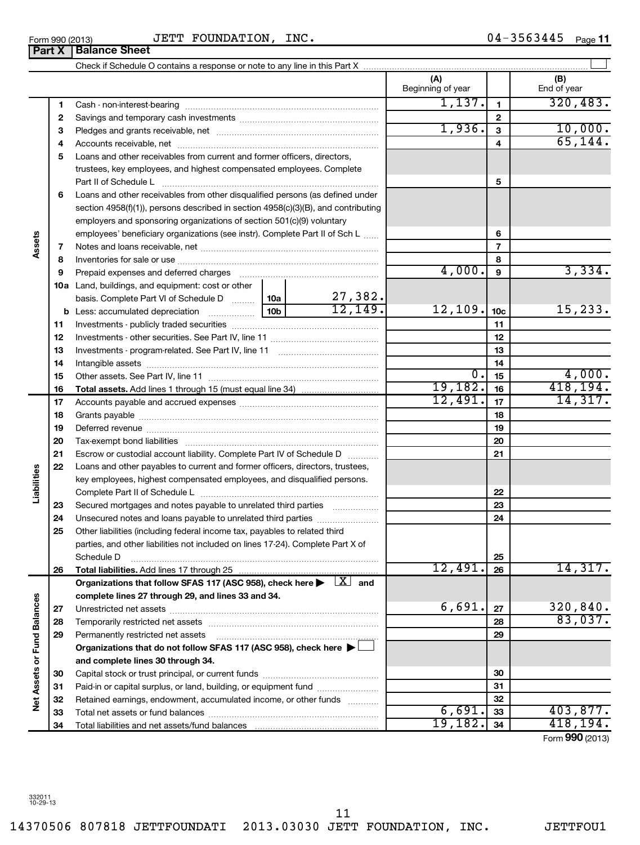**Net Assets or Fund Balances**

Net Assets or Fund Balances

14370506 807818 JETTFOUNDATI 2013.03030 JETT FOUNDATION, INC. JETTFOU1 11

## Form 990 (2013) Page JETT FOUNDATION, INC. 04-3563445

Check if Schedule O contains a response or note to any line in this Part X

|     |                                                                                                                                                                                   |            | (A)<br>Beginning of year |                 | (B)<br>End of year |
|-----|-----------------------------------------------------------------------------------------------------------------------------------------------------------------------------------|------------|--------------------------|-----------------|--------------------|
| 1   | Cash - non-interest-bearing                                                                                                                                                       |            | 1,137.                   | $\mathbf{1}$    | 320, 483.          |
| 2   |                                                                                                                                                                                   |            |                          | $\mathbf{2}$    |                    |
| з   |                                                                                                                                                                                   |            | 1,936.                   | 3               | 10,000.            |
| 4   |                                                                                                                                                                                   |            |                          | 4               | 65, 144.           |
| 5   | Loans and other receivables from current and former officers, directors,                                                                                                          |            |                          |                 |                    |
|     | trustees, key employees, and highest compensated employees. Complete                                                                                                              |            |                          |                 |                    |
|     | Part II of Schedule L                                                                                                                                                             |            |                          | 5               |                    |
| 6   | Loans and other receivables from other disqualified persons (as defined under                                                                                                     |            |                          |                 |                    |
|     | section 4958(f)(1)), persons described in section 4958(c)(3)(B), and contributing                                                                                                 |            |                          |                 |                    |
|     | employers and sponsoring organizations of section 501(c)(9) voluntary                                                                                                             |            |                          |                 |                    |
|     | employees' beneficiary organizations (see instr). Complete Part II of Sch L                                                                                                       |            |                          | 6               |                    |
| 7   |                                                                                                                                                                                   |            |                          | $\overline{7}$  |                    |
| 8   |                                                                                                                                                                                   |            |                          | 8               |                    |
| 9   |                                                                                                                                                                                   |            | 4,000.                   | 9               | 3,334.             |
| 10a | Land, buildings, and equipment: cost or other                                                                                                                                     |            |                          |                 |                    |
|     | basis. Complete Part VI of Schedule D $\begin{array}{ c c c c c }\n\hline\n10a & 27,382. \\ \hline\n\text{Less: accumulated depreciation} & 10b & 12,149. \\ \hline\n\end{array}$ |            |                          |                 |                    |
|     |                                                                                                                                                                                   |            | 12, 109.                 | 10 <sub>c</sub> | 15, 233.           |
| 11  |                                                                                                                                                                                   |            |                          | 11              |                    |
| 12  |                                                                                                                                                                                   |            |                          | 12              |                    |
| 13  |                                                                                                                                                                                   |            |                          | 13              |                    |
| 14  |                                                                                                                                                                                   |            |                          | 14              |                    |
| 15  |                                                                                                                                                                                   |            | 0.                       | 15              | 4,000.             |
| 16  |                                                                                                                                                                                   |            | 19, 182.                 | 16              | 418, 194.          |
| 17  |                                                                                                                                                                                   |            | 12,491.                  | 17              | 14,317.            |
| 18  |                                                                                                                                                                                   |            |                          | 18              |                    |
| 19  |                                                                                                                                                                                   |            |                          | 19              |                    |
| 20  |                                                                                                                                                                                   |            |                          | 20              |                    |
| 21  | Escrow or custodial account liability. Complete Part IV of Schedule D                                                                                                             |            |                          | 21              |                    |
| 22  | Loans and other payables to current and former officers, directors, trustees,                                                                                                     |            |                          |                 |                    |
|     | key employees, highest compensated employees, and disqualified persons.                                                                                                           |            |                          | 22              |                    |
| 23  | Secured mortgages and notes payable to unrelated third parties                                                                                                                    |            |                          | 23              |                    |
| 24  | Unsecured notes and loans payable to unrelated third parties                                                                                                                      |            |                          | 24              |                    |
| 25  | Other liabilities (including federal income tax, payables to related third                                                                                                        |            |                          |                 |                    |
|     | parties, and other liabilities not included on lines 17-24). Complete Part X of                                                                                                   |            |                          |                 |                    |
|     | Schedule D                                                                                                                                                                        |            |                          | 25              |                    |
| 26  | Total liabilities. Add lines 17 through 25                                                                                                                                        | . <u>.</u> | 12,491.                  | 26              | 14,317.            |
|     | Organizations that follow SFAS 117 (ASC 958), check here $\blacktriangleright \Box X$ and                                                                                         |            |                          |                 |                    |
|     | complete lines 27 through 29, and lines 33 and 34.                                                                                                                                |            |                          |                 |                    |
| 27  |                                                                                                                                                                                   |            | 6,691.                   | 27              | 320,840.           |
| 28  |                                                                                                                                                                                   |            |                          | 28              | 83,037.            |
| 29  | Permanently restricted net assets                                                                                                                                                 |            |                          | 29              |                    |
|     | Organizations that do not follow SFAS 117 (ASC 958), check here ▶                                                                                                                 |            |                          |                 |                    |
|     | and complete lines 30 through 34.                                                                                                                                                 |            |                          |                 |                    |
| 30  |                                                                                                                                                                                   |            |                          | 30              |                    |
| 31  | Paid-in or capital surplus, or land, building, or equipment fund                                                                                                                  |            |                          | 31              |                    |
| 32  | Retained earnings, endowment, accumulated income, or other funds                                                                                                                  |            |                          | 32              |                    |
| 33  |                                                                                                                                                                                   |            | 6,691.                   | 33              | 403,877.           |
| 34  |                                                                                                                                                                                   |            | 19,182.                  | 34              | 418,194.           |

 $\left| \begin{array}{c} \end{array} \right|$ 

Form (2013) **990**

| Form 990 (2013) |                               |  |
|-----------------|-------------------------------|--|
|                 | <b>Part X   Balance Sheet</b> |  |

**Assets**

**Liabilities**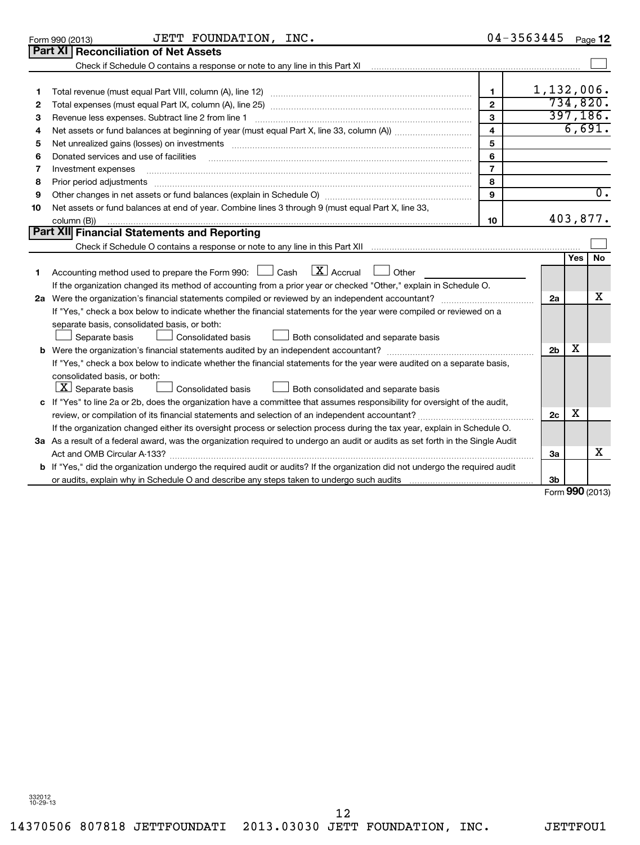14370506 807818 JETTFOUNDATI 2013.03030 JETT FOUNDATION, INC. JETTFOU1 12

| 8  | Prior period adjustments                                                                                                                  | 8  |                |            |
|----|-------------------------------------------------------------------------------------------------------------------------------------------|----|----------------|------------|
| 9  |                                                                                                                                           | 9  |                |            |
| 10 | Net assets or fund balances at end of year. Combine lines 3 through 9 (must equal Part X, line 33,                                        |    |                |            |
|    | column (B))                                                                                                                               | 10 |                | 403,8      |
|    | Part XII Financial Statements and Reporting                                                                                               |    |                |            |
|    |                                                                                                                                           |    |                |            |
|    | Accounting method used to prepare the Form 990: $\Box$ Cash $\Box X$ Accrual $\Box$<br>Other                                              |    |                | <b>Yes</b> |
|    | If the organization changed its method of accounting from a prior year or checked "Other," explain in Schedule O.                         |    |                |            |
| 2a |                                                                                                                                           |    | 2a             |            |
|    | If "Yes," check a box below to indicate whether the financial statements for the year were compiled or reviewed on a                      |    |                |            |
|    | separate basis, consolidated basis, or both:<br>Consolidated basis<br>Both consolidated and separate basis<br>Separate basis              |    |                |            |
|    | <b>b</b> Were the organization's financial statements audited by an independent accountant?                                               |    | 2 <sub>b</sub> | x          |
|    | If "Yes," check a box below to indicate whether the financial statements for the year were audited on a separate basis,                   |    |                |            |
|    | consolidated basis, or both:<br>$\lfloor \texttt{X} \rfloor$ Separate basis<br>Consolidated basis<br>Both consolidated and separate basis |    |                |            |
|    | c If "Yes" to line 2a or 2b, does the organization have a committee that assumes responsibility for oversight of the audit,               |    |                |            |
|    |                                                                                                                                           |    | 2c             | x          |
|    | If the organization changed either its oversight process or selection process during the tax year, explain in Schedule O.                 |    |                |            |
|    | 3a As a result of a federal award, was the organization required to undergo an audit or audits as set forth in the Single Audit           |    |                |            |
|    | Act and OMB Circular A-133?                                                                                                               |    | За             |            |
|    | b If "Yes," did the organization undergo the required audit or audits? If the organization did not undergo the required audit             |    |                |            |
|    | or audits, explain why in Schedule O and describe any steps taken to undergo such audits                                                  |    | 3b             |            |

~~~~~~~~~~~~~~~~~~~~~~~~~~~~~~~~~~

Form **990** (2013)

X

**Yes No**

X

 $\sim$ 

403,877.

 $\overline{0}$  .

 $\sim$ 

1,132,006. 734,820. 397,186. 6,691.

| $04 - 3563445$ Page 12 |  |
|------------------------|--|
|------------------------|--|

|                 | <b>Part XI Reconciliation of Net Assets</b> |           |  |
|-----------------|---------------------------------------------|-----------|--|
| Form 990 (2013) |                                             | JETT FOUN |  |

Donated services and use of facilities

| Form 990 (2013) | INC.<br>FOUNDATION<br>JETT | 3563445<br>04-<br>Page |
|-----------------|----------------------------|------------------------|
|-----------------|----------------------------|------------------------|

Total revenue (must equal Part VIII, column (A), line 12) ~~~~~~~~~~~~~~~~~~~~~~~~~~ Total expenses (must equal Part IX, column (A), line 25) ~~~~~~~~~~~~~~~~~~~~~~~~~~ Revenue less expenses. Subtract line 2 from line 1 [2000] [2000] [2000] [2000] [2000] [2000] [2000] [2000] [20 Net assets or fund balances at beginning of year (must equal Part X, line 33, column (A)) metalling manum was Net unrealized gains (losses) on investments ~~~~~~~~~~~~~~~~~~~~~~~~~~~~~~~

Investment expenses ~~~~~~~~~~~~~~~~~~~~~~~~~~~~~~~~~~~~~~~~~~

Check if Schedule O contains a response or note to any line in this Part XI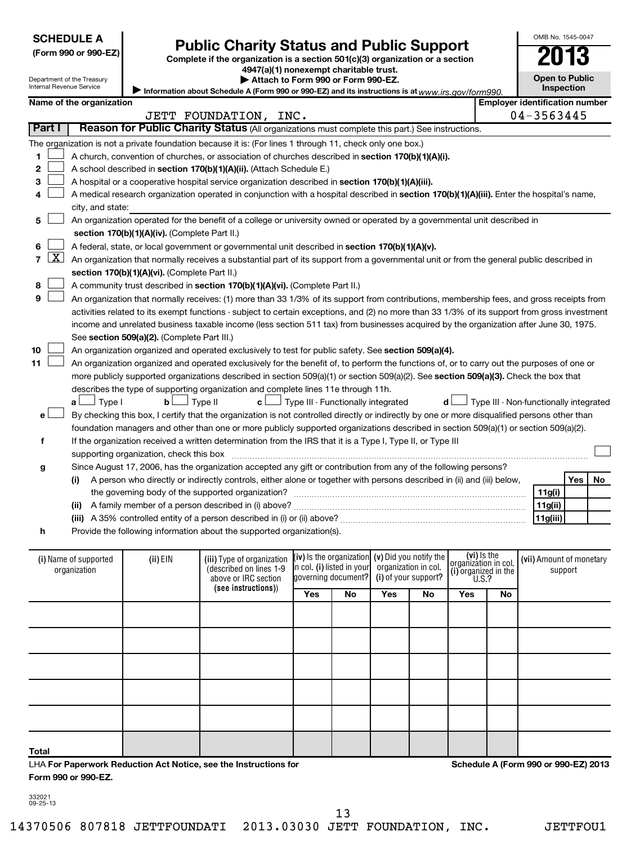# Form 990 or 990-EZ)<br>
Complete if the organization is a section 501(c)(3) organization or a section<br> **Public Charity Status and Public Support**

**4947(a)(1) nonexempt charitable trust. | Attach to Form 990 or Form 990-EZ.** 

**Open to Public**

OMB No. 1545-0047

|                |                                                                   | <b>Open to Public</b><br>Department of the Treasury<br>Attach to Form 990 or Form 990-EZ.<br>Internal Revenue Service<br>Information about Schedule A (Form 990 or 990-EZ) and its instructions is at www.irs.gov/form990. |                                               |                                                                                                                                               |     |                                                        |     |                                                |                                     |    | Inspection |                                        |    |
|----------------|-------------------------------------------------------------------|----------------------------------------------------------------------------------------------------------------------------------------------------------------------------------------------------------------------------|-----------------------------------------------|-----------------------------------------------------------------------------------------------------------------------------------------------|-----|--------------------------------------------------------|-----|------------------------------------------------|-------------------------------------|----|------------|----------------------------------------|----|
|                | <b>Employer identification number</b><br>Name of the organization |                                                                                                                                                                                                                            |                                               |                                                                                                                                               |     |                                                        |     |                                                |                                     |    |            |                                        |    |
|                |                                                                   |                                                                                                                                                                                                                            |                                               | JETT FOUNDATION, INC.                                                                                                                         |     |                                                        |     |                                                |                                     |    |            | 04-3563445                             |    |
| Part I         |                                                                   |                                                                                                                                                                                                                            |                                               | Reason for Public Charity Status (All organizations must complete this part.) See instructions.                                               |     |                                                        |     |                                                |                                     |    |            |                                        |    |
|                |                                                                   |                                                                                                                                                                                                                            |                                               | The organization is not a private foundation because it is: (For lines 1 through 11, check only one box.)                                     |     |                                                        |     |                                                |                                     |    |            |                                        |    |
| 1              |                                                                   |                                                                                                                                                                                                                            |                                               |                                                                                                                                               |     |                                                        |     |                                                |                                     |    |            |                                        |    |
| 2              |                                                                   | A church, convention of churches, or association of churches described in section 170(b)(1)(A)(i).<br>A school described in section 170(b)(1)(A)(ii). (Attach Schedule E.)                                                 |                                               |                                                                                                                                               |     |                                                        |     |                                                |                                     |    |            |                                        |    |
| 3              |                                                                   | A hospital or a cooperative hospital service organization described in section 170(b)(1)(A)(iii).                                                                                                                          |                                               |                                                                                                                                               |     |                                                        |     |                                                |                                     |    |            |                                        |    |
| 4              |                                                                   |                                                                                                                                                                                                                            |                                               | A medical research organization operated in conjunction with a hospital described in section 170(b)(1)(A)(iii). Enter the hospital's name,    |     |                                                        |     |                                                |                                     |    |            |                                        |    |
|                |                                                                   | city, and state:                                                                                                                                                                                                           |                                               |                                                                                                                                               |     |                                                        |     |                                                |                                     |    |            |                                        |    |
| 5              |                                                                   |                                                                                                                                                                                                                            |                                               | An organization operated for the benefit of a college or university owned or operated by a governmental unit described in                     |     |                                                        |     |                                                |                                     |    |            |                                        |    |
|                |                                                                   |                                                                                                                                                                                                                            | section 170(b)(1)(A)(iv). (Complete Part II.) |                                                                                                                                               |     |                                                        |     |                                                |                                     |    |            |                                        |    |
| 6              |                                                                   |                                                                                                                                                                                                                            |                                               | A federal, state, or local government or governmental unit described in section 170(b)(1)(A)(v).                                              |     |                                                        |     |                                                |                                     |    |            |                                        |    |
| $\overline{7}$ | <u>x  </u>                                                        |                                                                                                                                                                                                                            |                                               | An organization that normally receives a substantial part of its support from a governmental unit or from the general public described in     |     |                                                        |     |                                                |                                     |    |            |                                        |    |
|                |                                                                   |                                                                                                                                                                                                                            | section 170(b)(1)(A)(vi). (Complete Part II.) |                                                                                                                                               |     |                                                        |     |                                                |                                     |    |            |                                        |    |
| 8              |                                                                   |                                                                                                                                                                                                                            |                                               | A community trust described in section 170(b)(1)(A)(vi). (Complete Part II.)                                                                  |     |                                                        |     |                                                |                                     |    |            |                                        |    |
| 9              |                                                                   |                                                                                                                                                                                                                            |                                               | An organization that normally receives: (1) more than 33 1/3% of its support from contributions, membership fees, and gross receipts from     |     |                                                        |     |                                                |                                     |    |            |                                        |    |
|                |                                                                   |                                                                                                                                                                                                                            |                                               | activities related to its exempt functions - subject to certain exceptions, and (2) no more than 33 1/3% of its support from gross investment |     |                                                        |     |                                                |                                     |    |            |                                        |    |
|                |                                                                   |                                                                                                                                                                                                                            |                                               | income and unrelated business taxable income (less section 511 tax) from businesses acquired by the organization after June 30, 1975.         |     |                                                        |     |                                                |                                     |    |            |                                        |    |
|                |                                                                   |                                                                                                                                                                                                                            | See section 509(a)(2). (Complete Part III.)   |                                                                                                                                               |     |                                                        |     |                                                |                                     |    |            |                                        |    |
| 10             |                                                                   |                                                                                                                                                                                                                            |                                               | An organization organized and operated exclusively to test for public safety. See section 509(a)(4).                                          |     |                                                        |     |                                                |                                     |    |            |                                        |    |
| 11             |                                                                   |                                                                                                                                                                                                                            |                                               | An organization organized and operated exclusively for the benefit of, to perform the functions of, or to carry out the purposes of one or    |     |                                                        |     |                                                |                                     |    |            |                                        |    |
|                |                                                                   |                                                                                                                                                                                                                            |                                               | more publicly supported organizations described in section 509(a)(1) or section 509(a)(2). See section 509(a)(3). Check the box that          |     |                                                        |     |                                                |                                     |    |            |                                        |    |
|                |                                                                   |                                                                                                                                                                                                                            |                                               | describes the type of supporting organization and complete lines 11e through 11h.                                                             |     |                                                        |     |                                                |                                     |    |            |                                        |    |
|                |                                                                   | $\Box$ Type I<br>a L                                                                                                                                                                                                       | bl                                            | Type II<br>c l                                                                                                                                |     | J Type III - Functionally integrated                   |     |                                                | d l                                 |    |            | Type III - Non-functionally integrated |    |
| e l            |                                                                   |                                                                                                                                                                                                                            |                                               | By checking this box, I certify that the organization is not controlled directly or indirectly by one or more disqualified persons other than |     |                                                        |     |                                                |                                     |    |            |                                        |    |
|                |                                                                   |                                                                                                                                                                                                                            |                                               | foundation managers and other than one or more publicly supported organizations described in section 509(a)(1) or section 509(a)(2).          |     |                                                        |     |                                                |                                     |    |            |                                        |    |
| f              |                                                                   |                                                                                                                                                                                                                            |                                               | If the organization received a written determination from the IRS that it is a Type I, Type II, or Type III                                   |     |                                                        |     |                                                |                                     |    |            |                                        |    |
|                |                                                                   |                                                                                                                                                                                                                            | supporting organization, check this box       |                                                                                                                                               |     |                                                        |     |                                                |                                     |    |            |                                        |    |
| g              |                                                                   |                                                                                                                                                                                                                            |                                               | Since August 17, 2006, has the organization accepted any gift or contribution from any of the following persons?                              |     |                                                        |     |                                                |                                     |    |            |                                        |    |
|                |                                                                   |                                                                                                                                                                                                                            |                                               | (i) A person who directly or indirectly controls, either alone or together with persons described in (ii) and (iii) below,                    |     |                                                        |     |                                                |                                     |    |            | Yes                                    | No |
|                |                                                                   |                                                                                                                                                                                                                            |                                               |                                                                                                                                               |     |                                                        |     |                                                |                                     |    |            | 11g(i)                                 |    |
|                |                                                                   |                                                                                                                                                                                                                            |                                               |                                                                                                                                               |     |                                                        |     |                                                |                                     |    |            | 11g(ii)                                |    |
|                |                                                                   |                                                                                                                                                                                                                            |                                               |                                                                                                                                               |     |                                                        |     |                                                |                                     |    |            | 11g(iii)                               |    |
| h              |                                                                   |                                                                                                                                                                                                                            |                                               | Provide the following information about the supported organization(s).                                                                        |     |                                                        |     |                                                |                                     |    |            |                                        |    |
|                |                                                                   |                                                                                                                                                                                                                            |                                               |                                                                                                                                               |     |                                                        |     |                                                |                                     |    |            |                                        |    |
|                |                                                                   | (i) Name of supported                                                                                                                                                                                                      | (ii) EIN                                      | (iii) Type of organization                                                                                                                    |     | (iv) is the organization<br>in col. (i) listed in your |     | (v) Did you notify the<br>organization in col. | (vi) is the<br>organizátion in col. |    |            | (vii) Amount of monetary               |    |
|                |                                                                   | organization                                                                                                                                                                                                               |                                               | (described on lines 1-9<br>above or IRC section                                                                                               |     | governing document?                                    |     | (i) of your support?                           | (i) organized in the<br>U.S.?       |    |            | support                                |    |
|                |                                                                   |                                                                                                                                                                                                                            |                                               | (see instructions))                                                                                                                           | Yes | No                                                     | Yes | No                                             | Yes                                 | No |            |                                        |    |
|                |                                                                   |                                                                                                                                                                                                                            |                                               |                                                                                                                                               |     |                                                        |     |                                                |                                     |    |            |                                        |    |

**Total**

LHA **For Paperwork Reduction Act Notice, see the Instructions for Form 990 or 990-EZ.**

**Schedule A (Form 990 or 990-EZ) 2013**

332021 09-25-13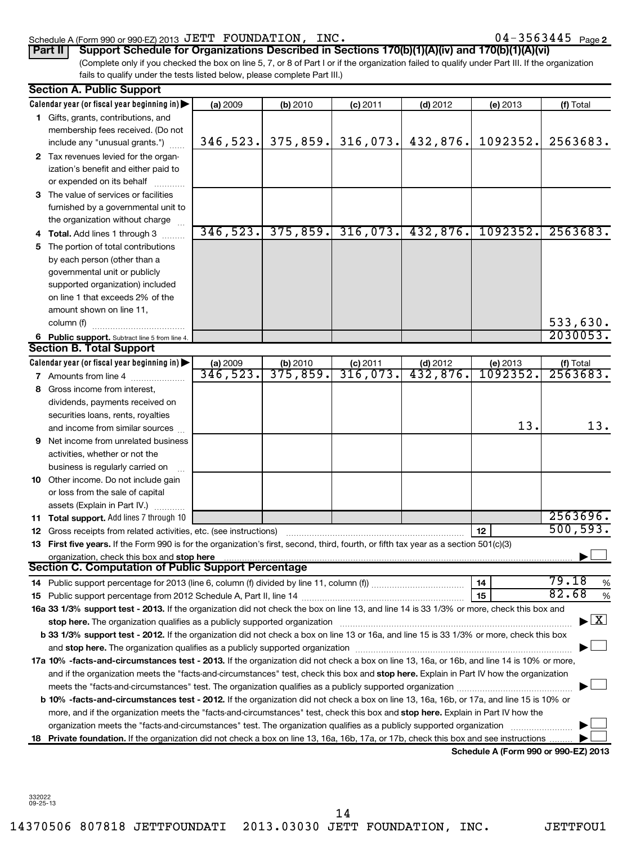#### Schedule A (Form 990 or 990-EZ) 2013 U ETT FOUNDATION,INC。 U 4-3 5 6 3 4 4 5 Page JETT FOUNDATION, INC. 04-3563445

|  |  |  |  |  |  |  |  | 04-3563445 <sub>Page</sub> 2 |
|--|--|--|--|--|--|--|--|------------------------------|
|--|--|--|--|--|--|--|--|------------------------------|

| Part II   Support Schedule for Organizations Described in Sections 170(b)(1)(A)(iv) and 170(b)(1)(A)(vi)                                        |
|-------------------------------------------------------------------------------------------------------------------------------------------------|
| (Complete only if you checked the box on line 5, 7, or 8 of Part I or if the organization failed to qualify under Part III. If the organization |
| fails to qualify under the tests listed below, please complete Part III.)                                                                       |

|    | <b>Section A. Public Support</b>                                                                                                               |                      |                                     |                        |                         |                                      |                                          |
|----|------------------------------------------------------------------------------------------------------------------------------------------------|----------------------|-------------------------------------|------------------------|-------------------------|--------------------------------------|------------------------------------------|
|    | Calendar year (or fiscal year beginning in) $\blacktriangleright$                                                                              | (a) 2009             | (b) 2010                            | $(c)$ 2011             | $(d)$ 2012              | (e) 2013                             | (f) Total                                |
|    | 1 Gifts, grants, contributions, and                                                                                                            |                      |                                     |                        |                         |                                      |                                          |
|    | membership fees received. (Do not                                                                                                              |                      |                                     |                        |                         |                                      |                                          |
|    | include any "unusual grants.")                                                                                                                 | 346,523.             | 375,859.                            | 316,073.               | 432,876.                | 1092352.                             | 2563683.                                 |
|    | 2 Tax revenues levied for the organ-                                                                                                           |                      |                                     |                        |                         |                                      |                                          |
|    | ization's benefit and either paid to                                                                                                           |                      |                                     |                        |                         |                                      |                                          |
|    | or expended on its behalf                                                                                                                      |                      |                                     |                        |                         |                                      |                                          |
|    | 3 The value of services or facilities                                                                                                          |                      |                                     |                        |                         |                                      |                                          |
|    | furnished by a governmental unit to                                                                                                            |                      |                                     |                        |                         |                                      |                                          |
|    | the organization without charge                                                                                                                |                      |                                     |                        |                         |                                      |                                          |
|    | 4 Total. Add lines 1 through 3                                                                                                                 | 346, 523.            | 375,859.                            | 316,073.               | 432,876.                | 1092352.                             | 2563683.                                 |
| 5. | The portion of total contributions                                                                                                             |                      |                                     |                        |                         |                                      |                                          |
|    | by each person (other than a                                                                                                                   |                      |                                     |                        |                         |                                      |                                          |
|    | governmental unit or publicly                                                                                                                  |                      |                                     |                        |                         |                                      |                                          |
|    | supported organization) included                                                                                                               |                      |                                     |                        |                         |                                      |                                          |
|    | on line 1 that exceeds 2% of the                                                                                                               |                      |                                     |                        |                         |                                      |                                          |
|    | amount shown on line 11,                                                                                                                       |                      |                                     |                        |                         |                                      |                                          |
|    | column (f)                                                                                                                                     |                      |                                     |                        |                         |                                      | 533,630.                                 |
|    |                                                                                                                                                |                      |                                     |                        |                         |                                      | 2030053.                                 |
|    | 6 Public support. Subtract line 5 from line 4.                                                                                                 |                      |                                     |                        |                         |                                      |                                          |
|    | <b>Section B. Total Support</b>                                                                                                                |                      |                                     |                        |                         |                                      |                                          |
|    | Calendar year (or fiscal year beginning in)                                                                                                    | (a) 2009<br>346,523. | (b) 2010<br>$\overline{375}$ , 859. | $(c)$ 2011<br>316,073. | (d) $2012$<br>432, 876. | (e) 2013<br>1092352.                 | $(t)$ Total<br>2563683.                  |
|    | <b>7</b> Amounts from line 4                                                                                                                   |                      |                                     |                        |                         |                                      |                                          |
| 8  | Gross income from interest,                                                                                                                    |                      |                                     |                        |                         |                                      |                                          |
|    | dividends, payments received on                                                                                                                |                      |                                     |                        |                         |                                      |                                          |
|    | securities loans, rents, royalties                                                                                                             |                      |                                     |                        |                         |                                      |                                          |
|    | and income from similar sources                                                                                                                |                      |                                     |                        |                         | 13.                                  | 13.                                      |
|    | 9 Net income from unrelated business                                                                                                           |                      |                                     |                        |                         |                                      |                                          |
|    | activities, whether or not the                                                                                                                 |                      |                                     |                        |                         |                                      |                                          |
|    | business is regularly carried on                                                                                                               |                      |                                     |                        |                         |                                      |                                          |
|    | 10 Other income. Do not include gain                                                                                                           |                      |                                     |                        |                         |                                      |                                          |
|    | or loss from the sale of capital                                                                                                               |                      |                                     |                        |                         |                                      |                                          |
|    | assets (Explain in Part IV.)                                                                                                                   |                      |                                     |                        |                         |                                      |                                          |
|    | 11 Total support. Add lines 7 through 10                                                                                                       |                      |                                     |                        |                         |                                      | 2563696.                                 |
|    | 12 Gross receipts from related activities, etc. (see instructions)                                                                             |                      |                                     |                        |                         | 12                                   | 500, 593.                                |
|    | 13 First five years. If the Form 990 is for the organization's first, second, third, fourth, or fifth tax year as a section 501(c)(3)          |                      |                                     |                        |                         |                                      |                                          |
|    | organization, check this box and stop here                                                                                                     |                      |                                     |                        |                         |                                      |                                          |
|    | <b>Section C. Computation of Public Support Percentage</b>                                                                                     |                      |                                     |                        |                         |                                      |                                          |
|    |                                                                                                                                                |                      |                                     |                        |                         | 14                                   | 79.18<br>%                               |
|    |                                                                                                                                                |                      |                                     |                        |                         | 15                                   | 82.68<br>%                               |
|    | 16a 33 1/3% support test - 2013. If the organization did not check the box on line 13, and line 14 is 33 1/3% or more, check this box and      |                      |                                     |                        |                         |                                      |                                          |
|    | stop here. The organization qualifies as a publicly supported organization manufaction manufacture or the organization                         |                      |                                     |                        |                         |                                      | $\blacktriangleright$ $\boxed{\text{X}}$ |
|    | b 33 1/3% support test - 2012. If the organization did not check a box on line 13 or 16a, and line 15 is 33 1/3% or more, check this box       |                      |                                     |                        |                         |                                      |                                          |
|    |                                                                                                                                                |                      |                                     |                        |                         |                                      |                                          |
|    | 17a 10% -facts-and-circumstances test - 2013. If the organization did not check a box on line 13, 16a, or 16b, and line 14 is 10% or more,     |                      |                                     |                        |                         |                                      |                                          |
|    | and if the organization meets the "facts-and-circumstances" test, check this box and stop here. Explain in Part IV how the organization        |                      |                                     |                        |                         |                                      |                                          |
|    |                                                                                                                                                |                      |                                     |                        |                         |                                      |                                          |
|    | <b>b 10% -facts-and-circumstances test - 2012.</b> If the organization did not check a box on line 13, 16a, 16b, or 17a, and line 15 is 10% or |                      |                                     |                        |                         |                                      |                                          |
|    | more, and if the organization meets the "facts-and-circumstances" test, check this box and stop here. Explain in Part IV how the               |                      |                                     |                        |                         |                                      |                                          |
|    |                                                                                                                                                |                      |                                     |                        |                         |                                      |                                          |
|    | organization meets the "facts-and-circumstances" test. The organization qualifies as a publicly supported organization                         |                      |                                     |                        |                         |                                      |                                          |
|    | 18 Private foundation. If the organization did not check a box on line 13, 16a, 16b, 17a, or 17b, check this box and see instructions.         |                      |                                     |                        |                         | Schodule A (Form 000 or 000 EZ) 2012 |                                          |

**Schedule A (Form 990 or 990-EZ) 2013**

14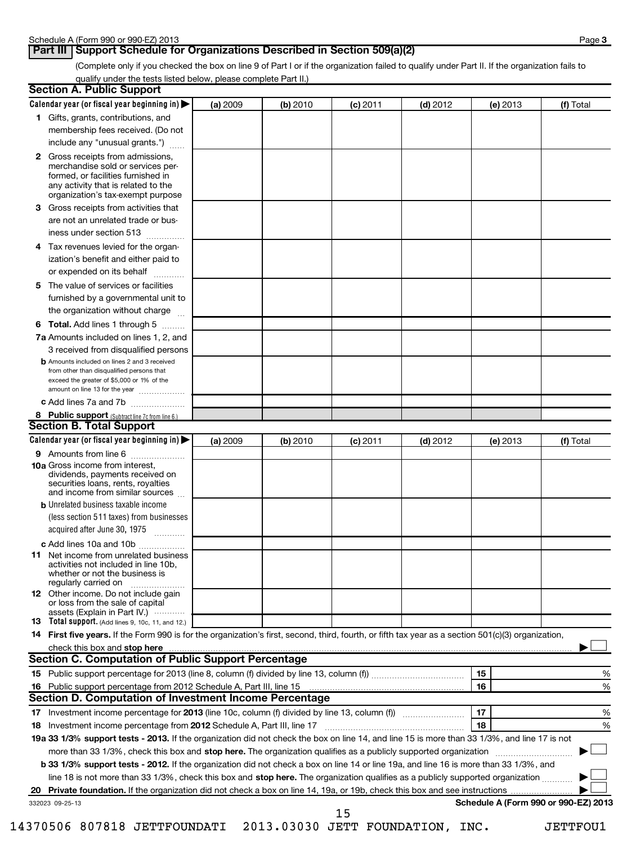## **Part III** Support Schedule for Organizations Described in Section 509(a)(2)

(Complete only if you checked the box on line 9 of Part I or if the organization failed to qualify under Part II. If the organization fails to qualify under the tests listed below, please complete Part II.)

| <b>Section A. Public Support</b>                                                                                                                                                                                               |          |          |            |            |          |                                      |
|--------------------------------------------------------------------------------------------------------------------------------------------------------------------------------------------------------------------------------|----------|----------|------------|------------|----------|--------------------------------------|
| Calendar year (or fiscal year beginning in)                                                                                                                                                                                    | (a) 2009 | (b) 2010 | (c) 2011   | $(d)$ 2012 | (e) 2013 | (f) Total                            |
| 1 Gifts, grants, contributions, and                                                                                                                                                                                            |          |          |            |            |          |                                      |
| membership fees received. (Do not                                                                                                                                                                                              |          |          |            |            |          |                                      |
| include any "unusual grants.")                                                                                                                                                                                                 |          |          |            |            |          |                                      |
| <b>2</b> Gross receipts from admissions,<br>merchandise sold or services per-<br>formed, or facilities furnished in<br>any activity that is related to the<br>organization's tax-exempt purpose                                |          |          |            |            |          |                                      |
| 3 Gross receipts from activities that<br>are not an unrelated trade or bus-                                                                                                                                                    |          |          |            |            |          |                                      |
| iness under section 513                                                                                                                                                                                                        |          |          |            |            |          |                                      |
| Tax revenues levied for the organ-<br>4<br>ization's benefit and either paid to<br>or expended on its behalf                                                                                                                   |          |          |            |            |          |                                      |
|                                                                                                                                                                                                                                |          |          |            |            |          |                                      |
| 5 The value of services or facilities<br>furnished by a governmental unit to<br>the organization without charge                                                                                                                |          |          |            |            |          |                                      |
| <b>6 Total.</b> Add lines 1 through 5                                                                                                                                                                                          |          |          |            |            |          |                                      |
| 7a Amounts included on lines 1, 2, and<br>3 received from disqualified persons                                                                                                                                                 |          |          |            |            |          |                                      |
| <b>b</b> Amounts included on lines 2 and 3 received<br>from other than disqualified persons that<br>exceed the greater of \$5,000 or 1% of the<br>amount on line 13 for the year                                               |          |          |            |            |          |                                      |
| c Add lines 7a and 7b                                                                                                                                                                                                          |          |          |            |            |          |                                      |
| 8 Public support (Subtract line 7c from line 6.)                                                                                                                                                                               |          |          |            |            |          |                                      |
| <b>Section B. Total Support</b>                                                                                                                                                                                                |          |          |            |            |          |                                      |
| Calendar year (or fiscal year beginning in)                                                                                                                                                                                    | (a) 2009 | (b) 2010 | $(c)$ 2011 | $(d)$ 2012 | (e) 2013 | (f) Total                            |
| <b>9</b> Amounts from line 6                                                                                                                                                                                                   |          |          |            |            |          |                                      |
| <b>10a</b> Gross income from interest,<br>dividends, payments received on<br>securities loans, rents, royalties<br>and income from similar sources                                                                             |          |          |            |            |          |                                      |
| <b>b</b> Unrelated business taxable income                                                                                                                                                                                     |          |          |            |            |          |                                      |
| (less section 511 taxes) from businesses<br>acquired after June 30, 1975<br>$\overline{\phantom{a}}$                                                                                                                           |          |          |            |            |          |                                      |
| c Add lines 10a and 10b                                                                                                                                                                                                        |          |          |            |            |          |                                      |
| <b>11</b> Net income from unrelated business<br>activities not included in line 10b,<br>whether or not the business is<br>regularly carried on                                                                                 |          |          |            |            |          |                                      |
| 12 Other income. Do not include gain<br>or loss from the sale of capital<br>assets (Explain in Part IV.)                                                                                                                       |          |          |            |            |          |                                      |
| <b>13</b> Total support. (Add lines 9, 10c, 11, and 12.)                                                                                                                                                                       |          |          |            |            |          |                                      |
| 14 First five years. If the Form 990 is for the organization's first, second, third, fourth, or fifth tax year as a section 501(c)(3) organization,                                                                            |          |          |            |            |          |                                      |
| check this box and stop here manufactured and content to the state of the state of the state of the state of the state of the state of the state of the state of the state of the state of the state of the state of the state |          |          |            |            |          |                                      |
| Section C. Computation of Public Support Percentage                                                                                                                                                                            |          |          |            |            |          |                                      |
|                                                                                                                                                                                                                                |          |          |            |            | 15       | %                                    |
|                                                                                                                                                                                                                                |          |          |            |            | 16       | %                                    |
| Section D. Computation of Investment Income Percentage                                                                                                                                                                         |          |          |            |            |          |                                      |
|                                                                                                                                                                                                                                |          |          |            |            | 17       | %                                    |
| 18 Investment income percentage from 2012 Schedule A, Part III, line 17                                                                                                                                                        |          |          |            |            | 18       | %                                    |
| 19a 33 1/3% support tests - 2013. If the organization did not check the box on line 14, and line 15 is more than 33 1/3%, and line 17 is not                                                                                   |          |          |            |            |          |                                      |
| more than 33 1/3%, check this box and stop here. The organization qualifies as a publicly supported organization                                                                                                               |          |          |            |            |          |                                      |
| b 33 1/3% support tests - 2012. If the organization did not check a box on line 14 or line 19a, and line 16 is more than 33 1/3%, and                                                                                          |          |          |            |            |          |                                      |
| line 18 is not more than 33 1/3%, check this box and stop here. The organization qualifies as a publicly supported organization                                                                                                |          |          |            |            |          |                                      |
| 20                                                                                                                                                                                                                             |          |          |            |            |          | Schedule A (Form 990 or 990-EZ) 2013 |
| 332023 09-25-13                                                                                                                                                                                                                |          |          | 15         |            |          |                                      |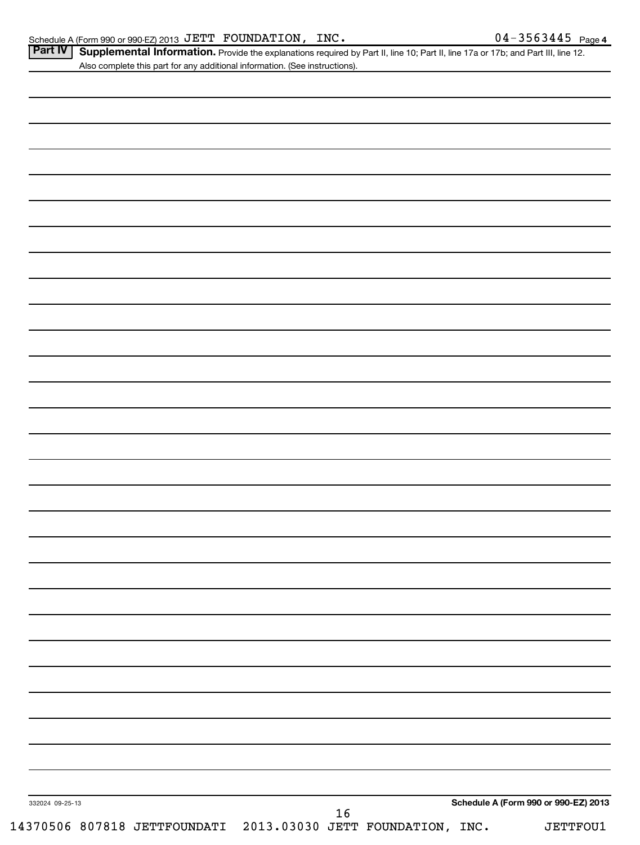Part IV | Supplemental Information. Provide the explanations required by Part II, line 10; Part II, line 17a or 17b; and Part III, line 12. Also complete this part for any additional information. (See instructions).

| 332024 09-25-13 |  |  |  |  |  | Schedule A (Form 990 or 990-EZ) 2013 |
|-----------------|--|--|--|--|--|--------------------------------------|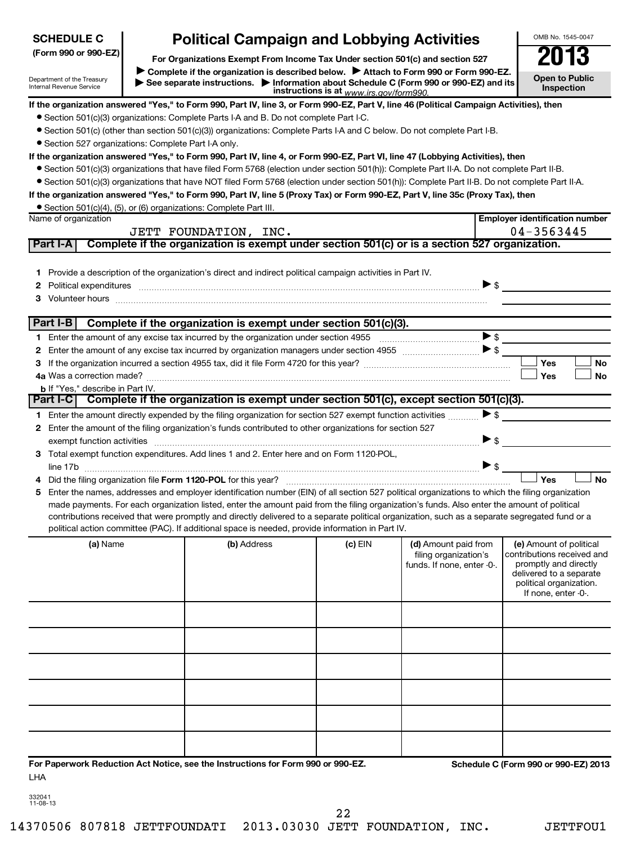| <b>SCHEDULE C</b>                                      | <b>Political Campaign and Lobbying Activities</b>                                                                                                                                                                                                                                              |                                         |                                               | OMB No. 1545-0047                                     |
|--------------------------------------------------------|------------------------------------------------------------------------------------------------------------------------------------------------------------------------------------------------------------------------------------------------------------------------------------------------|-----------------------------------------|-----------------------------------------------|-------------------------------------------------------|
| (Form 990 or 990-EZ)                                   |                                                                                                                                                                                                                                                                                                |                                         |                                               | 2013                                                  |
|                                                        | For Organizations Exempt From Income Tax Under section 501(c) and section 527<br>Complete if the organization is described below.<br>Attach to Form 990 or Form 990-EZ.                                                                                                                        |                                         |                                               |                                                       |
| Department of the Treasury<br>Internal Revenue Service | See separate instructions. Information about Schedule C (Form 990 or 990-EZ) and its                                                                                                                                                                                                           | instructions is at www.irs.gov/form990. |                                               | <b>Open to Public</b><br><b>Inspection</b>            |
|                                                        | If the organization answered "Yes," to Form 990, Part IV, line 3, or Form 990-EZ, Part V, line 46 (Political Campaign Activities), then                                                                                                                                                        |                                         |                                               |                                                       |
|                                                        | • Section 501(c)(3) organizations: Complete Parts I-A and B. Do not complete Part I-C.                                                                                                                                                                                                         |                                         |                                               |                                                       |
|                                                        | • Section 501(c) (other than section 501(c)(3)) organizations: Complete Parts I-A and C below. Do not complete Part I-B.                                                                                                                                                                       |                                         |                                               |                                                       |
| • Section 527 organizations: Complete Part I-A only.   |                                                                                                                                                                                                                                                                                                |                                         |                                               |                                                       |
|                                                        | If the organization answered "Yes," to Form 990, Part IV, line 4, or Form 990-EZ, Part VI, line 47 (Lobbying Activities), then                                                                                                                                                                 |                                         |                                               |                                                       |
|                                                        | • Section 501(c)(3) organizations that have filed Form 5768 (election under section 501(h)): Complete Part II-A. Do not complete Part II-B.                                                                                                                                                    |                                         |                                               |                                                       |
|                                                        | • Section 501(c)(3) organizations that have NOT filed Form 5768 (election under section 501(h)): Complete Part II-B. Do not complete Part II-A.                                                                                                                                                |                                         |                                               |                                                       |
|                                                        | If the organization answered "Yes," to Form 990, Part IV, line 5 (Proxy Tax) or Form 990-EZ, Part V, line 35c (Proxy Tax), then                                                                                                                                                                |                                         |                                               |                                                       |
|                                                        | • Section 501(c)(4), (5), or (6) organizations: Complete Part III.                                                                                                                                                                                                                             |                                         |                                               |                                                       |
| Name of organization                                   |                                                                                                                                                                                                                                                                                                |                                         |                                               | <b>Employer identification number</b>                 |
|                                                        | JETT FOUNDATION, INC.                                                                                                                                                                                                                                                                          |                                         |                                               | 04-3563445                                            |
| Part I-A                                               | Complete if the organization is exempt under section 501(c) or is a section 527 organization.                                                                                                                                                                                                  |                                         |                                               |                                                       |
|                                                        |                                                                                                                                                                                                                                                                                                |                                         |                                               |                                                       |
|                                                        | 1 Provide a description of the organization's direct and indirect political campaign activities in Part IV.                                                                                                                                                                                    |                                         |                                               |                                                       |
| 2                                                      | Political expenditures <i>machine machine content and all expenditures</i> and all expenditures and all expenditures and all expenditures and all expenditures and all expenditures and all expenditures and all expenditures and a                                                            |                                         | $\triangleright$ \$                           |                                                       |
| з                                                      | Volunteer hours with an accommodal contract to the contract of the contract of the contract of the contract of                                                                                                                                                                                 |                                         |                                               |                                                       |
|                                                        |                                                                                                                                                                                                                                                                                                |                                         |                                               |                                                       |
| Part I-B                                               | Complete if the organization is exempt under section 501(c)(3).                                                                                                                                                                                                                                |                                         |                                               |                                                       |
| 1.                                                     |                                                                                                                                                                                                                                                                                                |                                         |                                               |                                                       |
| 2                                                      |                                                                                                                                                                                                                                                                                                |                                         |                                               |                                                       |
| з                                                      |                                                                                                                                                                                                                                                                                                |                                         |                                               | Yes<br>No                                             |
|                                                        |                                                                                                                                                                                                                                                                                                |                                         |                                               | Yes<br>No                                             |
| <b>b</b> If "Yes," describe in Part IV.                | Complete if the organization is exempt under section 501(c), except section 501(c)(3).                                                                                                                                                                                                         |                                         |                                               |                                                       |
| Part I-C                                               |                                                                                                                                                                                                                                                                                                |                                         |                                               |                                                       |
|                                                        | 1 Enter the amount directly expended by the filing organization for section 527 exempt function activities                                                                                                                                                                                     |                                         | $\blacktriangleright$ \$                      |                                                       |
| 2                                                      | Enter the amount of the filing organization's funds contributed to other organizations for section 527                                                                                                                                                                                         |                                         |                                               |                                                       |
|                                                        |                                                                                                                                                                                                                                                                                                |                                         | $\blacktriangleright$ \$                      |                                                       |
|                                                        | 3 Total exempt function expenditures. Add lines 1 and 2. Enter here and on Form 1120-POL,                                                                                                                                                                                                      |                                         |                                               |                                                       |
|                                                        |                                                                                                                                                                                                                                                                                                |                                         |                                               |                                                       |
|                                                        |                                                                                                                                                                                                                                                                                                |                                         |                                               | Yes<br>No                                             |
|                                                        | Enter the names, addresses and employer identification number (EIN) of all section 527 political organizations to which the filing organization<br>made payments. For each organization listed, enter the amount paid from the filing organization's funds. Also enter the amount of political |                                         |                                               |                                                       |
|                                                        | contributions received that were promptly and directly delivered to a separate political organization, such as a separate segregated fund or a                                                                                                                                                 |                                         |                                               |                                                       |
|                                                        | political action committee (PAC). If additional space is needed, provide information in Part IV.                                                                                                                                                                                               |                                         |                                               |                                                       |
|                                                        |                                                                                                                                                                                                                                                                                                |                                         |                                               |                                                       |
| (a) Name                                               | (b) Address                                                                                                                                                                                                                                                                                    | (c) EIN                                 | (d) Amount paid from<br>filing organization's | (e) Amount of political<br>contributions received and |
|                                                        |                                                                                                                                                                                                                                                                                                |                                         | funds. If none, enter -0-.                    | promptly and directly                                 |
|                                                        |                                                                                                                                                                                                                                                                                                |                                         |                                               | delivered to a separate                               |
|                                                        |                                                                                                                                                                                                                                                                                                |                                         |                                               | political organization.<br>If none, enter -0-.        |
|                                                        |                                                                                                                                                                                                                                                                                                |                                         |                                               |                                                       |
|                                                        |                                                                                                                                                                                                                                                                                                |                                         |                                               |                                                       |
|                                                        |                                                                                                                                                                                                                                                                                                |                                         |                                               |                                                       |
|                                                        |                                                                                                                                                                                                                                                                                                |                                         |                                               |                                                       |
|                                                        |                                                                                                                                                                                                                                                                                                |                                         |                                               |                                                       |
|                                                        |                                                                                                                                                                                                                                                                                                |                                         |                                               |                                                       |
|                                                        |                                                                                                                                                                                                                                                                                                |                                         |                                               |                                                       |
|                                                        |                                                                                                                                                                                                                                                                                                |                                         |                                               |                                                       |
|                                                        |                                                                                                                                                                                                                                                                                                |                                         |                                               |                                                       |
|                                                        |                                                                                                                                                                                                                                                                                                |                                         |                                               |                                                       |
|                                                        |                                                                                                                                                                                                                                                                                                |                                         |                                               |                                                       |
|                                                        |                                                                                                                                                                                                                                                                                                |                                         |                                               |                                                       |
|                                                        | For Paperwork Reduction Act Notice, see the Instructions for Form 990 or 990-EZ.                                                                                                                                                                                                               |                                         |                                               | Schedule C (Form 990 or 990-EZ) 2013                  |
| LHA                                                    |                                                                                                                                                                                                                                                                                                |                                         |                                               |                                                       |
|                                                        |                                                                                                                                                                                                                                                                                                |                                         |                                               |                                                       |

| 332041   |  |
|----------|--|
| 11-08-13 |  |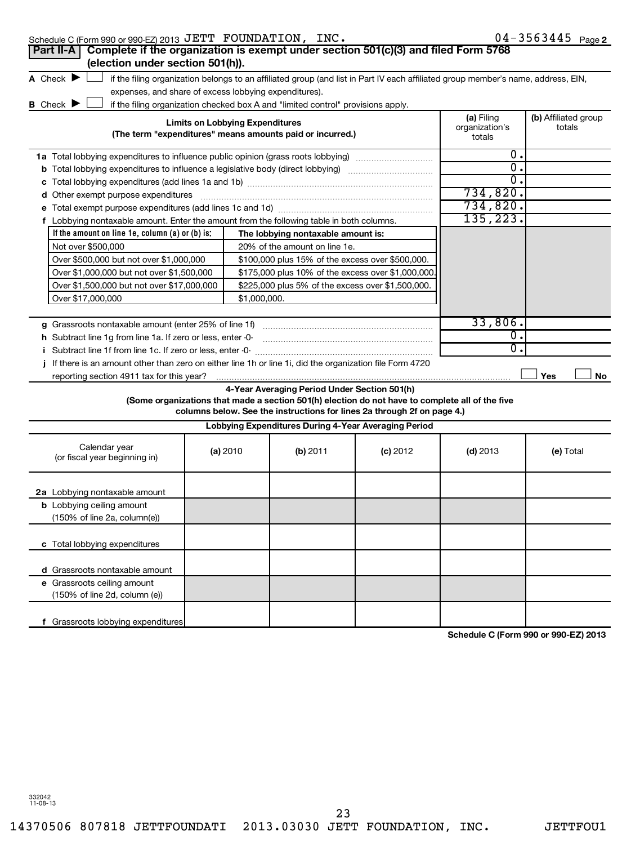| Schedule C (Form 990 or 990-EZ) 2013 $\rm{JETT}$ $\rm{\, FOUNDATION}$ , $\rm{\, INC}$ . |  |  |
|-----------------------------------------------------------------------------------------|--|--|
|                                                                                         |  |  |

| Schedule C (Form 990 or 990-EZ) 2013 JETT FOUNDATION, INC.                                                                          |                                        |              |                                                                                  |                                                                                                                                                                            |                              | $04 - 3563445$ Page 2                |
|-------------------------------------------------------------------------------------------------------------------------------------|----------------------------------------|--------------|----------------------------------------------------------------------------------|----------------------------------------------------------------------------------------------------------------------------------------------------------------------------|------------------------------|--------------------------------------|
| Complete if the organization is exempt under section 501(c)(3) and filed Form 5768<br>Part II-A<br>(election under section 501(h)). |                                        |              |                                                                                  |                                                                                                                                                                            |                              |                                      |
| A Check $\blacktriangleright$                                                                                                       |                                        |              |                                                                                  |                                                                                                                                                                            |                              |                                      |
| expenses, and share of excess lobbying expenditures).                                                                               |                                        |              |                                                                                  | if the filing organization belongs to an affiliated group (and list in Part IV each affiliated group member's name, address, EIN,                                          |                              |                                      |
| <b>B</b> Check $\blacktriangleright$                                                                                                |                                        |              | if the filing organization checked box A and "limited control" provisions apply. |                                                                                                                                                                            |                              |                                      |
|                                                                                                                                     | <b>Limits on Lobbying Expenditures</b> |              | (The term "expenditures" means amounts paid or incurred.)                        |                                                                                                                                                                            | (a) Filing<br>organization's | (b) Affiliated group<br>totals       |
|                                                                                                                                     |                                        |              |                                                                                  |                                                                                                                                                                            | totals                       |                                      |
| <b>1a</b> Total lobbying expenditures to influence public opinion (grass roots lobbying)                                            |                                        |              |                                                                                  |                                                                                                                                                                            | Ο.<br>σ.                     |                                      |
| <b>b</b> Total lobbying expenditures to influence a legislative body (direct lobbying) <i>manumanomanoman</i>                       |                                        |              |                                                                                  |                                                                                                                                                                            | О.                           |                                      |
|                                                                                                                                     |                                        |              |                                                                                  |                                                                                                                                                                            | 734,820.                     |                                      |
| d Other exempt purpose expenditures                                                                                                 |                                        |              |                                                                                  |                                                                                                                                                                            | 734,820.                     |                                      |
| f Lobbying nontaxable amount. Enter the amount from the following table in both columns.                                            |                                        |              |                                                                                  |                                                                                                                                                                            | 135,223.                     |                                      |
| If the amount on line 1e, column $(a)$ or $(b)$ is:                                                                                 |                                        |              | The lobbying nontaxable amount is:                                               |                                                                                                                                                                            |                              |                                      |
| Not over \$500,000                                                                                                                  |                                        |              | 20% of the amount on line 1e.                                                    |                                                                                                                                                                            |                              |                                      |
| Over \$500,000 but not over \$1,000,000                                                                                             |                                        |              | \$100,000 plus 15% of the excess over \$500,000.                                 |                                                                                                                                                                            |                              |                                      |
| Over \$1,000,000 but not over \$1,500,000                                                                                           |                                        |              | \$175,000 plus 10% of the excess over \$1,000,000                                |                                                                                                                                                                            |                              |                                      |
| Over \$1,500,000 but not over \$17,000,000                                                                                          |                                        |              | \$225,000 plus 5% of the excess over \$1,500,000.                                |                                                                                                                                                                            |                              |                                      |
| Over \$17,000,000                                                                                                                   |                                        | \$1,000,000. |                                                                                  |                                                                                                                                                                            |                              |                                      |
|                                                                                                                                     |                                        |              |                                                                                  |                                                                                                                                                                            |                              |                                      |
| g Grassroots nontaxable amount (enter 25% of line 1f)                                                                               |                                        |              |                                                                                  |                                                                                                                                                                            | 33,806.                      |                                      |
| h Subtract line 1g from line 1a. If zero or less, enter -0-                                                                         |                                        |              |                                                                                  |                                                                                                                                                                            | 0.<br>0.                     |                                      |
| i Subtract line 1f from line 1c. If zero or less, enter -0-                                                                         |                                        |              |                                                                                  |                                                                                                                                                                            |                              |                                      |
| j If there is an amount other than zero on either line 1h or line 1i, did the organization file Form 4720                           |                                        |              |                                                                                  |                                                                                                                                                                            |                              | Yes                                  |
| reporting section 4911 tax for this year?                                                                                           |                                        |              | 4-Year Averaging Period Under Section 501(h)                                     |                                                                                                                                                                            |                              | No                                   |
|                                                                                                                                     |                                        |              |                                                                                  | (Some organizations that made a section 501(h) election do not have to complete all of the five<br>columns below. See the instructions for lines 2a through 2f on page 4.) |                              |                                      |
|                                                                                                                                     |                                        |              | Lobbying Expenditures During 4-Year Averaging Period                             |                                                                                                                                                                            |                              |                                      |
| Calendar year<br>(or fiscal year beginning in)                                                                                      | (a) 2010                               |              | (b) 2011                                                                         | $(c)$ 2012                                                                                                                                                                 | $(d)$ 2013                   | (e) Total                            |
| 2a Lobbying nontaxable amount                                                                                                       |                                        |              |                                                                                  |                                                                                                                                                                            |                              |                                      |
| <b>b</b> Lobbying ceiling amount<br>(150% of line 2a, column(e))                                                                    |                                        |              |                                                                                  |                                                                                                                                                                            |                              |                                      |
| c Total lobbying expenditures                                                                                                       |                                        |              |                                                                                  |                                                                                                                                                                            |                              |                                      |
| d Grassroots nontaxable amount                                                                                                      |                                        |              |                                                                                  |                                                                                                                                                                            |                              |                                      |
| e Grassroots ceiling amount<br>(150% of line 2d, column (e))                                                                        |                                        |              |                                                                                  |                                                                                                                                                                            |                              |                                      |
| f Grassroots lobbying expenditures                                                                                                  |                                        |              |                                                                                  |                                                                                                                                                                            |                              | Schodule C (Form 000 or 000 F7) 2012 |

**Schedule C (Form 990 or 990-EZ) 2013**

332042 11-08-13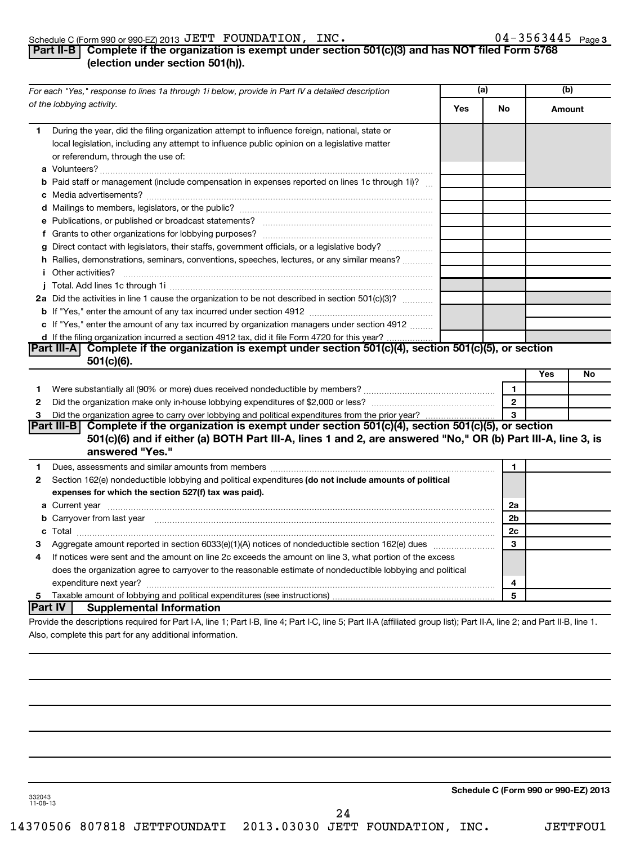#### Schedule C (Form 990 or 990-EZ) 2013 U E'I'I' F'OUNDA'I'LON, LNC 。 U 4-3 5 6 3 4 4 5 Page JETT FOUNDATION, INC. 04-3563445

## **Part II-B Complete if the organization is exempt under section 501(c)(3) and has NOT filed Form 5768 (election under section 501(h)).**

|              | For each "Yes," response to lines 1a through 1i below, provide in Part IV a detailed description                                                                                                                                                                                                                                                                                                                                                                                                                                                                          |     | (a)                  | (b)    |    |
|--------------|---------------------------------------------------------------------------------------------------------------------------------------------------------------------------------------------------------------------------------------------------------------------------------------------------------------------------------------------------------------------------------------------------------------------------------------------------------------------------------------------------------------------------------------------------------------------------|-----|----------------------|--------|----|
|              | of the lobbying activity.                                                                                                                                                                                                                                                                                                                                                                                                                                                                                                                                                 | Yes | No                   | Amount |    |
| 1.           | During the year, did the filing organization attempt to influence foreign, national, state or<br>local legislation, including any attempt to influence public opinion on a legislative matter<br>or referendum, through the use of:                                                                                                                                                                                                                                                                                                                                       |     |                      |        |    |
|              | <b>b</b> Paid staff or management (include compensation in expenses reported on lines 1c through 1i)?                                                                                                                                                                                                                                                                                                                                                                                                                                                                     |     |                      |        |    |
|              |                                                                                                                                                                                                                                                                                                                                                                                                                                                                                                                                                                           |     |                      |        |    |
|              |                                                                                                                                                                                                                                                                                                                                                                                                                                                                                                                                                                           |     |                      |        |    |
|              |                                                                                                                                                                                                                                                                                                                                                                                                                                                                                                                                                                           |     |                      |        |    |
|              | g Direct contact with legislators, their staffs, government officials, or a legislative body?                                                                                                                                                                                                                                                                                                                                                                                                                                                                             |     |                      |        |    |
|              | h Rallies, demonstrations, seminars, conventions, speeches, lectures, or any similar means?<br><i>i</i> Other activities?<br>$\begin{minipage}{0.5\textwidth} \begin{tabular}{ c c c c c } \hline \multicolumn{1}{ c }{0.5\textwidth} \begin{tabular}{ c c c c } \hline \multicolumn{1}{ c }{0.5\textwidth} \begin{tabular}{ c c c c } \hline \multicolumn{1}{ c }{0.5\textwidth} \begin{tabular}{ c c c c } \hline \multicolumn{1}{ c }{0.5\textwidth} \begin{tabular}{ c c c } \hline \multicolumn{1}{ c }{0.5\textwidth} \begin{tabular}{ c c c } \hline \multicolumn$ |     |                      |        |    |
|              |                                                                                                                                                                                                                                                                                                                                                                                                                                                                                                                                                                           |     |                      |        |    |
|              | 2a Did the activities in line 1 cause the organization to be not described in section 501(c)(3)?                                                                                                                                                                                                                                                                                                                                                                                                                                                                          |     |                      |        |    |
|              |                                                                                                                                                                                                                                                                                                                                                                                                                                                                                                                                                                           |     |                      |        |    |
|              | c If "Yes," enter the amount of any tax incurred by organization managers under section 4912                                                                                                                                                                                                                                                                                                                                                                                                                                                                              |     |                      |        |    |
|              | d If the filing organization incurred a section 4912 tax, did it file Form 4720 for this year?                                                                                                                                                                                                                                                                                                                                                                                                                                                                            |     |                      |        |    |
|              | Part III-A Complete if the organization is exempt under section 501(c)(4), section 501(c)(5), or section<br>$501(c)(6)$ .                                                                                                                                                                                                                                                                                                                                                                                                                                                 |     |                      |        |    |
|              |                                                                                                                                                                                                                                                                                                                                                                                                                                                                                                                                                                           |     |                      | Yes    | No |
| 1.           |                                                                                                                                                                                                                                                                                                                                                                                                                                                                                                                                                                           |     | $\mathbf{1}$         |        |    |
| $\mathbf{2}$ |                                                                                                                                                                                                                                                                                                                                                                                                                                                                                                                                                                           |     | $\overline{2}$       |        |    |
| 3            |                                                                                                                                                                                                                                                                                                                                                                                                                                                                                                                                                                           |     | 3                    |        |    |
|              | Part III-B Complete if the organization is exempt under section 501(c)(4), section 501(c)(5), or section<br>501(c)(6) and if either (a) BOTH Part III-A, lines 1 and 2, are answered "No," OR (b) Part III-A, line 3, is<br>answered "Yes."                                                                                                                                                                                                                                                                                                                               |     |                      |        |    |
| 1            | Dues, assessments and similar amounts from members [11] matter contracts as a series and similar amounts from members [11] matter contracts and similar amounts from members [11] matter contracts and similar amounts from me                                                                                                                                                                                                                                                                                                                                            |     | 1                    |        |    |
| 2            | Section 162(e) nondeductible lobbying and political expenditures (do not include amounts of political                                                                                                                                                                                                                                                                                                                                                                                                                                                                     |     |                      |        |    |
|              | expenses for which the section 527(f) tax was paid).                                                                                                                                                                                                                                                                                                                                                                                                                                                                                                                      |     |                      |        |    |
|              |                                                                                                                                                                                                                                                                                                                                                                                                                                                                                                                                                                           |     | 2a<br>2 <sub>b</sub> |        |    |
|              | <b>b</b> Carryover from last year manual content of the content of the content of the carryover from last year manual content of the content of the content of the content of the content of the content of the content of the cont                                                                                                                                                                                                                                                                                                                                       |     | 2c                   |        |    |
| з            | Aggregate amount reported in section 6033(e)(1)(A) notices of nondeductible section 162(e) dues manufactured.                                                                                                                                                                                                                                                                                                                                                                                                                                                             |     | 3                    |        |    |
| 4            | If notices were sent and the amount on line 2c exceeds the amount on line 3, what portion of the excess                                                                                                                                                                                                                                                                                                                                                                                                                                                                   |     |                      |        |    |
|              | does the organization agree to carryover to the reasonable estimate of nondeductible lobbying and political                                                                                                                                                                                                                                                                                                                                                                                                                                                               |     |                      |        |    |
|              |                                                                                                                                                                                                                                                                                                                                                                                                                                                                                                                                                                           |     | 4                    |        |    |
|              |                                                                                                                                                                                                                                                                                                                                                                                                                                                                                                                                                                           |     | 5                    |        |    |
|              | Part IV<br><b>Supplemental Information</b>                                                                                                                                                                                                                                                                                                                                                                                                                                                                                                                                |     |                      |        |    |
|              | Provide the descriptions required for Part I-A, line 1; Part I-B, line 4; Part I-C, line 5; Part II-A (affiliated group list); Part II-A, line 2; and Part II-B, line 1.                                                                                                                                                                                                                                                                                                                                                                                                  |     |                      |        |    |
|              | Also, complete this part for any additional information.                                                                                                                                                                                                                                                                                                                                                                                                                                                                                                                  |     |                      |        |    |

**Schedule C (Form 990 or 990-EZ) 2013**

332043 11-08-13

24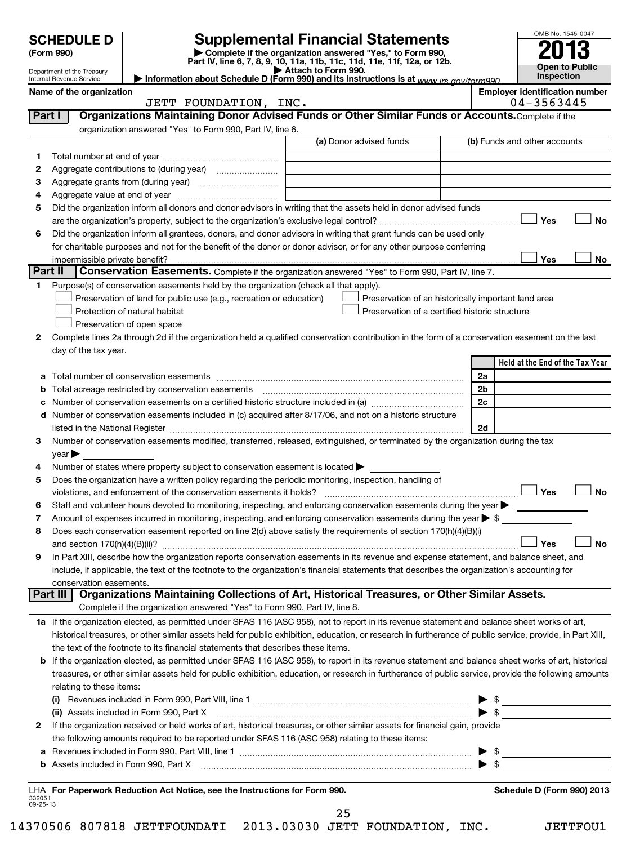|                    | <b>SCHEDULE D</b>                                      |                                                                                                        | <b>Supplemental Financial Statements</b>                                                                                                                                                                                      |                | OMB No. 1545-0047                     |
|--------------------|--------------------------------------------------------|--------------------------------------------------------------------------------------------------------|-------------------------------------------------------------------------------------------------------------------------------------------------------------------------------------------------------------------------------|----------------|---------------------------------------|
|                    | (Form 990)                                             |                                                                                                        | Complete if the organization answered "Yes," to Form 990,                                                                                                                                                                     |                |                                       |
|                    |                                                        |                                                                                                        | Part IV, line 6, 7, 8, 9, 10, 11a, 11b, 11c, 11d, 11e, 11f, 12a, or 12b.<br>Attach to Form 990.                                                                                                                               |                | Open to Public                        |
|                    | Department of the Treasury<br>Internal Revenue Service |                                                                                                        | Information about Schedule D (Form 990) and its instructions is at www irs gov/form990                                                                                                                                        |                | Inspection                            |
|                    | Name of the organization                               |                                                                                                        |                                                                                                                                                                                                                               |                | <b>Employer identification number</b> |
| Part I             |                                                        | JETT FOUNDATION, INC.                                                                                  | Organizations Maintaining Donor Advised Funds or Other Similar Funds or Accounts. Complete if the                                                                                                                             |                | 04-3563445                            |
|                    |                                                        | organization answered "Yes" to Form 990, Part IV, line 6.                                              |                                                                                                                                                                                                                               |                |                                       |
|                    |                                                        |                                                                                                        | (a) Donor advised funds                                                                                                                                                                                                       |                | (b) Funds and other accounts          |
| 1.                 |                                                        |                                                                                                        |                                                                                                                                                                                                                               |                |                                       |
| 2                  |                                                        |                                                                                                        |                                                                                                                                                                                                                               |                |                                       |
| З                  |                                                        |                                                                                                        |                                                                                                                                                                                                                               |                |                                       |
| 4                  |                                                        |                                                                                                        |                                                                                                                                                                                                                               |                |                                       |
| 5                  |                                                        |                                                                                                        | Did the organization inform all donors and donor advisors in writing that the assets held in donor advised funds                                                                                                              |                |                                       |
|                    |                                                        |                                                                                                        |                                                                                                                                                                                                                               |                | Yes<br>No                             |
| 6                  |                                                        |                                                                                                        | Did the organization inform all grantees, donors, and donor advisors in writing that grant funds can be used only                                                                                                             |                |                                       |
|                    |                                                        |                                                                                                        | for charitable purposes and not for the benefit of the donor or donor advisor, or for any other purpose conferring                                                                                                            |                |                                       |
| Part II            | impermissible private benefit?                         |                                                                                                        | Conservation Easements. Complete if the organization answered "Yes" to Form 990, Part IV, line 7.                                                                                                                             |                | Yes<br>No                             |
| 1.                 |                                                        | Purpose(s) of conservation easements held by the organization (check all that apply).                  |                                                                                                                                                                                                                               |                |                                       |
|                    |                                                        | Preservation of land for public use (e.g., recreation or education)                                    | Preservation of an historically important land area                                                                                                                                                                           |                |                                       |
|                    |                                                        | Protection of natural habitat                                                                          | Preservation of a certified historic structure                                                                                                                                                                                |                |                                       |
|                    |                                                        | Preservation of open space                                                                             |                                                                                                                                                                                                                               |                |                                       |
| 2                  |                                                        |                                                                                                        | Complete lines 2a through 2d if the organization held a qualified conservation contribution in the form of a conservation easement on the last                                                                                |                |                                       |
|                    | day of the tax year.                                   |                                                                                                        |                                                                                                                                                                                                                               |                |                                       |
|                    |                                                        |                                                                                                        |                                                                                                                                                                                                                               |                | Held at the End of the Tax Year       |
| а                  |                                                        |                                                                                                        |                                                                                                                                                                                                                               | 2a             |                                       |
| b                  |                                                        | Total acreage restricted by conservation easements                                                     |                                                                                                                                                                                                                               | 2 <sub>b</sub> |                                       |
| с                  |                                                        |                                                                                                        |                                                                                                                                                                                                                               | 2c             |                                       |
| d                  |                                                        |                                                                                                        | Number of conservation easements included in (c) acquired after 8/17/06, and not on a historic structure                                                                                                                      |                |                                       |
|                    |                                                        |                                                                                                        | listed in the National Register [111] Marshall Register [11] Marshall Register [11] Marshall Register [11] Marshall Register [11] Marshall Register [11] Marshall Register [11] Marshall Register [11] Marshall Register [11] | 2d             |                                       |
| 3                  | $\vee$ ear                                             |                                                                                                        | Number of conservation easements modified, transferred, released, extinguished, or terminated by the organization during the tax                                                                                              |                |                                       |
| 4                  |                                                        | Number of states where property subject to conservation easement is located >                          |                                                                                                                                                                                                                               |                |                                       |
| 5                  |                                                        | Does the organization have a written policy regarding the periodic monitoring, inspection, handling of |                                                                                                                                                                                                                               |                |                                       |
|                    |                                                        | violations, and enforcement of the conservation easements it holds?                                    |                                                                                                                                                                                                                               |                | Yes<br>No                             |
| 6                  |                                                        |                                                                                                        | Staff and volunteer hours devoted to monitoring, inspecting, and enforcing conservation easements during the year                                                                                                             |                |                                       |
| 7                  |                                                        |                                                                                                        | Amount of expenses incurred in monitoring, inspecting, and enforcing conservation easements during the year $\triangleright$ \$                                                                                               |                |                                       |
| 8                  |                                                        |                                                                                                        | Does each conservation easement reported on line 2(d) above satisfy the requirements of section 170(h)(4)(B)(i)                                                                                                               |                |                                       |
|                    |                                                        |                                                                                                        |                                                                                                                                                                                                                               |                | Yes<br>No                             |
| 9                  |                                                        |                                                                                                        | In Part XIII, describe how the organization reports conservation easements in its revenue and expense statement, and balance sheet, and                                                                                       |                |                                       |
|                    |                                                        |                                                                                                        | include, if applicable, the text of the footnote to the organization's financial statements that describes the organization's accounting for                                                                                  |                |                                       |
|                    | conservation easements.<br><b>Part III</b>             |                                                                                                        | Organizations Maintaining Collections of Art, Historical Treasures, or Other Similar Assets.                                                                                                                                  |                |                                       |
|                    |                                                        | Complete if the organization answered "Yes" to Form 990, Part IV, line 8.                              |                                                                                                                                                                                                                               |                |                                       |
|                    |                                                        |                                                                                                        | 1a If the organization elected, as permitted under SFAS 116 (ASC 958), not to report in its revenue statement and balance sheet works of art,                                                                                 |                |                                       |
|                    |                                                        |                                                                                                        | historical treasures, or other similar assets held for public exhibition, education, or research in furtherance of public service, provide, in Part XIII,                                                                     |                |                                       |
|                    |                                                        | the text of the footnote to its financial statements that describes these items.                       |                                                                                                                                                                                                                               |                |                                       |
|                    |                                                        |                                                                                                        | b If the organization elected, as permitted under SFAS 116 (ASC 958), to report in its revenue statement and balance sheet works of art, historical                                                                           |                |                                       |
|                    |                                                        |                                                                                                        | treasures, or other similar assets held for public exhibition, education, or research in furtherance of public service, provide the following amounts                                                                         |                |                                       |
|                    | relating to these items:                               |                                                                                                        |                                                                                                                                                                                                                               |                |                                       |
|                    |                                                        |                                                                                                        |                                                                                                                                                                                                                               |                |                                       |
|                    |                                                        |                                                                                                        | (ii) Assets included in Form 990, Part X [11] [2000] [2010] Assets included in Form 990, Part X [11] [11] [200                                                                                                                |                | $\blacktriangleright$ \$              |
| 2                  |                                                        |                                                                                                        | If the organization received or held works of art, historical treasures, or other similar assets for financial gain, provide                                                                                                  |                |                                       |
|                    |                                                        | the following amounts required to be reported under SFAS 116 (ASC 958) relating to these items:        |                                                                                                                                                                                                                               |                |                                       |
| а                  |                                                        |                                                                                                        |                                                                                                                                                                                                                               |                |                                       |
|                    |                                                        |                                                                                                        |                                                                                                                                                                                                                               |                |                                       |
|                    |                                                        |                                                                                                        |                                                                                                                                                                                                                               |                | Schedule D (Form 990) 2013            |
| 332051<br>09-25-13 |                                                        | LHA For Paperwork Reduction Act Notice, see the Instructions for Form 990.                             |                                                                                                                                                                                                                               |                |                                       |

25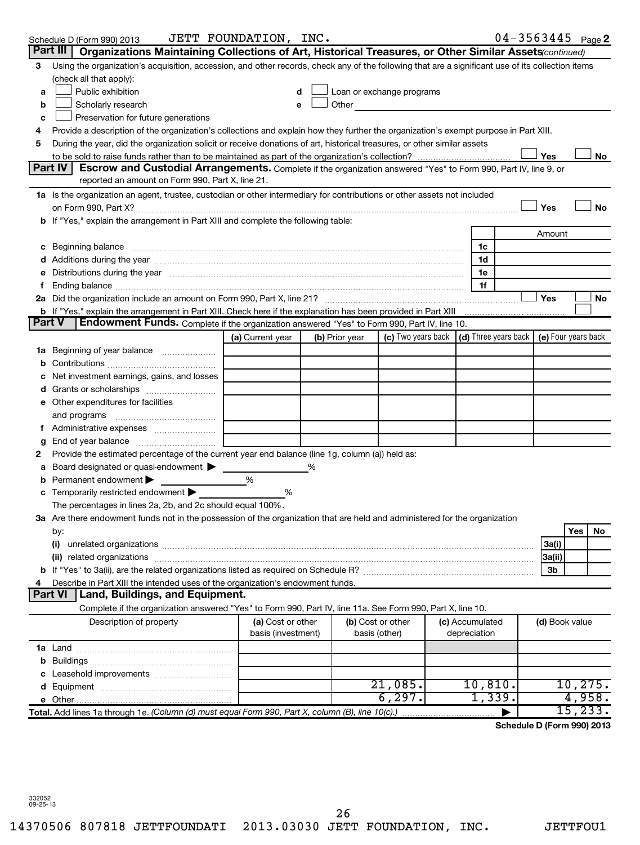|               | Schedule D (Form 990) 2013                                                                                                                                                                                                     | JETT FOUNDATION, INC.                   |                |                                    |                                                                             | $04 - 3563445$ Page 2      |            |          |
|---------------|--------------------------------------------------------------------------------------------------------------------------------------------------------------------------------------------------------------------------------|-----------------------------------------|----------------|------------------------------------|-----------------------------------------------------------------------------|----------------------------|------------|----------|
| Part III      | Organizations Maintaining Collections of Art, Historical Treasures, or Other Similar Assets (continued)                                                                                                                        |                                         |                |                                    |                                                                             |                            |            |          |
| 3             | Using the organization's acquisition, accession, and other records, check any of the following that are a significant use of its collection items                                                                              |                                         |                |                                    |                                                                             |                            |            |          |
|               | (check all that apply):                                                                                                                                                                                                        |                                         |                |                                    |                                                                             |                            |            |          |
| a             | Public exhibition                                                                                                                                                                                                              |                                         |                | Loan or exchange programs          |                                                                             |                            |            |          |
| b             | Scholarly research                                                                                                                                                                                                             |                                         | Other          |                                    |                                                                             |                            |            |          |
| c             | Preservation for future generations                                                                                                                                                                                            |                                         |                |                                    |                                                                             |                            |            |          |
| 4             | Provide a description of the organization's collections and explain how they further the organization's exempt purpose in Part XIII.                                                                                           |                                         |                |                                    |                                                                             |                            |            |          |
| 5             | During the year, did the organization solicit or receive donations of art, historical treasures, or other similar assets                                                                                                       |                                         |                |                                    |                                                                             |                            |            |          |
|               |                                                                                                                                                                                                                                |                                         |                |                                    |                                                                             | Yes                        |            | No       |
|               | Part IV<br><b>Escrow and Custodial Arrangements.</b> Complete if the organization answered "Yes" to Form 990, Part IV, line 9, or                                                                                              |                                         |                |                                    |                                                                             |                            |            |          |
|               | reported an amount on Form 990, Part X, line 21.                                                                                                                                                                               |                                         |                |                                    |                                                                             |                            |            |          |
|               | 1a Is the organization an agent, trustee, custodian or other intermediary for contributions or other assets not included                                                                                                       |                                         |                |                                    |                                                                             |                            |            |          |
|               |                                                                                                                                                                                                                                |                                         |                |                                    |                                                                             | Yes                        |            | No       |
|               | b If "Yes," explain the arrangement in Part XIII and complete the following table:                                                                                                                                             |                                         |                |                                    |                                                                             |                            |            |          |
|               |                                                                                                                                                                                                                                |                                         |                |                                    |                                                                             | Amount                     |            |          |
|               | c Beginning balance measurements and the contract of the contract of the contract of the contract of the contract of the contract of the contract of the contract of the contract of the contract of the contract of the contr |                                         |                |                                    | 1c                                                                          |                            |            |          |
|               |                                                                                                                                                                                                                                |                                         |                |                                    | 1d                                                                          |                            |            |          |
|               | Distributions during the year manufactured and an account of the year manufactured and the year manufactured and the year manufactured and the year manufactured and the year manufactured and the year manufactured and the y |                                         |                |                                    | 1e                                                                          |                            |            |          |
|               |                                                                                                                                                                                                                                |                                         |                |                                    | 1f                                                                          |                            |            |          |
|               |                                                                                                                                                                                                                                |                                         |                |                                    |                                                                             | Yes                        |            | No       |
|               | b If "Yes," explain the arrangement in Part XIII. Check here if the explanation has been provided in Part XIII                                                                                                                 |                                         |                |                                    |                                                                             |                            |            |          |
| <b>Part V</b> | Endowment Funds. Complete if the organization answered "Yes" to Form 990, Part IV, line 10.                                                                                                                                    |                                         |                |                                    |                                                                             |                            |            |          |
|               |                                                                                                                                                                                                                                | (a) Current year                        | (b) Prior year |                                    | (c) Two years back $\vert$ (d) Three years back $\vert$ (e) Four years back |                            |            |          |
|               |                                                                                                                                                                                                                                |                                         |                |                                    |                                                                             |                            |            |          |
|               |                                                                                                                                                                                                                                |                                         |                |                                    |                                                                             |                            |            |          |
|               | Net investment earnings, gains, and losses                                                                                                                                                                                     |                                         |                |                                    |                                                                             |                            |            |          |
|               |                                                                                                                                                                                                                                |                                         |                |                                    |                                                                             |                            |            |          |
|               | e Other expenditures for facilities                                                                                                                                                                                            |                                         |                |                                    |                                                                             |                            |            |          |
|               | and programs                                                                                                                                                                                                                   |                                         |                |                                    |                                                                             |                            |            |          |
|               |                                                                                                                                                                                                                                |                                         |                |                                    |                                                                             |                            |            |          |
| g             | End of year balance                                                                                                                                                                                                            |                                         |                |                                    |                                                                             |                            |            |          |
| 2             | Provide the estimated percentage of the current year end balance (line 1g, column (a)) held as:                                                                                                                                |                                         |                |                                    |                                                                             |                            |            |          |
| а             | Board designated or quasi-endowment >                                                                                                                                                                                          |                                         |                |                                    |                                                                             |                            |            |          |
| b             | Permanent endowment                                                                                                                                                                                                            | %                                       |                |                                    |                                                                             |                            |            |          |
|               | c Temporarily restricted endowment                                                                                                                                                                                             | %                                       |                |                                    |                                                                             |                            |            |          |
|               | The percentages in lines 2a, 2b, and 2c should equal 100%.                                                                                                                                                                     |                                         |                |                                    |                                                                             |                            |            |          |
|               | 3a Are there endowment funds not in the possession of the organization that are held and administered for the organization                                                                                                     |                                         |                |                                    |                                                                             |                            |            |          |
|               | by:                                                                                                                                                                                                                            |                                         |                |                                    |                                                                             |                            | <b>Yes</b> | No       |
|               | (i)                                                                                                                                                                                                                            |                                         |                |                                    |                                                                             | 3a(i)                      |            |          |
|               |                                                                                                                                                                                                                                |                                         |                |                                    |                                                                             | 3a(ii)                     |            |          |
|               |                                                                                                                                                                                                                                |                                         |                |                                    |                                                                             | 3b                         |            |          |
|               | Describe in Part XIII the intended uses of the organization's endowment funds.                                                                                                                                                 |                                         |                |                                    |                                                                             |                            |            |          |
|               | Part VI<br>Land, Buildings, and Equipment.                                                                                                                                                                                     |                                         |                |                                    |                                                                             |                            |            |          |
|               | Complete if the organization answered "Yes" to Form 990, Part IV, line 11a. See Form 990, Part X, line 10.                                                                                                                     |                                         |                |                                    |                                                                             |                            |            |          |
|               | Description of property                                                                                                                                                                                                        | (a) Cost or other<br>basis (investment) |                | (b) Cost or other<br>basis (other) | (c) Accumulated<br>depreciation                                             | (d) Book value             |            |          |
|               |                                                                                                                                                                                                                                |                                         |                |                                    |                                                                             |                            |            |          |
|               |                                                                                                                                                                                                                                |                                         |                |                                    |                                                                             |                            |            |          |
|               |                                                                                                                                                                                                                                |                                         |                |                                    |                                                                             |                            |            |          |
|               |                                                                                                                                                                                                                                |                                         |                | 21,085.                            | 10, 810.                                                                    |                            |            | 10, 275. |
|               |                                                                                                                                                                                                                                |                                         |                | 6, 297.                            | 1,339.                                                                      |                            |            | 4,958.   |
|               | Total. Add lines 1a through 1e. (Column (d) must equal Form 990, Part X, column (B), line 10(c).)                                                                                                                              |                                         |                |                                    |                                                                             |                            |            | 15, 233. |
|               |                                                                                                                                                                                                                                |                                         |                |                                    |                                                                             | Schedule D (Form 990) 2013 |            |          |
|               |                                                                                                                                                                                                                                |                                         |                |                                    |                                                                             |                            |            |          |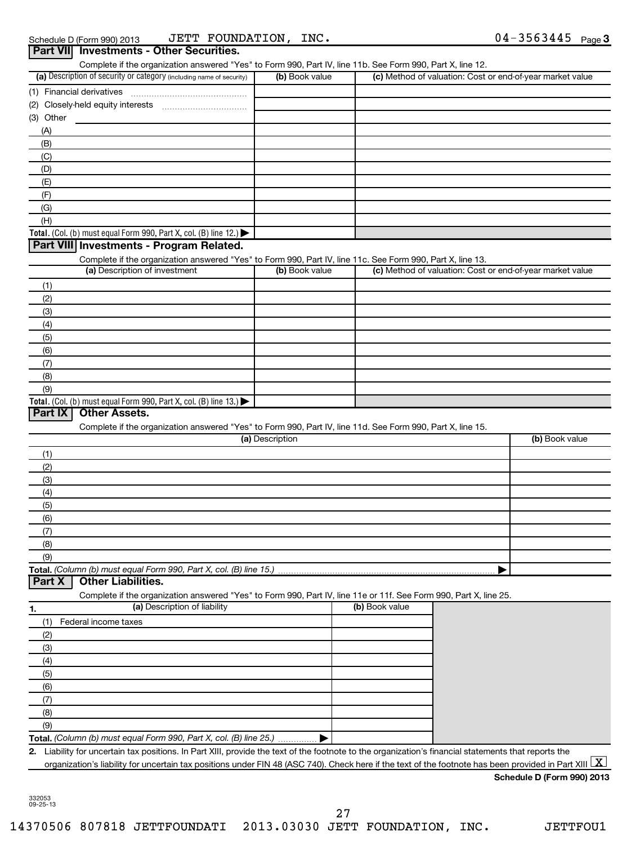| Part VII Investments - Other Securities.                                                                                                                                           |                 |                |                                                                                                                                                                         |
|------------------------------------------------------------------------------------------------------------------------------------------------------------------------------------|-----------------|----------------|-------------------------------------------------------------------------------------------------------------------------------------------------------------------------|
| Complete if the organization answered "Yes" to Form 990, Part IV, line 11b. See Form 990, Part X, line 12.<br>(a) Description of security or category (including name of security) | (b) Book value  |                | (c) Method of valuation: Cost or end-of-year market value                                                                                                               |
| (1) Financial derivatives                                                                                                                                                          |                 |                |                                                                                                                                                                         |
|                                                                                                                                                                                    |                 |                |                                                                                                                                                                         |
|                                                                                                                                                                                    |                 |                |                                                                                                                                                                         |
| (3) Other                                                                                                                                                                          |                 |                |                                                                                                                                                                         |
| (A)                                                                                                                                                                                |                 |                |                                                                                                                                                                         |
| (B)                                                                                                                                                                                |                 |                |                                                                                                                                                                         |
| (C)                                                                                                                                                                                |                 |                |                                                                                                                                                                         |
| (D)                                                                                                                                                                                |                 |                |                                                                                                                                                                         |
| (E)                                                                                                                                                                                |                 |                |                                                                                                                                                                         |
| (F)                                                                                                                                                                                |                 |                |                                                                                                                                                                         |
| (G)                                                                                                                                                                                |                 |                |                                                                                                                                                                         |
| (H)                                                                                                                                                                                |                 |                |                                                                                                                                                                         |
| Total. (Col. (b) must equal Form 990, Part X, col. (B) line 12.) $\blacktriangleright$                                                                                             |                 |                |                                                                                                                                                                         |
| Part VIII Investments - Program Related.                                                                                                                                           |                 |                |                                                                                                                                                                         |
| Complete if the organization answered "Yes" to Form 990, Part IV, line 11c. See Form 990, Part X, line 13.                                                                         |                 |                |                                                                                                                                                                         |
| (a) Description of investment                                                                                                                                                      | (b) Book value  |                | (c) Method of valuation: Cost or end-of-year market value                                                                                                               |
| (1)                                                                                                                                                                                |                 |                |                                                                                                                                                                         |
|                                                                                                                                                                                    |                 |                |                                                                                                                                                                         |
| (2)                                                                                                                                                                                |                 |                |                                                                                                                                                                         |
| (3)                                                                                                                                                                                |                 |                |                                                                                                                                                                         |
| (4)                                                                                                                                                                                |                 |                |                                                                                                                                                                         |
| (5)                                                                                                                                                                                |                 |                |                                                                                                                                                                         |
| (6)                                                                                                                                                                                |                 |                |                                                                                                                                                                         |
| (7)                                                                                                                                                                                |                 |                |                                                                                                                                                                         |
| (8)                                                                                                                                                                                |                 |                |                                                                                                                                                                         |
| (9)                                                                                                                                                                                |                 |                |                                                                                                                                                                         |
| Part IX<br><b>Other Assets.</b><br>Complete if the organization answered "Yes" to Form 990, Part IV, line 11d. See Form 990, Part X, line 15.                                      |                 |                |                                                                                                                                                                         |
|                                                                                                                                                                                    | (a) Description |                | (b) Book value                                                                                                                                                          |
| (1)                                                                                                                                                                                |                 |                |                                                                                                                                                                         |
| (2)                                                                                                                                                                                |                 |                |                                                                                                                                                                         |
| (3)                                                                                                                                                                                |                 |                |                                                                                                                                                                         |
| (4)                                                                                                                                                                                |                 |                |                                                                                                                                                                         |
| (5)                                                                                                                                                                                |                 |                |                                                                                                                                                                         |
| (6)                                                                                                                                                                                |                 |                |                                                                                                                                                                         |
| (7)                                                                                                                                                                                |                 |                |                                                                                                                                                                         |
| (8)                                                                                                                                                                                |                 |                |                                                                                                                                                                         |
| (9)                                                                                                                                                                                |                 |                |                                                                                                                                                                         |
| Total. (Column (b) must equal Form 990, Part X, col. (B) line 15.)<br><b>Other Liabilities.</b><br>Part X                                                                          |                 |                |                                                                                                                                                                         |
| Complete if the organization answered "Yes" to Form 990, Part IV, line 11e or 11f. See Form 990, Part X, line 25.                                                                  |                 |                |                                                                                                                                                                         |
| (a) Description of liability<br>1.                                                                                                                                                 |                 | (b) Book value |                                                                                                                                                                         |
| Federal income taxes<br>(1)                                                                                                                                                        |                 |                |                                                                                                                                                                         |
| (2)                                                                                                                                                                                |                 |                |                                                                                                                                                                         |
|                                                                                                                                                                                    |                 |                |                                                                                                                                                                         |
| (3)                                                                                                                                                                                |                 |                |                                                                                                                                                                         |
| (4)                                                                                                                                                                                |                 |                |                                                                                                                                                                         |
| (5)                                                                                                                                                                                |                 |                |                                                                                                                                                                         |
| (6)                                                                                                                                                                                |                 |                |                                                                                                                                                                         |
| (7)                                                                                                                                                                                |                 |                |                                                                                                                                                                         |
| (8)                                                                                                                                                                                |                 |                |                                                                                                                                                                         |
| (9)                                                                                                                                                                                |                 |                |                                                                                                                                                                         |
| Total. (Column (b) must equal Form 990, Part X, col. (B) line 25.)                                                                                                                 |                 |                |                                                                                                                                                                         |
| 2. Liability for uncertain tax positions. In Part XIII, provide the text of the footnote to the organization's financial statements that reports the                               |                 |                |                                                                                                                                                                         |
|                                                                                                                                                                                    |                 |                | organization's liability for uncertain tax positions under FIN 48 (ASC 740). Check here if the text of the footnote has been provided in Part XIII $\boxed{\mathrm{X}}$ |

| Schedule D (Form 990) 2013 |  |
|----------------------------|--|
|                            |  |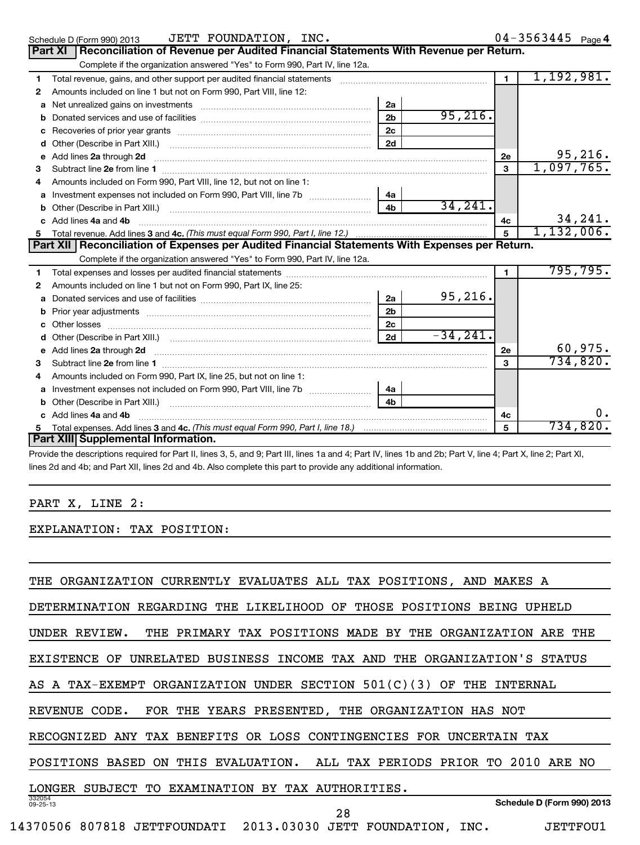| Schedule D (Form 990) 2013 | JETT FOUNDATION, INC.                                                      | 04-3563445 $_{\text{Page}}$ 4                                                                      |  |
|----------------------------|----------------------------------------------------------------------------|----------------------------------------------------------------------------------------------------|--|
|                            |                                                                            | <b>Part XI</b> Reconciliation of Revenue per Audited Financial Statements With Revenue per Return. |  |
|                            | Complete if the organization answered "Yes" to Form 990, Part IV, line 12a |                                                                                                    |  |

|                | Complete if the organization answered "Yes" to Form 990, Part IV, line 12a.                          |                |            |                |            |
|----------------|------------------------------------------------------------------------------------------------------|----------------|------------|----------------|------------|
| 1              | Total revenue, gains, and other support per audited financial statements                             |                |            | $\blacksquare$ | 1,192,981. |
| 2              | Amounts included on line 1 but not on Form 990, Part VIII, line 12:                                  |                |            |                |            |
|                | a Net unrealized gains on investments [11] [12] Net unrealised a Net unrealized gains on investments | 2a             |            |                |            |
|                |                                                                                                      | 2 <sub>b</sub> | 95, 216.   |                |            |
| c              |                                                                                                      | 2 <sub>c</sub> |            |                |            |
|                |                                                                                                      | 2d             |            |                |            |
|                | e Add lines 2a through 2d                                                                            |                |            | 2е             | 95, 216.   |
| 3              |                                                                                                      |                |            | 3              | 1,097,765. |
| 4              | Amounts included on Form 990, Part VIII, line 12, but not on line 1:                                 |                |            |                |            |
| a              |                                                                                                      | 4a             |            |                |            |
| b              |                                                                                                      | 4 <sub>b</sub> | 34,241.    |                |            |
|                | c Add lines 4a and 4b                                                                                |                |            | 4c             | 34,241.    |
|                |                                                                                                      |                |            | 5              | 1,132,006. |
|                | Part XII Reconciliation of Expenses per Audited Financial Statements With Expenses per Return.       |                |            |                |            |
|                | Complete if the organization answered "Yes" to Form 990, Part IV, line 12a.                          |                |            |                |            |
| $\mathbf{1}$   |                                                                                                      |                |            | $\blacksquare$ | 795, 795.  |
| $\overline{2}$ | Amounts included on line 1 but not on Form 990, Part IX, line 25:                                    |                |            |                |            |
|                |                                                                                                      | 2a             | 95,216.    |                |            |
| b              |                                                                                                      | 2 <sub>b</sub> |            |                |            |
|                |                                                                                                      | 2 <sub>c</sub> |            |                |            |
| d              |                                                                                                      | 2d             | $-34,241.$ |                |            |
|                | e Add lines 2a through 2d                                                                            |                |            | 2e             | 60,975.    |
| 3              | Subtract line 2e from line 1                                                                         |                |            | 3              | 734,820.   |
| 4              | Amounts included on Form 990, Part IX, line 25, but not on line 1:                                   |                |            |                |            |
|                |                                                                                                      | 4a             |            |                |            |
|                | Other (Describe in Part XIII.)                                                                       | 4 <sub>b</sub> |            |                |            |
|                | c Add lines 4a and 4b                                                                                |                |            | 4c             | $0$ .      |
| 5.             |                                                                                                      |                |            |                | 734,820.   |
|                | Part XIII Supplemental Information.                                                                  |                |            | 5              |            |

Provide the descriptions required for Part II, lines 3, 5, and 9; Part III, lines 1a and 4; Part IV, lines 1b and 2b; Part V, line 4; Part X, line 2; Part XI, lines 2d and 4b; and Part XII, lines 2d and 4b. Also complete this part to provide any additional information.

## PART X, LINE 2:

I

EXPLANATION: TAX POSITION:

| ORGANIZATION CURRENTLY EVALUATES ALL TAX POSITIONS, AND MAKES A<br>THE                |
|---------------------------------------------------------------------------------------|
| DETERMINATION REGARDING THE LIKELIHOOD OF THOSE POSITIONS BEING<br>UPHELD             |
| UNDER REVIEW.<br>THE<br>PRIMARY TAX POSITIONS MADE BY THE ORGANIZATION<br>THE<br>ARE  |
| UNRELATED BUSINESS INCOME TAX AND THE ORGANIZATION'S STATUS<br>EXISTENCE<br>OF        |
| AS A TAX-EXEMPT ORGANIZATION UNDER SECTION 501(C)(3)<br>OF<br>THE<br>INTERNAL         |
| FOR THE YEARS PRESENTED, THE ORGANIZATION HAS NOT<br>REVENUE<br>CODE.                 |
| TAX BENEFITS OR LOSS CONTINGENCIES FOR UNCERTAIN TAX<br>RECOGNIZED ANY                |
| ON THIS EVALUATION. ALL TAX PERIODS PRIOR TO 2010 ARE NO<br>POSITIONS<br>BASED        |
| LONGER SUBJECT TO EXAMINATION BY TAX AUTHORITIES.                                     |
| 332054<br>Schedule D (Form 990) 2013<br>$09 - 25 - 13$<br>28                          |
| 14370506<br>807818<br>JETTFOUNDATI 2013.03030<br>JETT FOUNDATION,<br>JETTFOU1<br>INC. |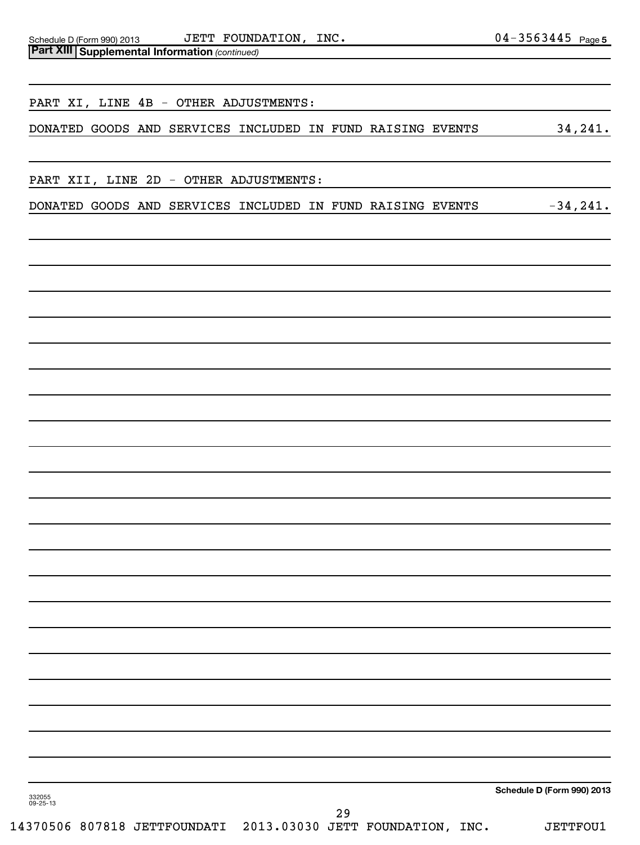**Part XIII | Supplemental Information** (continued) Schedule D (Form 990) 2013 JETT FOUNDATION , INC 0 4 –  $3\,5\,6\,3\,4\,4\,5$   $\,$   $_{\rm Page}$ 

DONATED GOODS AND SERVICES INCLUDED IN FUND RAISING EVENTS 34,241.

PART XII, LINE 2D - OTHER ADJUSTMENTS:

PART XI, LINE 4B - OTHER ADJUSTMENTS:

DONATED GOODS AND SERVICES INCLUDED IN FUND RAISING EVENTS -34,241.

**Schedule D (Form 990) 2013**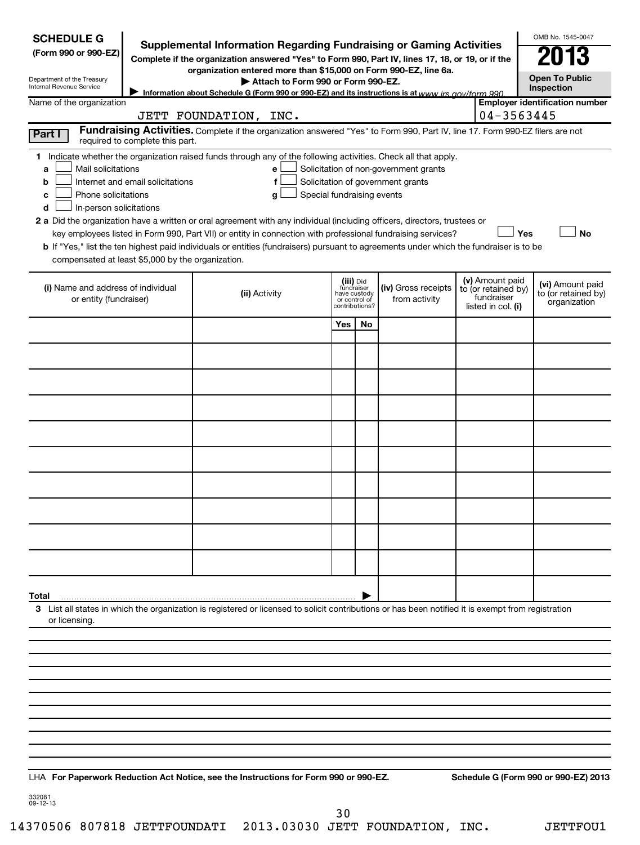| <b>SCHEDULE G</b><br>(Form 990 or 990-EZ)<br>Department of the Treasury<br>Internal Revenue Service                                           |                                  | <b>Supplemental Information Regarding Fundraising or Gaming Activities</b><br>Complete if the organization answered "Yes" to Form 990, Part IV, lines 17, 18, or 19, or if the<br>organization entered more than \$15,000 on Form 990-EZ, line 6a.<br>Attach to Form 990 or Form 990-EZ.<br>Information about Schedule G (Form 990 or 990-EZ) and its instructions is at www irs gov/form 990                                                                                                                                                             |                                                                            |    |                                                                            |                                                                            | OMB No. 1545-0047<br><b>Open To Public</b><br>Inspection |
|-----------------------------------------------------------------------------------------------------------------------------------------------|----------------------------------|-----------------------------------------------------------------------------------------------------------------------------------------------------------------------------------------------------------------------------------------------------------------------------------------------------------------------------------------------------------------------------------------------------------------------------------------------------------------------------------------------------------------------------------------------------------|----------------------------------------------------------------------------|----|----------------------------------------------------------------------------|----------------------------------------------------------------------------|----------------------------------------------------------|
| Name of the organization                                                                                                                      |                                  | JETT FOUNDATION, INC.                                                                                                                                                                                                                                                                                                                                                                                                                                                                                                                                     |                                                                            |    |                                                                            | 04-3563445                                                                 | <b>Employer identification number</b>                    |
| Part I                                                                                                                                        | required to complete this part.  | Fundraising Activities. Complete if the organization answered "Yes" to Form 990, Part IV, line 17. Form 990-EZ filers are not                                                                                                                                                                                                                                                                                                                                                                                                                             |                                                                            |    |                                                                            |                                                                            |                                                          |
| Mail solicitations<br>a<br>b<br>Phone solicitations<br>c<br>In-person solicitations<br>d<br>compensated at least \$5,000 by the organization. | Internet and email solicitations | 1 Indicate whether the organization raised funds through any of the following activities. Check all that apply.<br>е<br>f<br>Special fundraising events<br>g<br>2 a Did the organization have a written or oral agreement with any individual (including officers, directors, trustees or<br>key employees listed in Form 990, Part VII) or entity in connection with professional fundraising services?<br><b>b</b> If "Yes," list the ten highest paid individuals or entities (fundraisers) pursuant to agreements under which the fundraiser is to be |                                                                            |    | Solicitation of non-government grants<br>Solicitation of government grants | Yes                                                                        | <b>No</b>                                                |
| (i) Name and address of individual<br>or entity (fundraiser)                                                                                  |                                  | (ii) Activity                                                                                                                                                                                                                                                                                                                                                                                                                                                                                                                                             | (iii) Did<br>fundraiser<br>have custody<br>or control of<br>contributions? |    | (iv) Gross receipts<br>from activity                                       | (v) Amount paid<br>to (or retained by)<br>fundraiser<br>listed in col. (i) | (vi) Amount paid<br>to (or retained by)<br>organization  |
|                                                                                                                                               |                                  |                                                                                                                                                                                                                                                                                                                                                                                                                                                                                                                                                           | Yes                                                                        | No |                                                                            |                                                                            |                                                          |
|                                                                                                                                               |                                  |                                                                                                                                                                                                                                                                                                                                                                                                                                                                                                                                                           |                                                                            |    |                                                                            |                                                                            |                                                          |
|                                                                                                                                               |                                  |                                                                                                                                                                                                                                                                                                                                                                                                                                                                                                                                                           |                                                                            |    |                                                                            |                                                                            |                                                          |
|                                                                                                                                               |                                  |                                                                                                                                                                                                                                                                                                                                                                                                                                                                                                                                                           |                                                                            |    |                                                                            |                                                                            |                                                          |
|                                                                                                                                               |                                  |                                                                                                                                                                                                                                                                                                                                                                                                                                                                                                                                                           |                                                                            |    |                                                                            |                                                                            |                                                          |
|                                                                                                                                               |                                  |                                                                                                                                                                                                                                                                                                                                                                                                                                                                                                                                                           |                                                                            |    |                                                                            |                                                                            |                                                          |
|                                                                                                                                               |                                  |                                                                                                                                                                                                                                                                                                                                                                                                                                                                                                                                                           |                                                                            |    |                                                                            |                                                                            |                                                          |
|                                                                                                                                               |                                  |                                                                                                                                                                                                                                                                                                                                                                                                                                                                                                                                                           |                                                                            |    |                                                                            |                                                                            |                                                          |
|                                                                                                                                               |                                  |                                                                                                                                                                                                                                                                                                                                                                                                                                                                                                                                                           |                                                                            |    |                                                                            |                                                                            |                                                          |
|                                                                                                                                               |                                  |                                                                                                                                                                                                                                                                                                                                                                                                                                                                                                                                                           |                                                                            |    |                                                                            |                                                                            |                                                          |
|                                                                                                                                               |                                  |                                                                                                                                                                                                                                                                                                                                                                                                                                                                                                                                                           |                                                                            |    |                                                                            |                                                                            |                                                          |
| Total                                                                                                                                         |                                  |                                                                                                                                                                                                                                                                                                                                                                                                                                                                                                                                                           |                                                                            |    |                                                                            |                                                                            |                                                          |
| or licensing.                                                                                                                                 |                                  | 3 List all states in which the organization is registered or licensed to solicit contributions or has been notified it is exempt from registration                                                                                                                                                                                                                                                                                                                                                                                                        |                                                                            |    |                                                                            |                                                                            |                                                          |
|                                                                                                                                               |                                  |                                                                                                                                                                                                                                                                                                                                                                                                                                                                                                                                                           |                                                                            |    |                                                                            |                                                                            |                                                          |
|                                                                                                                                               |                                  |                                                                                                                                                                                                                                                                                                                                                                                                                                                                                                                                                           |                                                                            |    |                                                                            |                                                                            |                                                          |
|                                                                                                                                               |                                  |                                                                                                                                                                                                                                                                                                                                                                                                                                                                                                                                                           |                                                                            |    |                                                                            |                                                                            |                                                          |
|                                                                                                                                               |                                  |                                                                                                                                                                                                                                                                                                                                                                                                                                                                                                                                                           |                                                                            |    |                                                                            |                                                                            |                                                          |
|                                                                                                                                               |                                  |                                                                                                                                                                                                                                                                                                                                                                                                                                                                                                                                                           |                                                                            |    |                                                                            |                                                                            |                                                          |
|                                                                                                                                               |                                  |                                                                                                                                                                                                                                                                                                                                                                                                                                                                                                                                                           |                                                                            |    |                                                                            |                                                                            |                                                          |
| 332081<br>09-12-13                                                                                                                            |                                  | LHA For Paperwork Reduction Act Notice, see the Instructions for Form 990 or 990-EZ.                                                                                                                                                                                                                                                                                                                                                                                                                                                                      |                                                                            |    |                                                                            |                                                                            | Schedule G (Form 990 or 990-EZ) 2013                     |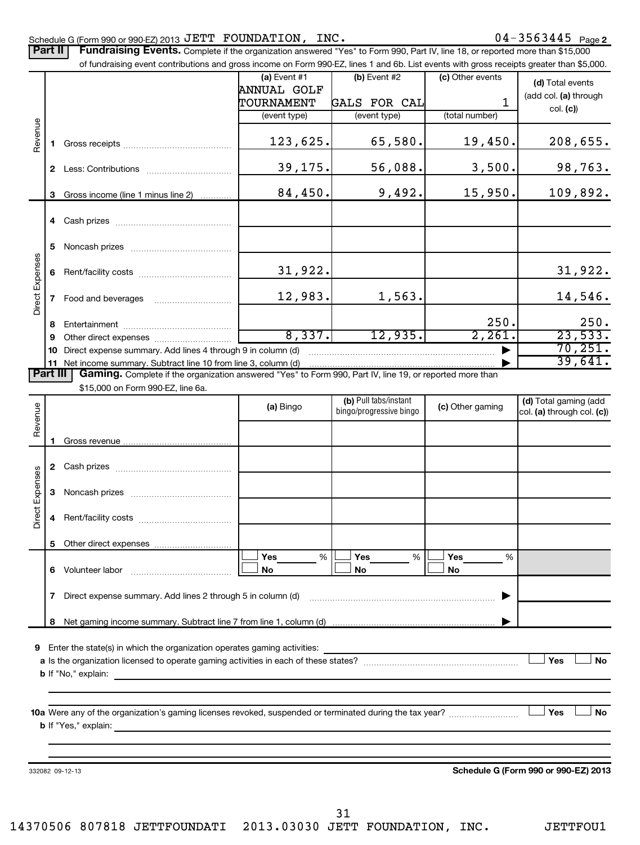### Schedule G (Form 990 or 990-EZ) 2013  $\mathtt{JETT}$   $\mathtt{FOUNDATION}$ ,  $\mathtt{INC.}$   $\mathtt{O4-3563445}$   $\mathtt{Page}$

| <b>Part II</b>  |              | Fundraising Events. Complete if the organization answered "Yes" to Form 990, Part IV, line 18, or reported more than \$15,000<br>of fundraising event contributions and gross income on Form 990-EZ, lines 1 and 6b. List events with gross receipts greater than \$5,000. |                                                             |                                                       |                                         |                                                       |
|-----------------|--------------|----------------------------------------------------------------------------------------------------------------------------------------------------------------------------------------------------------------------------------------------------------------------------|-------------------------------------------------------------|-------------------------------------------------------|-----------------------------------------|-------------------------------------------------------|
|                 |              |                                                                                                                                                                                                                                                                            | (a) Event $#1$<br>ANNUAL GOLF<br>TOURNAMENT<br>(event type) | $(b)$ Event #2<br><b>GALS FOR CAL</b><br>(event type) | (c) Other events<br>1<br>(total number) | (d) Total events<br>(add col. (a) through<br>col. (c) |
| Revenue         | 1.           |                                                                                                                                                                                                                                                                            | 123,625.                                                    | 65,580.                                               | 19,450.                                 | 208,655.                                              |
|                 |              |                                                                                                                                                                                                                                                                            | 39,175.                                                     | 56,088.                                               | 3,500.                                  | 98,763.                                               |
|                 | 3            | Gross income (line 1 minus line 2)                                                                                                                                                                                                                                         | 84,450.                                                     | 9,492.                                                | 15,950.                                 | 109,892.                                              |
|                 |              |                                                                                                                                                                                                                                                                            |                                                             |                                                       |                                         |                                                       |
|                 | 5            |                                                                                                                                                                                                                                                                            |                                                             |                                                       |                                         |                                                       |
| Direct Expenses | 6            |                                                                                                                                                                                                                                                                            | 31,922.                                                     |                                                       |                                         | 31,922.                                               |
|                 |              |                                                                                                                                                                                                                                                                            | 12,983.                                                     | 1,563.                                                |                                         | 14,546.                                               |
|                 | 8            |                                                                                                                                                                                                                                                                            |                                                             |                                                       | 250.                                    | 250.                                                  |
|                 | 9            |                                                                                                                                                                                                                                                                            | 8,337.                                                      | 12,935.                                               | 2,261.                                  | 23,533.                                               |
|                 |              | 10 Direct expense summary. Add lines 4 through 9 in column (d)<br>11 Net income summary. Subtract line 10 from line 3, column (d)                                                                                                                                          |                                                             |                                                       |                                         | 70, 251.<br>39,641.                                   |
| Part III        |              | Gaming. Complete if the organization answered "Yes" to Form 990, Part IV, line 19, or reported more than                                                                                                                                                                   |                                                             |                                                       |                                         |                                                       |
|                 |              | \$15,000 on Form 990-EZ, line 6a.                                                                                                                                                                                                                                          |                                                             |                                                       |                                         |                                                       |
| Revenue         |              |                                                                                                                                                                                                                                                                            | (a) Bingo                                                   | (b) Pull tabs/instant<br>bingo/progressive bingo      | (c) Other gaming                        | (d) Total gaming (add<br>col. (a) through col. (c))   |
|                 | 1.           |                                                                                                                                                                                                                                                                            |                                                             |                                                       |                                         |                                                       |
|                 |              |                                                                                                                                                                                                                                                                            |                                                             |                                                       |                                         |                                                       |
| Direct Expenses |              |                                                                                                                                                                                                                                                                            |                                                             |                                                       |                                         |                                                       |
|                 |              |                                                                                                                                                                                                                                                                            |                                                             |                                                       |                                         |                                                       |
|                 |              |                                                                                                                                                                                                                                                                            |                                                             |                                                       |                                         |                                                       |
|                 |              | 6 Volunteer labor                                                                                                                                                                                                                                                          | Yes<br>$\%$<br>No                                           | Yes<br>%<br>No                                        | Yes<br>%<br>No                          |                                                       |
|                 | $\mathbf{7}$ |                                                                                                                                                                                                                                                                            |                                                             |                                                       |                                         |                                                       |
|                 | 8            |                                                                                                                                                                                                                                                                            |                                                             |                                                       |                                         |                                                       |
|                 |              | <b>9</b> Enter the state(s) in which the organization operates gaming activities:                                                                                                                                                                                          |                                                             |                                                       |                                         | Yes<br><b>No</b>                                      |
|                 |              |                                                                                                                                                                                                                                                                            |                                                             |                                                       |                                         | <b>No</b><br>Yes                                      |
|                 |              | 332082 09-12-13                                                                                                                                                                                                                                                            |                                                             |                                                       |                                         | Schedule G (Form 990 or 990-EZ) 2013                  |

31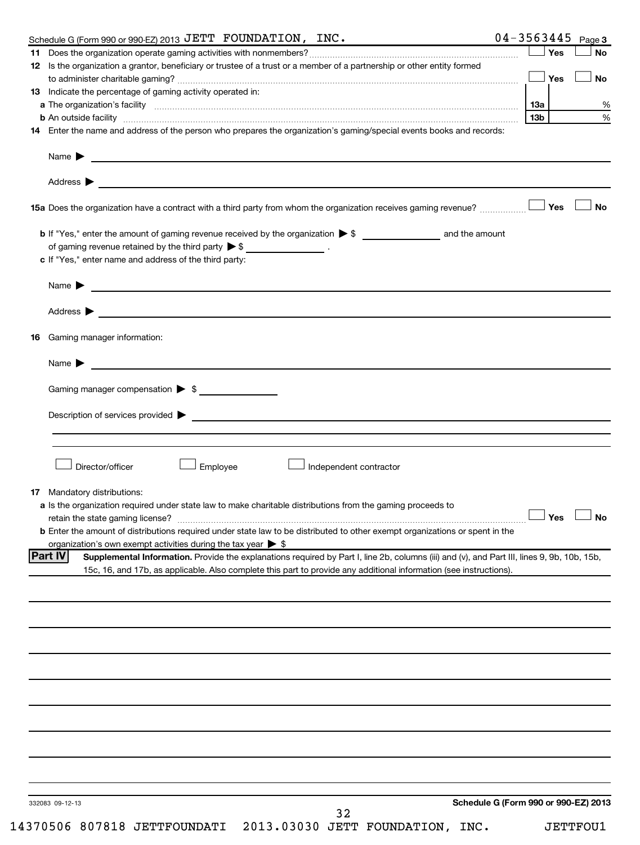| Schedule G (Form 990 or 990-EZ) 2013 JETT FOUNDATION, INC.                                                                                                                                                                                                            | 04-3563445<br>Page 3                 |
|-----------------------------------------------------------------------------------------------------------------------------------------------------------------------------------------------------------------------------------------------------------------------|--------------------------------------|
|                                                                                                                                                                                                                                                                       | Yes<br><b>No</b>                     |
| 12 Is the organization a grantor, beneficiary or trustee of a trust or a member of a partnership or other entity formed                                                                                                                                               |                                      |
|                                                                                                                                                                                                                                                                       | Yes<br><b>No</b>                     |
| 13 Indicate the percentage of gaming activity operated in:                                                                                                                                                                                                            |                                      |
| a The organization's facility encourance and contain an account of the control of the control of the control of                                                                                                                                                       | 1За                                  |
| b An outside facility measurements are constructed as a set of the set of the set of the set of the set of the                                                                                                                                                        | 13 <sub>b</sub>                      |
| 14 Enter the name and address of the person who prepares the organization's gaming/special events books and records:                                                                                                                                                  |                                      |
|                                                                                                                                                                                                                                                                       |                                      |
|                                                                                                                                                                                                                                                                       |                                      |
| Name $\blacktriangleright$<br><u>and the control of the control of the control of the control of the control of the control of the control of</u>                                                                                                                     |                                      |
|                                                                                                                                                                                                                                                                       |                                      |
| Address $\blacktriangleright$<br><u> 1989 - Johann Harry Harry Harry Harry Harry Harry Harry Harry Harry Harry Harry Harry Harry Harry Harry Harry</u>                                                                                                                |                                      |
|                                                                                                                                                                                                                                                                       | <b>No</b><br>Yes                     |
| 15a Does the organization have a contract with a third party from whom the organization receives gaming revenue?                                                                                                                                                      |                                      |
|                                                                                                                                                                                                                                                                       |                                      |
|                                                                                                                                                                                                                                                                       |                                      |
| of gaming revenue retained by the third party $\triangleright$ \$ _________________.                                                                                                                                                                                  |                                      |
| c If "Yes," enter name and address of the third party:                                                                                                                                                                                                                |                                      |
|                                                                                                                                                                                                                                                                       |                                      |
| Name $\blacktriangleright$                                                                                                                                                                                                                                            |                                      |
|                                                                                                                                                                                                                                                                       |                                      |
| Address $\blacktriangleright$<br><u>state and the state of the state of the state of the state of the state of the state of the state of the state of the state of the state of the state of the state of the state of the state of the state of the state of the</u> |                                      |
|                                                                                                                                                                                                                                                                       |                                      |
| Gaming manager information:<br>16                                                                                                                                                                                                                                     |                                      |
|                                                                                                                                                                                                                                                                       |                                      |
| Name $\blacktriangleright$                                                                                                                                                                                                                                            |                                      |
|                                                                                                                                                                                                                                                                       |                                      |
| Gaming manager compensation > \$                                                                                                                                                                                                                                      |                                      |
|                                                                                                                                                                                                                                                                       |                                      |
| Description of services provided states and the service of the services of the services provided states are serviced to the service of the service of the service of the service of the service of the service of the service                                         |                                      |
|                                                                                                                                                                                                                                                                       |                                      |
|                                                                                                                                                                                                                                                                       |                                      |
|                                                                                                                                                                                                                                                                       |                                      |
| Director/officer<br>Employee<br>Independent contractor                                                                                                                                                                                                                |                                      |
|                                                                                                                                                                                                                                                                       |                                      |
| 17<br>Mandatory distributions:                                                                                                                                                                                                                                        |                                      |
| <b>a</b> Is the organization required under state law to make charitable distributions from the gaming proceeds to                                                                                                                                                    |                                      |
|                                                                                                                                                                                                                                                                       | $\Box$ Yes $\Box$ No                 |
| <b>b</b> Enter the amount of distributions required under state law to be distributed to other exempt organizations or spent in the                                                                                                                                   |                                      |
| organization's own exempt activities during the tax year $\triangleright$ \$                                                                                                                                                                                          |                                      |
| <b>Part IV</b><br>Supplemental Information. Provide the explanations required by Part I, line 2b, columns (iii) and (v), and Part III, lines 9, 9b, 10b, 15b,                                                                                                         |                                      |
| 15c, 16, and 17b, as applicable. Also complete this part to provide any additional information (see instructions).                                                                                                                                                    |                                      |
|                                                                                                                                                                                                                                                                       |                                      |
|                                                                                                                                                                                                                                                                       |                                      |
|                                                                                                                                                                                                                                                                       |                                      |
|                                                                                                                                                                                                                                                                       |                                      |
|                                                                                                                                                                                                                                                                       |                                      |
|                                                                                                                                                                                                                                                                       |                                      |
|                                                                                                                                                                                                                                                                       |                                      |
|                                                                                                                                                                                                                                                                       |                                      |
|                                                                                                                                                                                                                                                                       |                                      |
|                                                                                                                                                                                                                                                                       |                                      |
|                                                                                                                                                                                                                                                                       |                                      |
|                                                                                                                                                                                                                                                                       |                                      |
|                                                                                                                                                                                                                                                                       |                                      |
|                                                                                                                                                                                                                                                                       |                                      |
|                                                                                                                                                                                                                                                                       |                                      |
|                                                                                                                                                                                                                                                                       |                                      |
|                                                                                                                                                                                                                                                                       |                                      |
|                                                                                                                                                                                                                                                                       |                                      |
| 332083 09-12-13                                                                                                                                                                                                                                                       | Schedule G (Form 990 or 990-EZ) 2013 |
| 32                                                                                                                                                                                                                                                                    |                                      |
| 14370506 807818 JETTFOUNDATI 2013.03030 JETT FOUNDATION, INC.                                                                                                                                                                                                         | <b>JETTFOU1</b>                      |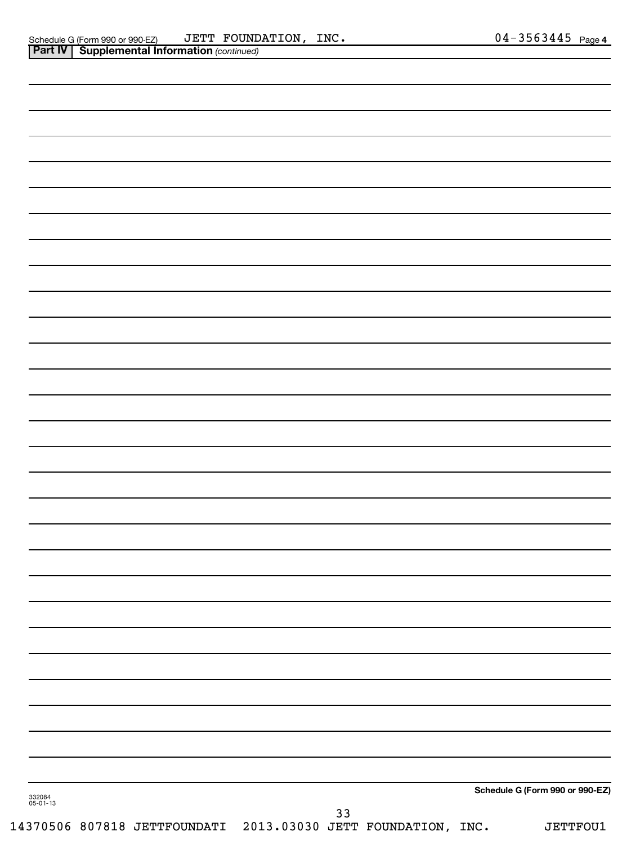|                    | <b>Part IV   Supplemental Information (continued)</b> |    |                                 |
|--------------------|-------------------------------------------------------|----|---------------------------------|
|                    |                                                       |    |                                 |
|                    |                                                       |    |                                 |
|                    |                                                       |    |                                 |
|                    |                                                       |    |                                 |
|                    |                                                       |    |                                 |
|                    |                                                       |    |                                 |
|                    |                                                       |    |                                 |
|                    |                                                       |    |                                 |
|                    |                                                       |    |                                 |
|                    |                                                       |    |                                 |
|                    |                                                       |    |                                 |
|                    |                                                       |    |                                 |
|                    |                                                       |    |                                 |
|                    |                                                       |    |                                 |
|                    |                                                       |    |                                 |
|                    |                                                       |    |                                 |
|                    |                                                       |    |                                 |
|                    |                                                       |    |                                 |
|                    |                                                       |    |                                 |
|                    |                                                       |    |                                 |
|                    |                                                       |    |                                 |
|                    |                                                       |    |                                 |
|                    |                                                       |    |                                 |
|                    |                                                       |    |                                 |
|                    |                                                       |    |                                 |
|                    |                                                       |    |                                 |
|                    |                                                       |    |                                 |
|                    |                                                       |    |                                 |
| 332084<br>05-01-13 |                                                       |    | Schedule G (Form 990 or 990-EZ) |
|                    |                                                       | 33 |                                 |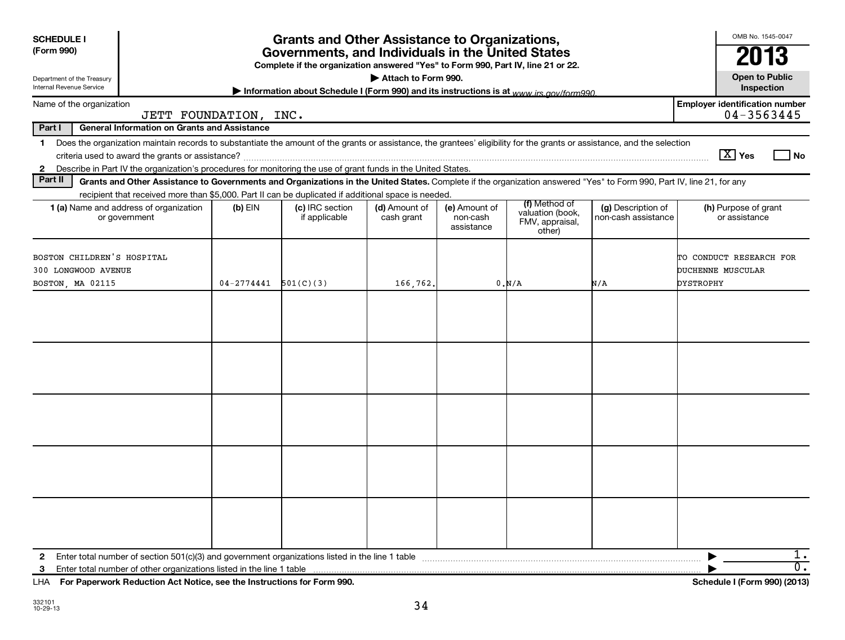| <b>SCHEDULE I</b><br><b>Grants and Other Assistance to Organizations,</b><br>(Form 990)<br>Governments, and Individuals in the United States                                                                                                                                                      |                       |                                  |                             |                                         |                                                                |                                           | OMB No. 1545-0047<br>2013                                                                                                                                                                                                                                                                                                                                    |
|---------------------------------------------------------------------------------------------------------------------------------------------------------------------------------------------------------------------------------------------------------------------------------------------------|-----------------------|----------------------------------|-----------------------------|-----------------------------------------|----------------------------------------------------------------|-------------------------------------------|--------------------------------------------------------------------------------------------------------------------------------------------------------------------------------------------------------------------------------------------------------------------------------------------------------------------------------------------------------------|
| Complete if the organization answered "Yes" to Form 990, Part IV, line 21 or 22.<br>Attach to Form 990.<br>Department of the Treasury                                                                                                                                                             |                       |                                  |                             |                                         |                                                                | <b>Open to Public</b>                     |                                                                                                                                                                                                                                                                                                                                                              |
| Internal Revenue Service<br>Information about Schedule I (Form 990) and its instructions is at www irs gov/form990                                                                                                                                                                                |                       |                                  |                             |                                         |                                                                |                                           | Inspection                                                                                                                                                                                                                                                                                                                                                   |
| Name of the organization                                                                                                                                                                                                                                                                          | JETT FOUNDATION, INC. |                                  |                             |                                         |                                                                |                                           | <b>Employer identification number</b><br>04-3563445                                                                                                                                                                                                                                                                                                          |
| <b>General Information on Grants and Assistance</b><br>Part I                                                                                                                                                                                                                                     |                       |                                  |                             |                                         |                                                                |                                           |                                                                                                                                                                                                                                                                                                                                                              |
| Does the organization maintain records to substantiate the amount of the grants or assistance, the grantees' eligibility for the grants or assistance, and the selection<br>1.<br>2 Describe in Part IV the organization's procedures for monitoring the use of grant funds in the United States. |                       |                                  |                             |                                         |                                                                |                                           | $\boxed{\text{X}}$ Yes<br>l No                                                                                                                                                                                                                                                                                                                               |
| Part II<br>Grants and Other Assistance to Governments and Organizations in the United States. Complete if the organization answered "Yes" to Form 990, Part IV, line 21, for any                                                                                                                  |                       |                                  |                             |                                         |                                                                |                                           |                                                                                                                                                                                                                                                                                                                                                              |
| recipient that received more than \$5,000. Part II can be duplicated if additional space is needed.<br>1 (a) Name and address of organization<br>or government                                                                                                                                    | $(b)$ EIN             | (c) IRC section<br>if applicable | (d) Amount of<br>cash grant | (e) Amount of<br>non-cash<br>assistance | (f) Method of<br>valuation (book,<br>FMV, appraisal,<br>other) | (g) Description of<br>non-cash assistance | (h) Purpose of grant<br>or assistance                                                                                                                                                                                                                                                                                                                        |
| BOSTON CHILDREN'S HOSPITAL<br>300 LONGWOOD AVENUE<br>BOSTON, MA 02115                                                                                                                                                                                                                             | $04 - 2774441$        | 501(C)(3)                        | 166,762.                    |                                         | 0.M/A                                                          | N/A                                       | TO CONDUCT RESEARCH FOR<br>DUCHENNE MUSCULAR<br>DYSTROPHY                                                                                                                                                                                                                                                                                                    |
|                                                                                                                                                                                                                                                                                                   |                       |                                  |                             |                                         |                                                                |                                           |                                                                                                                                                                                                                                                                                                                                                              |
|                                                                                                                                                                                                                                                                                                   |                       |                                  |                             |                                         |                                                                |                                           |                                                                                                                                                                                                                                                                                                                                                              |
|                                                                                                                                                                                                                                                                                                   |                       |                                  |                             |                                         |                                                                |                                           |                                                                                                                                                                                                                                                                                                                                                              |
|                                                                                                                                                                                                                                                                                                   |                       |                                  |                             |                                         |                                                                |                                           |                                                                                                                                                                                                                                                                                                                                                              |
|                                                                                                                                                                                                                                                                                                   |                       |                                  |                             |                                         |                                                                |                                           |                                                                                                                                                                                                                                                                                                                                                              |
| Fro Bronzood, Britishing Art Netter, and the Instructions from From 000                                                                                                                                                                                                                           |                       |                                  |                             |                                         |                                                                |                                           | ı.<br>$\overline{0}$ .<br>$\mathbf{r}$ $\mathbf{r}$ $\mathbf{r}$ $\mathbf{r}$ $\mathbf{r}$ $\mathbf{r}$ $\mathbf{r}$ $\mathbf{r}$ $\mathbf{r}$ $\mathbf{r}$ $\mathbf{r}$ $\mathbf{r}$ $\mathbf{r}$ $\mathbf{r}$ $\mathbf{r}$ $\mathbf{r}$ $\mathbf{r}$ $\mathbf{r}$ $\mathbf{r}$ $\mathbf{r}$ $\mathbf{r}$ $\mathbf{r}$ $\mathbf{r}$ $\mathbf{r}$ $\mathbf{$ |

**For Paperwork Reduction Act Notice, see the Instructions for Form 990. Schedule I (Form 990) (2013)** LHA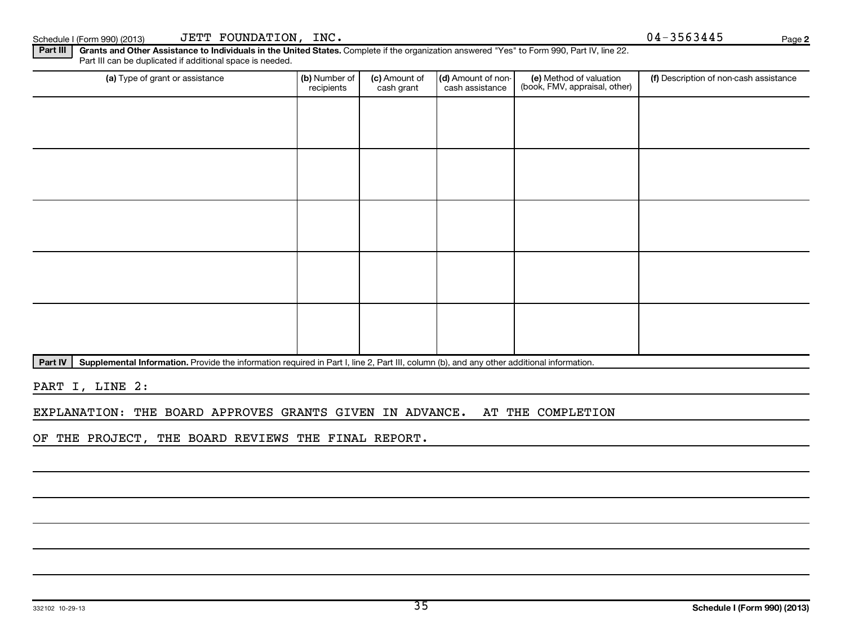Schedule I (Form 990) (2013)  $JETT$   $\hbox{FOUNDATION}$ ,  $\hbox{INC.}$   $\hbox{O(1)}$   $\hbox{O(1)}$   $\hbox{O(1)}$   $\hbox{O(1)}$   $\hbox{O(1)}$   $\hbox{O(1)}$   $\hbox{O(1)}$   $\hbox{O(1)}$   $\hbox{O(1)}$   $\hbox{O(1)}$   $\hbox{O(1)}$   $\hbox{O(1)}$   $\hbox{O(1)}$   $\hbox{O(1)}$   $\hbox{O(1)}$ 

**2**

Part III | Grants and Other Assistance to Individuals in the United States. Complete if the organization answered "Yes" to Form 990, Part IV, line 22. Part III can be duplicated if additional space is needed.

| (a) Type of grant or assistance | (b) Number of<br>recipients | (c) Amount of<br>cash grant | (d) Amount of non-<br>cash assistance | (e) Method of valuation<br>(book, FMV, appraisal, other) | (f) Description of non-cash assistance |
|---------------------------------|-----------------------------|-----------------------------|---------------------------------------|----------------------------------------------------------|----------------------------------------|
|                                 |                             |                             |                                       |                                                          |                                        |
|                                 |                             |                             |                                       |                                                          |                                        |
|                                 |                             |                             |                                       |                                                          |                                        |
|                                 |                             |                             |                                       |                                                          |                                        |
|                                 |                             |                             |                                       |                                                          |                                        |
|                                 |                             |                             |                                       |                                                          |                                        |
|                                 |                             |                             |                                       |                                                          |                                        |
|                                 |                             |                             |                                       |                                                          |                                        |
|                                 |                             |                             |                                       |                                                          |                                        |
|                                 |                             |                             |                                       |                                                          |                                        |

Part IV | Supplemental Information. Provide the information required in Part I, line 2, Part III, column (b), and any other additional information.

PART I, LINE 2:

EXPLANATION: THE BOARD APPROVES GRANTS GIVEN IN ADVANCE. AT THE COMPLETION

OF THE PROJECT, THE BOARD REVIEWS THE FINAL REPORT.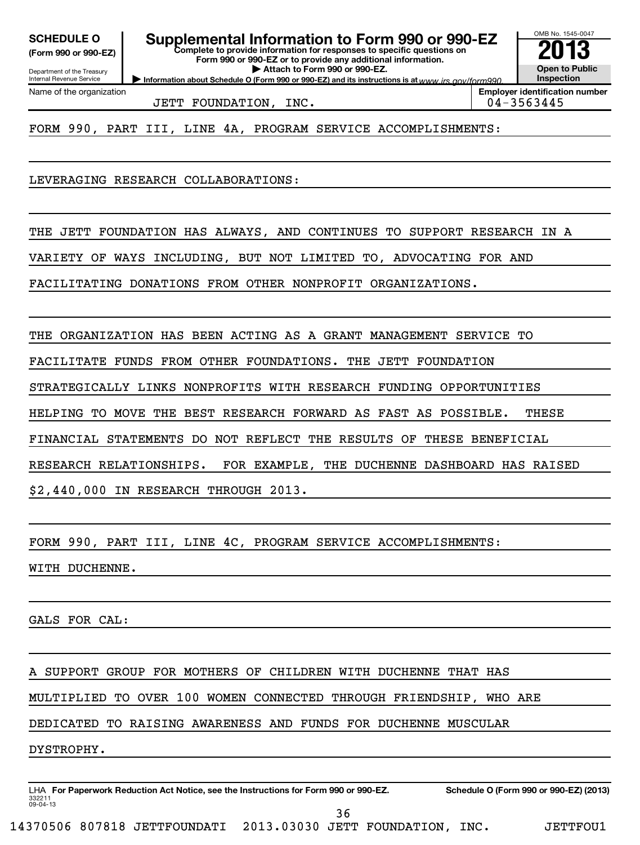**(Form 990 or 990-EZ)**

**Complete to provide information for responses to specific questions on Form 990 or 990-EZ or to provide any additional information. | Attach to Form 990 or 990-EZ. SCHEDULE O Supplemental Information to Form 990 or 990-EZ 2013**

**Information about Schedule O (Form 990 or 990-EZ) and its instructions is at www.irs.gov/form990.** 

Department of the Treasury Internal Revenue Service Name of the organization

JETT FOUNDATION, INC. 04-3563445

**Employer identification number**

OMB No. 1545-0047

**Open to Public Inspection**

FORM 990, PART III, LINE 4A, PROGRAM SERVICE ACCOMPLISHMENTS:

LEVERAGING RESEARCH COLLABORATIONS:

THE JETT FOUNDATION HAS ALWAYS, AND CONTINUES TO SUPPORT RESEARCH IN A

VARIETY OF WAYS INCLUDING, BUT NOT LIMITED TO, ADVOCATING FOR AND

FACILITATING DONATIONS FROM OTHER NONPROFIT ORGANIZATIONS.

THE ORGANIZATION HAS BEEN ACTING AS A GRANT MANAGEMENT SERVICE TO

FACILITATE FUNDS FROM OTHER FOUNDATIONS. THE JETT FOUNDATION

STRATEGICALLY LINKS NONPROFITS WITH RESEARCH FUNDING OPPORTUNITIES

HELPING TO MOVE THE BEST RESEARCH FORWARD AS FAST AS POSSIBLE. THESE

FINANCIAL STATEMENTS DO NOT REFLECT THE RESULTS OF THESE BENEFICIAL

RESEARCH RELATIONSHIPS. FOR EXAMPLE, THE DUCHENNE DASHBOARD HAS RAISED

\$2,440,000 IN RESEARCH THROUGH 2013.

FORM 990, PART III, LINE 4C, PROGRAM SERVICE ACCOMPLISHMENTS:

WITH DUCHENNE.

GALS FOR CAL:

A SUPPORT GROUP FOR MOTHERS OF CHILDREN WITH DUCHENNE THAT HAS

MULTIPLIED TO OVER 100 WOMEN CONNECTED THROUGH FRIENDSHIP, WHO ARE

DEDICATED TO RAISING AWARENESS AND FUNDS FOR DUCHENNE MUSCULAR

DYSTROPHY.

332211 09-04-13 LHA For Paperwork Reduction Act Notice, see the Instructions for Form 990 or 990-EZ. Schedule O (Form 990 or 990-EZ) (2013) 36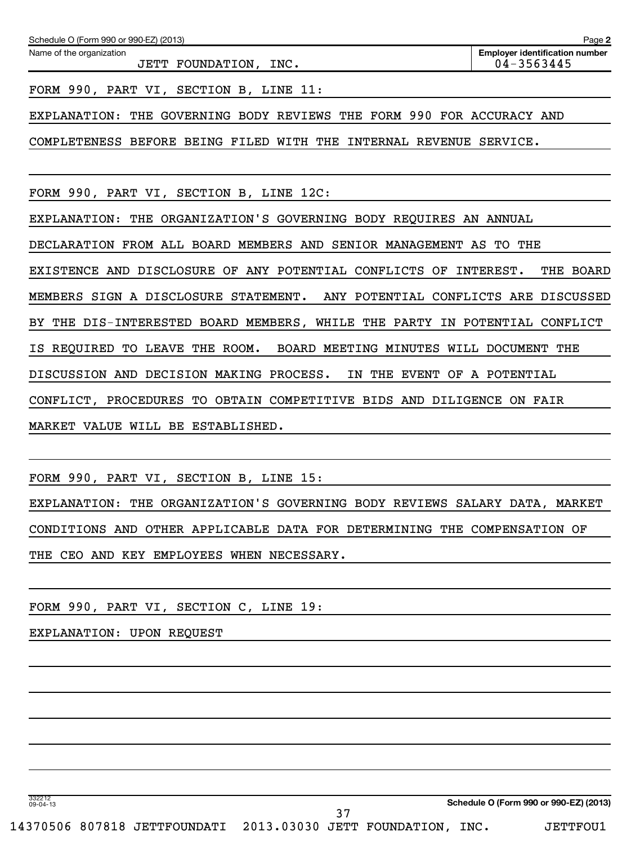| Schedule O (Form 990 or 990-EZ) (2013)                                | Page 2                                              |
|-----------------------------------------------------------------------|-----------------------------------------------------|
| Name of the organization<br>JETT FOUNDATION, INC.                     | <b>Employer identification number</b><br>04-3563445 |
| FORM 990, PART VI, SECTION B, LINE 11:                                |                                                     |
| EXPLANATION: THE GOVERNING BODY REVIEWS THE FORM 990 FOR ACCURACY AND |                                                     |
| COMPLETENESS BEFORE BEING FILED WITH THE INTERNAL REVENUE SERVICE.    |                                                     |
| FORM 990, PART VI, SECTION B, LINE 12C:                               |                                                     |
| EXPLANATION: THE ORGANIZATION'S GOVERNING BODY REOUIRES AN ANNUAL     |                                                     |

DECLARATION FROM ALL BOARD MEMBERS AND SENIOR MANAGEMENT AS TO THE EXISTENCE AND DISCLOSURE OF ANY POTENTIAL CONFLICTS OF INTEREST. THE BOARD MEMBERS SIGN A DISCLOSURE STATEMENT. ANY POTENTIAL CONFLICTS ARE DISCUSSED BY THE DIS-INTERESTED BOARD MEMBERS, WHILE THE PARTY IN POTENTIAL CONFLICT IS REQUIRED TO LEAVE THE ROOM. BOARD MEETING MINUTES WILL DOCUMENT THE DISCUSSION AND DECISION MAKING PROCESS. IN THE EVENT OF A POTENTIAL CONFLICT, PROCEDURES TO OBTAIN COMPETITIVE BIDS AND DILIGENCE ON FAIR

MARKET VALUE WILL BE ESTABLISHED.

FORM 990, PART VI, SECTION B, LINE 15:

EXPLANATION: THE ORGANIZATION'S GOVERNING BODY REVIEWS SALARY DATA, MARKET CONDITIONS AND OTHER APPLICABLE DATA FOR DETERMINING THE COMPENSATION OF THE CEO AND KEY EMPLOYEES WHEN NECESSARY.

37

FORM 990, PART VI, SECTION C, LINE 19:

EXPLANATION: UPON REQUEST

332212 09-04-13

**Schedule O (Form 990 or 990-EZ) (2013)**